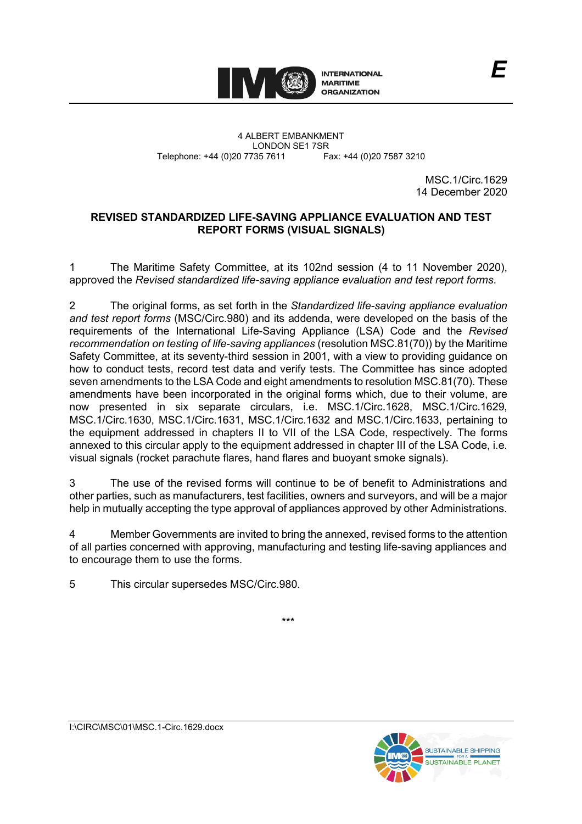

4 ALBERT EMBANKMENT Telephone: +44 (0)20 7735 7611

LONDON SE1 7SR<br>735 7611 Fax: +44 (0)20 7587 3210

MSC.1/Circ.1629 14 December 2020

# **REVISED STANDARDIZED LIFE-SAVING APPLIANCE EVALUATION AND TEST REPORT FORMS (VISUAL SIGNALS)**

1 The Maritime Safety Committee, at its 102nd session (4 to 11 November 2020), approved the *Revised standardized life-saving appliance evaluation and test report forms*.

2 The original forms, as set forth in the *Standardized life-saving appliance evaluation and test report forms* (MSC/Circ.980) and its addenda, were developed on the basis of the requirements of the International Life-Saving Appliance (LSA) Code and the *Revised recommendation on testing of life-saving appliances* (resolution MSC.81(70)) by the Maritime Safety Committee, at its seventy-third session in 2001, with a view to providing guidance on how to conduct tests, record test data and verify tests. The Committee has since adopted seven amendments to the LSA Code and eight amendments to resolution MSC.81(70). These amendments have been incorporated in the original forms which, due to their volume, are now presented in six separate circulars, i.e. MSC.1/Circ.1628, MSC.1/Circ.1629, MSC.1/Circ.1630, MSC.1/Circ.1631, MSC.1/Circ.1632 and MSC.1/Circ.1633, pertaining to the equipment addressed in chapters II to VII of the LSA Code, respectively. The forms annexed to this circular apply to the equipment addressed in chapter III of the LSA Code, i.e. visual signals (rocket parachute flares, hand flares and buoyant smoke signals).

3 The use of the revised forms will continue to be of benefit to Administrations and other parties, such as manufacturers, test facilities, owners and surveyors, and will be a major help in mutually accepting the type approval of appliances approved by other Administrations.

4 Member Governments are invited to bring the annexed, revised forms to the attention of all parties concerned with approving, manufacturing and testing life-saving appliances and to encourage them to use the forms.

\*\*\*

5 This circular supersedes MSC/Circ.980.

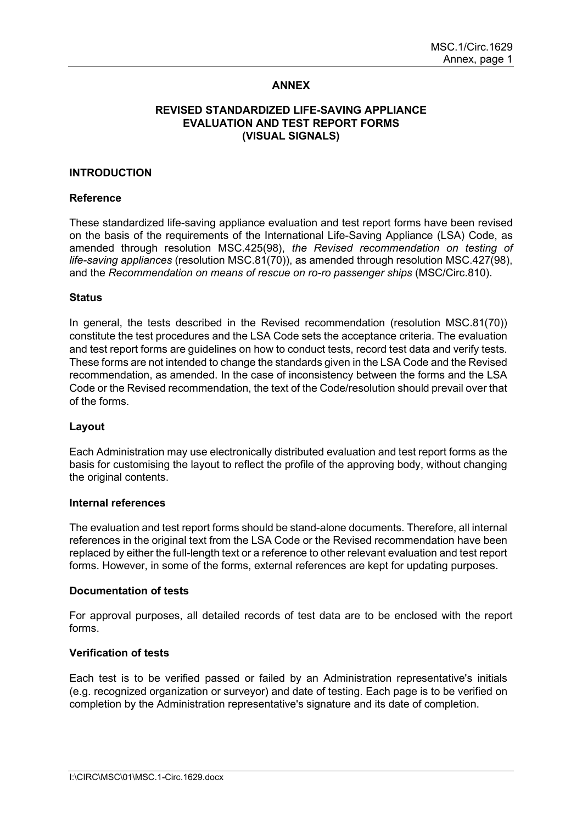## **ANNEX**

## **REVISED STANDARDIZED LIFE-SAVING APPLIANCE EVALUATION AND TEST REPORT FORMS (VISUAL SIGNALS)**

#### **INTRODUCTION**

#### **Reference**

These standardized life-saving appliance evaluation and test report forms have been revised on the basis of the requirements of the International Life-Saving Appliance (LSA) Code, as amended through resolution MSC.425(98), *the Revised recommendation on testing of life-saving appliances* (resolution MSC.81(70)), as amended through resolution MSC.427(98), and the *Recommendation on means of rescue on ro-ro passenger ships* (MSC/Circ.810).

#### **Status**

In general, the tests described in the Revised recommendation (resolution MSC.81(70)) constitute the test procedures and the LSA Code sets the acceptance criteria. The evaluation and test report forms are guidelines on how to conduct tests, record test data and verify tests. These forms are not intended to change the standards given in the LSA Code and the Revised recommendation, as amended. In the case of inconsistency between the forms and the LSA Code or the Revised recommendation, the text of the Code/resolution should prevail over that of the forms.

#### **Layout**

Each Administration may use electronically distributed evaluation and test report forms as the basis for customising the layout to reflect the profile of the approving body, without changing the original contents.

#### **Internal references**

The evaluation and test report forms should be stand-alone documents. Therefore, all internal references in the original text from the LSA Code or the Revised recommendation have been replaced by either the full-length text or a reference to other relevant evaluation and test report forms. However, in some of the forms, external references are kept for updating purposes.

#### **Documentation of tests**

For approval purposes, all detailed records of test data are to be enclosed with the report forms.

#### **Verification of tests**

Each test is to be verified passed or failed by an Administration representative's initials (e.g. recognized organization or surveyor) and date of testing. Each page is to be verified on completion by the Administration representative's signature and its date of completion.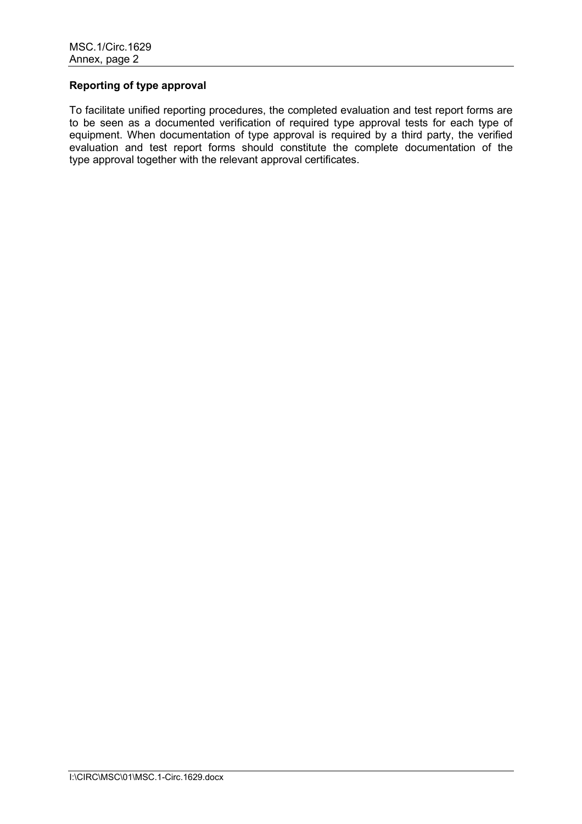# **Reporting of type approval**

To facilitate unified reporting procedures, the completed evaluation and test report forms are to be seen as a documented verification of required type approval tests for each type of equipment. When documentation of type approval is required by a third party, the verified evaluation and test report forms should constitute the complete documentation of the type approval together with the relevant approval certificates.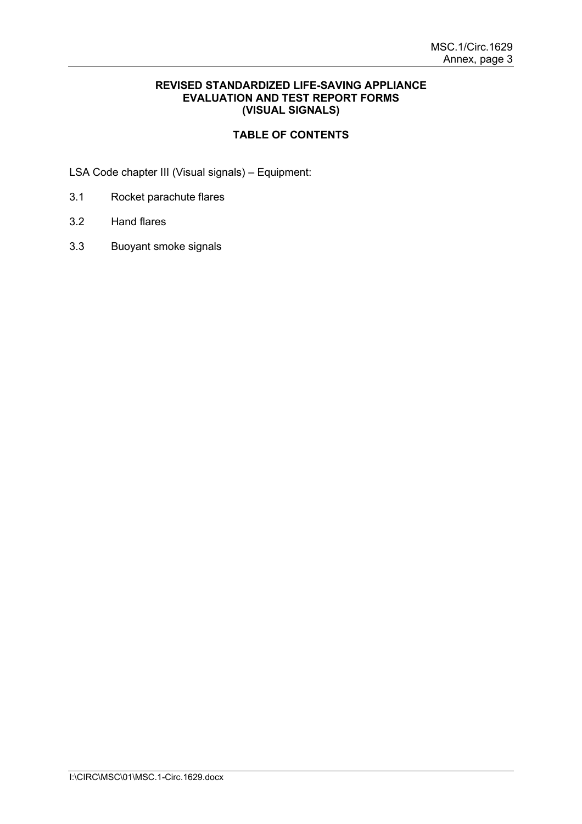## **REVISED STANDARDIZED LIFE-SAVING APPLIANCE EVALUATION AND TEST REPORT FORMS (VISUAL SIGNALS)**

# **TABLE OF CONTENTS**

LSA Code chapter III (Visual signals) – Equipment:

- 3.1 Rocket parachute flares
- 3.2 Hand flares
- 3.3 Buoyant smoke signals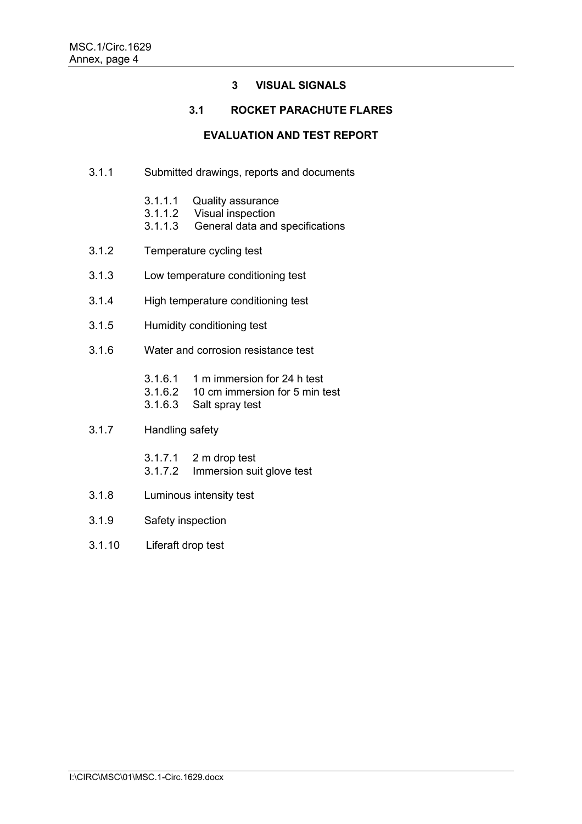# **3 VISUAL SIGNALS**

# **3.1 ROCKET PARACHUTE FLARES**

## **EVALUATION AND TEST REPORT**

- 3.1.1 Submitted drawings, reports and documents
	- 3.1.1.1 Quality assurance<br>3.1.1.2 Visual inspection
	- 3.1.1.2 Visual inspection<br>3.1.1.3 General data and
	- General data and specifications
- 3.1.2 Temperature cycling test
- 3.1.3 Low temperature conditioning test
- 3.1.4 High temperature conditioning test
- 3.1.5 Humidity conditioning test
- 3.1.6 Water and corrosion resistance test
	- 3.1.6.1 1 m immersion for 24 h test<br>3.1.6.2 10 cm immersion for 5 min t
	- 3.1.6.2 10 cm immersion for 5 min test<br>3.1.6.3 Salt spray test
	- Salt spray test

## 3.1.7 Handling safety

- 3.1.7.1 2 m drop test
- 3.1.7.2 Immersion suit glove test
- 3.1.8 Luminous intensity test
- 3.1.9 Safety inspection
- 3.1.10 Liferaft drop test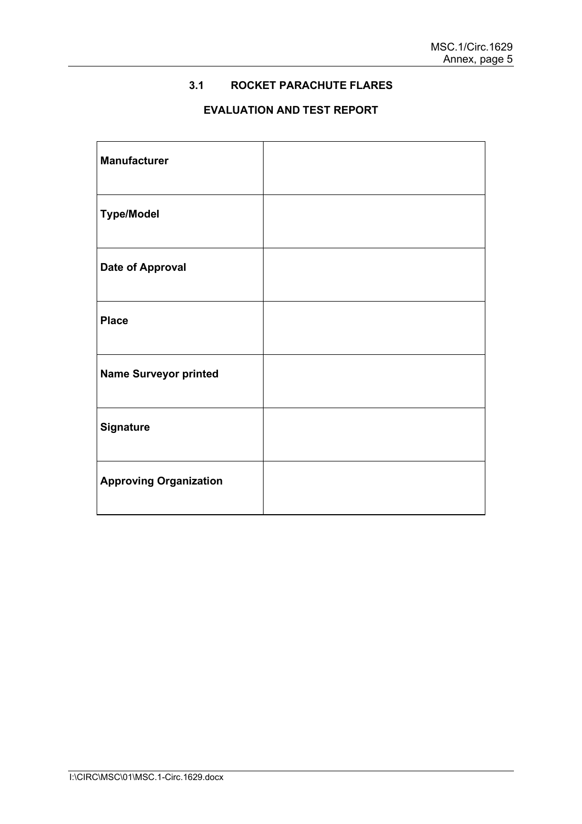# **3.1 ROCKET PARACHUTE FLARES**

# **EVALUATION AND TEST REPORT**

| <b>Manufacturer</b>           |  |
|-------------------------------|--|
| <b>Type/Model</b>             |  |
| <b>Date of Approval</b>       |  |
| <b>Place</b>                  |  |
| <b>Name Surveyor printed</b>  |  |
| <b>Signature</b>              |  |
| <b>Approving Organization</b> |  |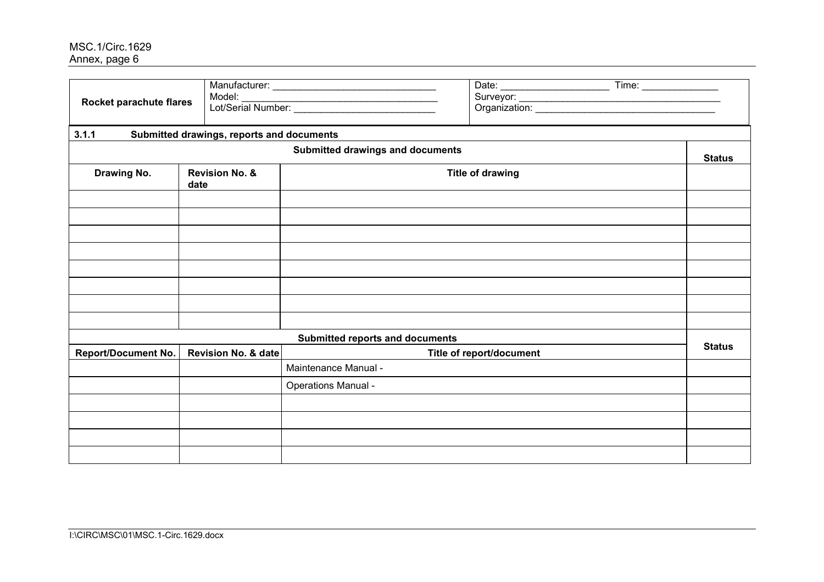| Rocket parachute flares    |      | Time:                                     |                                  |                          |               |
|----------------------------|------|-------------------------------------------|----------------------------------|--------------------------|---------------|
| 3.1.1                      |      | Submitted drawings, reports and documents |                                  |                          |               |
|                            |      |                                           | Submitted drawings and documents |                          | <b>Status</b> |
| Drawing No.                | date | <b>Revision No. &amp;</b>                 |                                  | <b>Title of drawing</b>  |               |
|                            |      |                                           |                                  |                          |               |
|                            |      |                                           |                                  |                          |               |
|                            |      |                                           |                                  |                          |               |
|                            |      |                                           |                                  |                          |               |
|                            |      |                                           |                                  |                          |               |
|                            |      |                                           |                                  |                          |               |
|                            |      |                                           |                                  |                          |               |
|                            |      |                                           |                                  |                          |               |
|                            |      |                                           | Submitted reports and documents  |                          | <b>Status</b> |
| <b>Report/Document No.</b> |      | Revision No. & date                       | Maintenance Manual -             | Title of report/document |               |
|                            |      |                                           |                                  |                          |               |
|                            |      |                                           | <b>Operations Manual -</b>       |                          |               |
|                            |      |                                           |                                  |                          |               |
|                            |      |                                           |                                  |                          |               |
|                            |      |                                           |                                  |                          |               |
|                            |      |                                           |                                  |                          |               |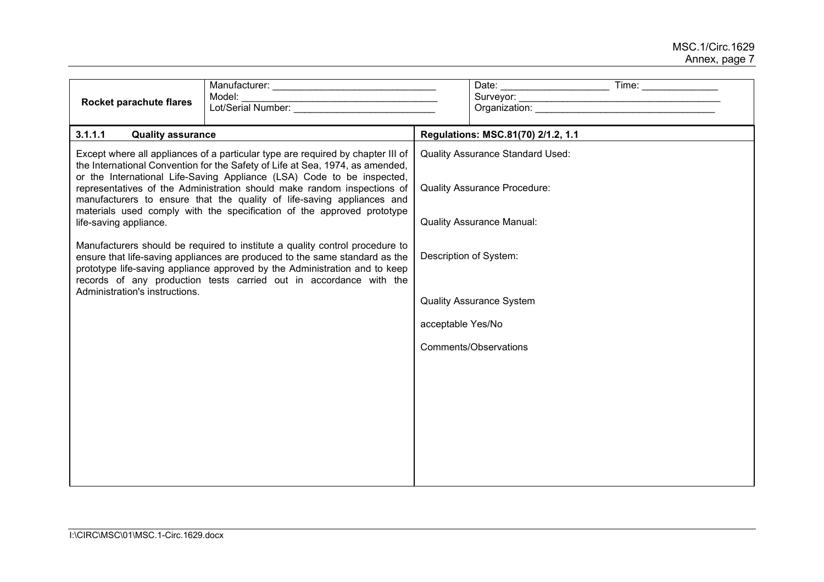| Rocket parachute flares                                  | Model:                                                                                                                                                                                                                                                                                                                                                                                                                                                                                                                                                                                                                                                                                                                                                                                       |                   |                                                                                                                                                                                                          |  |
|----------------------------------------------------------|----------------------------------------------------------------------------------------------------------------------------------------------------------------------------------------------------------------------------------------------------------------------------------------------------------------------------------------------------------------------------------------------------------------------------------------------------------------------------------------------------------------------------------------------------------------------------------------------------------------------------------------------------------------------------------------------------------------------------------------------------------------------------------------------|-------------------|----------------------------------------------------------------------------------------------------------------------------------------------------------------------------------------------------------|--|
|                                                          |                                                                                                                                                                                                                                                                                                                                                                                                                                                                                                                                                                                                                                                                                                                                                                                              |                   | Organization: example and a series of the series of the series of the series of the series of the series of the                                                                                          |  |
| 3.1.1.1<br><b>Quality assurance</b>                      |                                                                                                                                                                                                                                                                                                                                                                                                                                                                                                                                                                                                                                                                                                                                                                                              |                   | Regulations: MSC.81(70) 2/1.2, 1.1                                                                                                                                                                       |  |
| life-saving appliance.<br>Administration's instructions. | Except where all appliances of a particular type are required by chapter III of<br>the International Convention for the Safety of Life at Sea, 1974, as amended,<br>or the International Life-Saving Appliance (LSA) Code to be inspected,<br>representatives of the Administration should make random inspections of<br>manufacturers to ensure that the quality of life-saving appliances and<br>materials used comply with the specification of the approved prototype<br>Manufacturers should be required to institute a quality control procedure to<br>ensure that life-saving appliances are produced to the same standard as the<br>prototype life-saving appliance approved by the Administration and to keep<br>records of any production tests carried out in accordance with the | acceptable Yes/No | <b>Quality Assurance Standard Used:</b><br><b>Quality Assurance Procedure:</b><br><b>Quality Assurance Manual:</b><br>Description of System:<br><b>Quality Assurance System</b><br>Comments/Observations |  |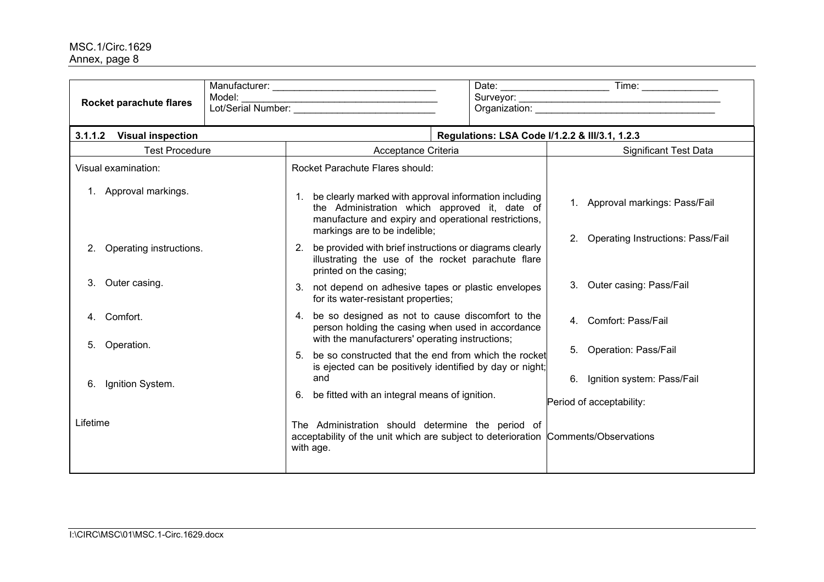|          | Rocket parachute flares  | Model: | Lot/Serial Number:                                                                                                                                                                              | Organization: New York Changes and Changes and Changes and Changes and Changes and Changes and Changes and Changes and Changes and Changes and Changes and Changes and Changes and Changes and Changes and Changes and Changes |  |  |  |
|----------|--------------------------|--------|-------------------------------------------------------------------------------------------------------------------------------------------------------------------------------------------------|--------------------------------------------------------------------------------------------------------------------------------------------------------------------------------------------------------------------------------|--|--|--|
| 3.1.1.2  | <b>Visual inspection</b> |        |                                                                                                                                                                                                 | Regulations: LSA Code I/1.2.2 & III/3.1, 1.2.3                                                                                                                                                                                 |  |  |  |
|          | <b>Test Procedure</b>    |        | Acceptance Criteria                                                                                                                                                                             | <b>Significant Test Data</b>                                                                                                                                                                                                   |  |  |  |
|          | Visual examination:      |        | <b>Rocket Parachute Flares should:</b>                                                                                                                                                          |                                                                                                                                                                                                                                |  |  |  |
|          | 1. Approval markings.    |        | be clearly marked with approval information including<br>the Administration which approved it, date of<br>manufacture and expiry and operational restrictions,<br>markings are to be indelible; | 1. Approval markings: Pass/Fail<br><b>Operating Instructions: Pass/Fail</b>                                                                                                                                                    |  |  |  |
|          | Operating instructions.  |        | be provided with brief instructions or diagrams clearly<br>2.<br>illustrating the use of the rocket parachute flare<br>printed on the casing;                                                   |                                                                                                                                                                                                                                |  |  |  |
| 3.       | Outer casing.            |        | not depend on adhesive tapes or plastic envelopes<br>3.<br>for its water-resistant properties;                                                                                                  | 3. Outer casing: Pass/Fail                                                                                                                                                                                                     |  |  |  |
| 4.       | Comfort.                 |        | be so designed as not to cause discomfort to the<br>4.<br>person holding the casing when used in accordance<br>with the manufacturers' operating instructions;                                  | 4. Comfort: Pass/Fail                                                                                                                                                                                                          |  |  |  |
| 5.       | Operation.               |        | be so constructed that the end from which the rocket<br>is ejected can be positively identified by day or night;                                                                                | 5. Operation: Pass/Fail                                                                                                                                                                                                        |  |  |  |
| 6.       | Ignition System.         |        | and<br>be fitted with an integral means of ignition.<br>6.                                                                                                                                      | 6. Ignition system: Pass/Fail<br>Period of acceptability:                                                                                                                                                                      |  |  |  |
| Lifetime |                          |        | The Administration should determine the period of<br>acceptability of the unit which are subject to deterioration Comments/Observations<br>with age.                                            |                                                                                                                                                                                                                                |  |  |  |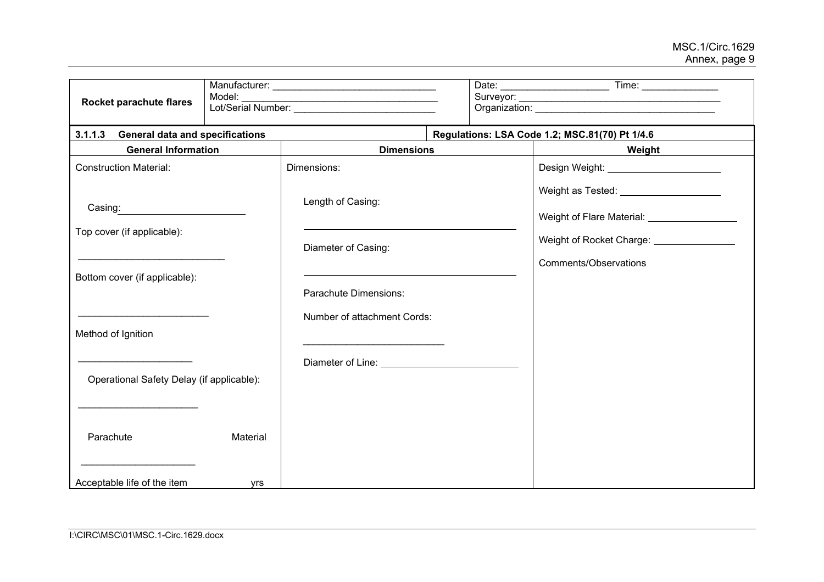| Rocket parachute flares                           | Model:          | Lot/Serial Number:                                                                                                                                                                                                                   |                                                                                        |  |  |  |  |
|---------------------------------------------------|-----------------|--------------------------------------------------------------------------------------------------------------------------------------------------------------------------------------------------------------------------------------|----------------------------------------------------------------------------------------|--|--|--|--|
| 3.1.1.3<br><b>General data and specifications</b> |                 |                                                                                                                                                                                                                                      | Regulations: LSA Code 1.2; MSC.81(70) Pt 1/4.6                                         |  |  |  |  |
| <b>General Information</b>                        |                 | <b>Dimensions</b>                                                                                                                                                                                                                    | Weight                                                                                 |  |  |  |  |
| <b>Construction Material:</b>                     |                 | Dimensions:                                                                                                                                                                                                                          | Design Weight: _______________________                                                 |  |  |  |  |
| Casing:                                           |                 | Length of Casing:                                                                                                                                                                                                                    | Weight as Tested: ___________________<br>Weight of Flare Material: ___________________ |  |  |  |  |
| Top cover (if applicable):                        |                 | Diameter of Casing:                                                                                                                                                                                                                  | Weight of Rocket Charge: ________________                                              |  |  |  |  |
| Bottom cover (if applicable):                     |                 | Parachute Dimensions:                                                                                                                                                                                                                | Comments/Observations                                                                  |  |  |  |  |
| Method of Ignition                                |                 | Number of attachment Cords:                                                                                                                                                                                                          |                                                                                        |  |  |  |  |
| Operational Safety Delay (if applicable):         |                 | Diameter of Line: <u>contract the contract of the contract of the contract of the contract of the contract of the contract of the contract of the contract of the contract of the contract of the contract of the contract of th</u> |                                                                                        |  |  |  |  |
| Parachute<br>Acceptable life of the item          | Material<br>yrs |                                                                                                                                                                                                                                      |                                                                                        |  |  |  |  |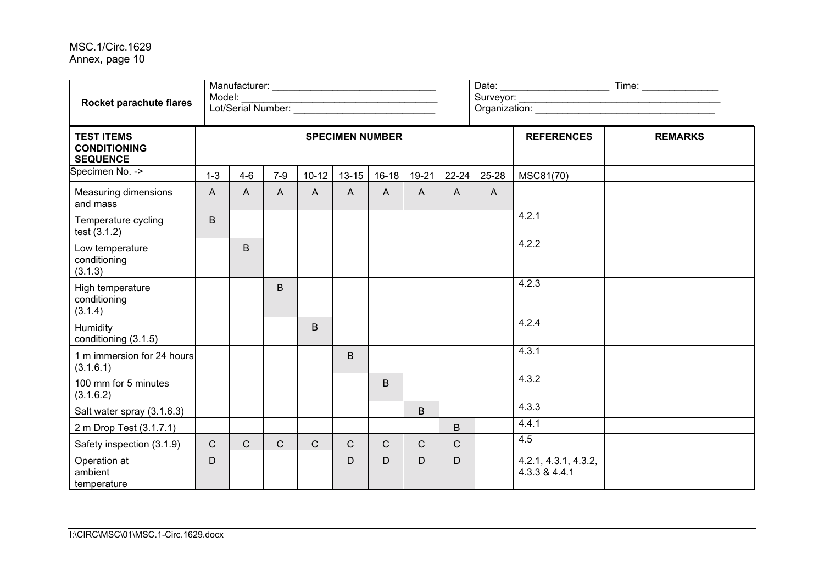| Rocket parachute flares                                     | Model:       |                        |              |              |                |              |                |              |                   |                                       |  |  |
|-------------------------------------------------------------|--------------|------------------------|--------------|--------------|----------------|--------------|----------------|--------------|-------------------|---------------------------------------|--|--|
| <b>TEST ITEMS</b><br><b>CONDITIONING</b><br><b>SEQUENCE</b> |              | <b>SPECIMEN NUMBER</b> |              |              |                |              |                |              | <b>REFERENCES</b> | <b>REMARKS</b>                        |  |  |
| Specimen No. ->                                             | $1 - 3$      | $4-6$                  | $7-9$        | $10 - 12$    | $13 - 15$      | $16 - 18$    | 19-21          | $22 - 24$    | 25-28             | MSC81(70)                             |  |  |
| <b>Measuring dimensions</b><br>and mass                     | $\mathsf{A}$ | $\mathsf{A}$           | $\mathsf{A}$ | $\mathsf{A}$ | $\overline{A}$ | $\mathsf{A}$ | $\overline{A}$ | $\mathsf{A}$ | $\overline{A}$    |                                       |  |  |
| Temperature cycling<br>test (3.1.2)                         | B            |                        |              |              |                |              |                |              |                   | 4.2.1                                 |  |  |
| Low temperature<br>conditioning<br>(3.1.3)                  |              | $\mathsf B$            |              |              |                |              |                |              |                   | 4.2.2                                 |  |  |
| High temperature<br>conditioning<br>(3.1.4)                 |              |                        | B            |              |                |              |                |              |                   | 4.2.3                                 |  |  |
| Humidity<br>conditioning (3.1.5)                            |              |                        |              | B            |                |              |                |              |                   | 4.2.4                                 |  |  |
| 1 m immersion for 24 hours<br>(3.1.6.1)                     |              |                        |              |              | B              |              |                |              |                   | 4.3.1                                 |  |  |
| 100 mm for 5 minutes<br>(3.1.6.2)                           |              |                        |              |              |                | B            |                |              |                   | 4.3.2                                 |  |  |
| Salt water spray (3.1.6.3)                                  |              |                        |              |              |                |              | B              |              |                   | 4.3.3                                 |  |  |
| 2 m Drop Test (3.1.7.1)                                     |              |                        |              |              |                |              |                | B            |                   | 4.4.1                                 |  |  |
| Safety inspection (3.1.9)                                   | $\mathsf{C}$ | $\mathsf{C}$           | $\mathsf{C}$ | $\mathsf{C}$ | $\mathsf{C}$   | $\mathsf{C}$ | $\mathsf{C}$   | $\mathsf{C}$ |                   | 4.5                                   |  |  |
| Operation at<br>ambient<br>temperature                      | D            |                        |              |              | D              | D            | D              | D            |                   | 4.2.1, 4.3.1, 4.3.2,<br>4.3.3 & 4.4.1 |  |  |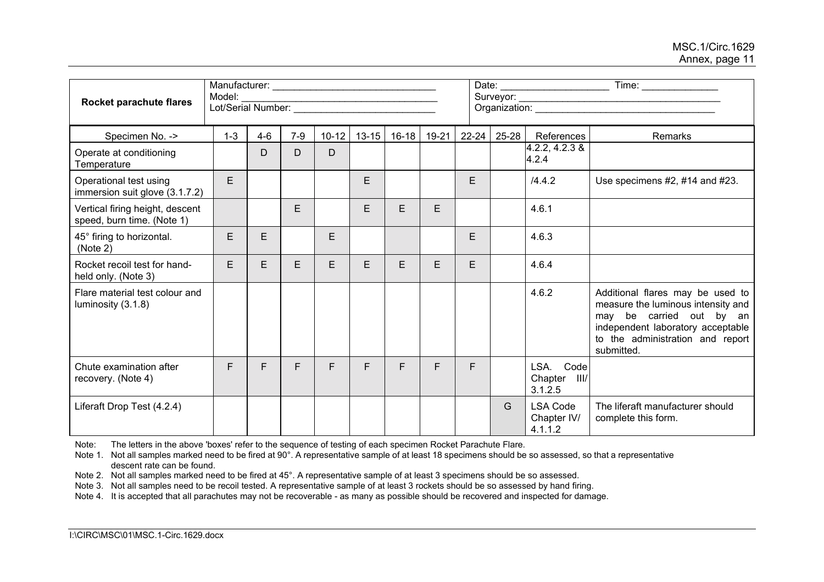|                                                               | Model:  |         |       |           |           |           |       |           |       |                                           |                                                                                                                                                                                           |
|---------------------------------------------------------------|---------|---------|-------|-----------|-----------|-----------|-------|-----------|-------|-------------------------------------------|-------------------------------------------------------------------------------------------------------------------------------------------------------------------------------------------|
| Rocket parachute flares                                       |         |         |       |           |           |           |       |           |       |                                           |                                                                                                                                                                                           |
| Specimen No. ->                                               | $1 - 3$ | $4 - 6$ | $7-9$ | $10 - 12$ | $13 - 15$ | $16 - 18$ | 19-21 | $22 - 24$ | 25-28 | References                                | Remarks                                                                                                                                                                                   |
| Operate at conditioning<br>Temperature                        |         | D       | D     | D         |           |           |       |           |       | $4.2.2, 4.2.3$ &<br>4.2.4                 |                                                                                                                                                                                           |
| Operational test using<br>immersion suit glove (3.1.7.2)      | E.      |         |       |           | E         |           |       | E         |       | /4.4.2                                    | Use specimens #2, #14 and #23.                                                                                                                                                            |
| Vertical firing height, descent<br>speed, burn time. (Note 1) |         |         | E     |           | E         | E         | E     |           |       | 4.6.1                                     |                                                                                                                                                                                           |
| 45° firing to horizontal.<br>(Note 2)                         | E       | E       |       | E         |           |           |       | E         |       | 4.6.3                                     |                                                                                                                                                                                           |
| Rocket recoil test for hand-<br>held only. (Note 3)           | E       | E       | E     | E         | E         | E         | E     | E.        |       | 4.6.4                                     |                                                                                                                                                                                           |
| Flare material test colour and<br>luminosity (3.1.8)          |         |         |       |           |           |           |       |           |       | 4.6.2                                     | Additional flares may be used to<br>measure the luminous intensity and<br>may be carried out by an<br>independent laboratory acceptable<br>to the administration and report<br>submitted. |
| Chute examination after<br>recovery. (Note 4)                 | F.      | F       | F.    | F         | F         | F         | F     | F.        |       | LSA. Code<br>Chapter III/<br>3.1.2.5      |                                                                                                                                                                                           |
| Liferaft Drop Test (4.2.4)                                    |         |         |       |           |           |           |       |           | G     | <b>LSA Code</b><br>Chapter IV/<br>4.1.1.2 | The liferaft manufacturer should<br>complete this form.                                                                                                                                   |

Note: The letters in the above 'boxes' refer to the sequence of testing of each specimen Rocket Parachute Flare.

Note 1. Not all samples marked need to be fired at 90°. A representative sample of at least 18 specimens should be so assessed, so that a representative descent rate can be found.

Note 2. Not all samples marked need to be fired at 45°. A representative sample of at least 3 specimens should be so assessed.

Note 3. Not all samples need to be recoil tested. A representative sample of at least 3 rockets should be so assessed by hand firing.

Note 4. It is accepted that all parachutes may not be recoverable - as many as possible should be recovered and inspected for damage.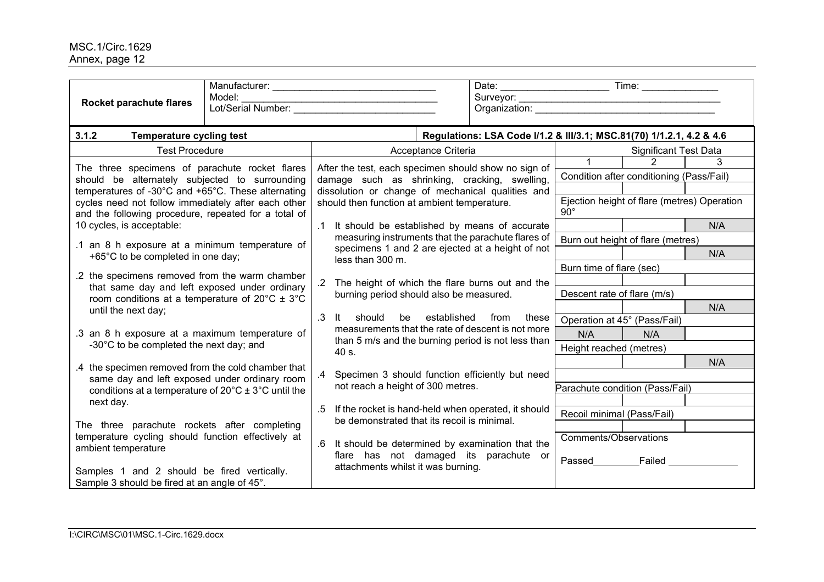| Rocket parachute flares                                                                                                                                                                                                                                                                     | Model: |                                                      |                                                                                                                                                                                                                                       | Date: Time: Time: Time: 2011                                                                                              |                              |     |
|---------------------------------------------------------------------------------------------------------------------------------------------------------------------------------------------------------------------------------------------------------------------------------------------|--------|------------------------------------------------------|---------------------------------------------------------------------------------------------------------------------------------------------------------------------------------------------------------------------------------------|---------------------------------------------------------------------------------------------------------------------------|------------------------------|-----|
| 3.1.2<br><b>Temperature cycling test</b>                                                                                                                                                                                                                                                    |        |                                                      | Regulations: LSA Code I/1.2 & III/3.1; MSC.81(70) 1/1.2.1, 4.2 & 4.6                                                                                                                                                                  |                                                                                                                           |                              |     |
| <b>Test Procedure</b>                                                                                                                                                                                                                                                                       |        |                                                      | Acceptance Criteria                                                                                                                                                                                                                   |                                                                                                                           | <b>Significant Test Data</b> |     |
| The three specimens of parachute rocket flares<br>should be alternately subjected to surrounding<br>temperatures of -30°C and +65°C. These alternating<br>cycles need not follow immediately after each other                                                                               |        | should then function at ambient temperature.         | After the test, each specimen should show no sign of<br>damage such as shrinking, cracking, swelling,<br>dissolution or change of mechanical qualities and                                                                            | $1 \quad$<br>Condition after conditioning (Pass/Fail)<br>Ejection height of flare (metres) Operation                      | $\overline{2}$               |     |
| and the following procedure, repeated for a total of                                                                                                                                                                                                                                        |        |                                                      |                                                                                                                                                                                                                                       | $90^{\circ}$                                                                                                              |                              |     |
| 10 cycles, is acceptable:<br>.1 an 8 h exposure at a minimum temperature of                                                                                                                                                                                                                 |        |                                                      | It should be established by means of accurate<br>measuring instruments that the parachute flares of<br>specimens 1 and 2 are ejected at a height of not                                                                               | Burn out height of flare (metres)                                                                                         |                              | N/A |
| +65°C to be completed in one day;                                                                                                                                                                                                                                                           |        | less than 300 m.                                     |                                                                                                                                                                                                                                       |                                                                                                                           |                              | N/A |
| .2 the specimens removed from the warm chamber<br>that same day and left exposed under ordinary<br>room conditions at a temperature of $20^{\circ}$ C $\pm$ 3°C<br>until the next day;<br>.3 an 8 h exposure at a maximum temperature of<br>-30°C to be completed the next day; and         |        | $\cdot$ 3<br>should<br>lt.<br>be                     | The height of which the flare burns out and the<br>burning period should also be measured.<br>established<br>from<br>these<br>measurements that the rate of descent is not more<br>than 5 m/s and the burning period is not less than | Burn time of flare (sec)<br>Descent rate of flare (m/s)<br>Operation at 45° (Pass/Fail)<br>N/A<br>Height reached (metres) | N/A                          | N/A |
| .4 the specimen removed from the cold chamber that<br>same day and left exposed under ordinary room<br>conditions at a temperature of $20^{\circ}$ C $\pm$ 3°C until the<br>next day.<br>The three parachute rockets after completing<br>temperature cycling should function effectively at |        | 40 s.<br>not reach a height of 300 metres.<br>$.5\,$ | Specimen 3 should function efficiently but need<br>If the rocket is hand-held when operated, it should<br>be demonstrated that its recoil is minimal.                                                                                 | Parachute condition (Pass/Fail)<br>Recoil minimal (Pass/Fail)<br>Comments/Observations                                    |                              | N/A |
| ambient temperature<br>Samples 1 and 2 should be fired vertically.<br>Sample 3 should be fired at an angle of 45°.                                                                                                                                                                          |        | attachments whilst it was burning.                   | It should be determined by examination that the<br>flare has not damaged its parachute or                                                                                                                                             | Passed Failed                                                                                                             |                              |     |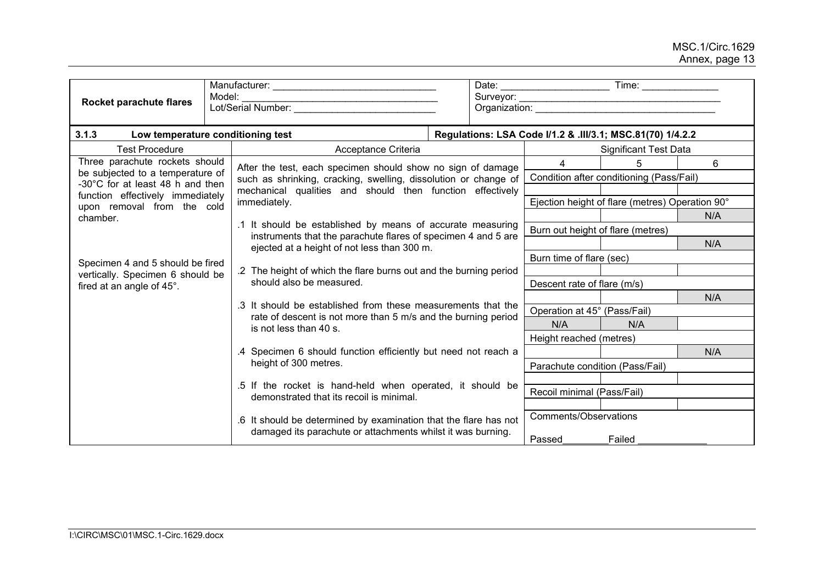| Rocket parachute flares                                              | Model:<br><u> 1989 - Johann Stoff, skriuwer en fan it ferstjer fan it ferstjer fan it ferstjer fan it ferstjer fan it fers</u><br>Lot/Serial Number: |  |                             |                                   |                                                            |     |  |
|----------------------------------------------------------------------|------------------------------------------------------------------------------------------------------------------------------------------------------|--|-----------------------------|-----------------------------------|------------------------------------------------------------|-----|--|
| 3.1.3<br>Low temperature conditioning test                           |                                                                                                                                                      |  |                             |                                   | Regulations: LSA Code I/1.2 & .III/3.1; MSC.81(70) 1/4.2.2 |     |  |
| <b>Test Procedure</b>                                                | Acceptance Criteria                                                                                                                                  |  |                             |                                   | <b>Significant Test Data</b>                               |     |  |
| Three parachute rockets should                                       | After the test, each specimen should show no sign of damage                                                                                          |  |                             | 4                                 | 5                                                          | 6   |  |
| be subjected to a temperature of<br>-30°C for at least 48 h and then | such as shrinking, cracking, swelling, dissolution or change of                                                                                      |  |                             |                                   | Condition after conditioning (Pass/Fail)                   |     |  |
| function effectively immediately                                     | mechanical qualities and should then function effectively<br>immediately.                                                                            |  |                             |                                   |                                                            |     |  |
| upon removal from the cold                                           |                                                                                                                                                      |  |                             |                                   | Ejection height of flare (metres) Operation 90°            |     |  |
| chamber.                                                             | .1 It should be established by means of accurate measuring                                                                                           |  |                             |                                   | N/A                                                        |     |  |
|                                                                      | instruments that the parachute flares of specimen 4 and 5 are                                                                                        |  |                             | Burn out height of flare (metres) |                                                            |     |  |
|                                                                      | ejected at a height of not less than 300 m.                                                                                                          |  |                             |                                   | N/A                                                        |     |  |
| Specimen 4 and 5 should be fired                                     |                                                                                                                                                      |  |                             | Burn time of flare (sec)          |                                                            |     |  |
| vertically. Specimen 6 should be                                     | .2 The height of which the flare burns out and the burning period                                                                                    |  |                             |                                   |                                                            |     |  |
| fired at an angle of 45°.                                            | should also be measured.                                                                                                                             |  | Descent rate of flare (m/s) |                                   |                                                            |     |  |
|                                                                      | .3 It should be established from these measurements that the                                                                                         |  |                             |                                   |                                                            | N/A |  |
|                                                                      | rate of descent is not more than 5 m/s and the burning period                                                                                        |  |                             | Operation at 45° (Pass/Fail)      |                                                            |     |  |
|                                                                      | is not less than 40 s.                                                                                                                               |  |                             | N/A                               | N/A                                                        |     |  |
|                                                                      |                                                                                                                                                      |  |                             | Height reached (metres)           |                                                            |     |  |
|                                                                      | .4 Specimen 6 should function efficiently but need not reach a<br>height of 300 metres.                                                              |  |                             |                                   |                                                            | N/A |  |
|                                                                      |                                                                                                                                                      |  |                             | Parachute condition (Pass/Fail)   |                                                            |     |  |
|                                                                      | .5 If the rocket is hand-held when operated, it should be<br>demonstrated that its recoil is minimal.                                                |  |                             | Recoil minimal (Pass/Fail)        |                                                            |     |  |
|                                                                      | .6 It should be determined by examination that the flare has not                                                                                     |  |                             | Comments/Observations             |                                                            |     |  |
|                                                                      | damaged its parachute or attachments whilst it was burning.                                                                                          |  |                             | Passed                            | Failed                                                     |     |  |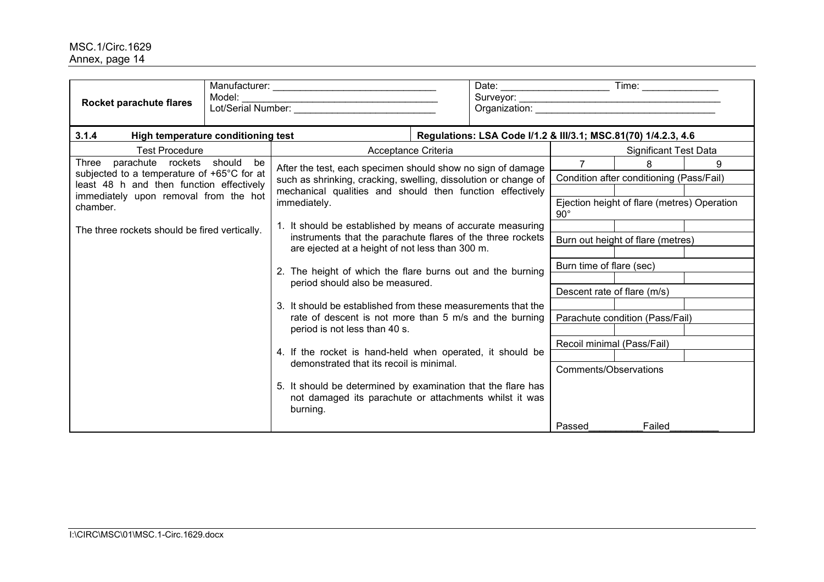| Rocket parachute flares                                                           | Model:                                       | Lot/Serial Number:                                                                                                                                                          |  |                                                                |                             |                                             |   |
|-----------------------------------------------------------------------------------|----------------------------------------------|-----------------------------------------------------------------------------------------------------------------------------------------------------------------------------|--|----------------------------------------------------------------|-----------------------------|---------------------------------------------|---|
| 3.1.4<br>High temperature conditioning test                                       |                                              |                                                                                                                                                                             |  | Regulations: LSA Code I/1.2 & III/3.1; MSC.81(70) 1/4.2.3, 4.6 |                             |                                             |   |
|                                                                                   | <b>Test Procedure</b><br>Acceptance Criteria |                                                                                                                                                                             |  |                                                                |                             | <b>Significant Test Data</b>                |   |
| parachute rockets should be<br>Three                                              |                                              | After the test, each specimen should show no sign of damage                                                                                                                 |  |                                                                |                             | 8                                           | 9 |
| subjected to a temperature of +65°C for at                                        |                                              | such as shrinking, cracking, swelling, dissolution or change of                                                                                                             |  |                                                                |                             | Condition after conditioning (Pass/Fail)    |   |
| least 48 h and then function effectively<br>immediately upon removal from the hot |                                              | mechanical qualities and should then function effectively                                                                                                                   |  |                                                                |                             |                                             |   |
| chamber.                                                                          |                                              | immediately.                                                                                                                                                                |  |                                                                | $90^{\circ}$                | Ejection height of flare (metres) Operation |   |
| The three rockets should be fired vertically.                                     |                                              | 1. It should be established by means of accurate measuring<br>instruments that the parachute flares of the three rockets<br>are ejected at a height of not less than 300 m. |  |                                                                |                             |                                             |   |
|                                                                                   |                                              |                                                                                                                                                                             |  |                                                                |                             | Burn out height of flare (metres)           |   |
|                                                                                   |                                              |                                                                                                                                                                             |  |                                                                |                             |                                             |   |
|                                                                                   |                                              | 2. The height of which the flare burns out and the burning<br>period should also be measured.                                                                               |  |                                                                | Burn time of flare (sec)    |                                             |   |
|                                                                                   |                                              |                                                                                                                                                                             |  |                                                                |                             |                                             |   |
|                                                                                   |                                              |                                                                                                                                                                             |  |                                                                | Descent rate of flare (m/s) |                                             |   |
|                                                                                   |                                              | 3. It should be established from these measurements that the                                                                                                                |  |                                                                |                             |                                             |   |
|                                                                                   |                                              | rate of descent is not more than 5 m/s and the burning<br>period is not less than 40 s.                                                                                     |  |                                                                |                             | Parachute condition (Pass/Fail)             |   |
|                                                                                   |                                              |                                                                                                                                                                             |  |                                                                |                             | Recoil minimal (Pass/Fail)                  |   |
|                                                                                   |                                              | 4. If the rocket is hand-held when operated, it should be                                                                                                                   |  |                                                                |                             |                                             |   |
|                                                                                   |                                              | demonstrated that its recoil is minimal.                                                                                                                                    |  |                                                                |                             | <b>Comments/Observations</b>                |   |
|                                                                                   |                                              | 5. It should be determined by examination that the flare has<br>not damaged its parachute or attachments whilst it was<br>burning.                                          |  |                                                                |                             |                                             |   |
|                                                                                   |                                              |                                                                                                                                                                             |  |                                                                | Passed                      | Failed                                      |   |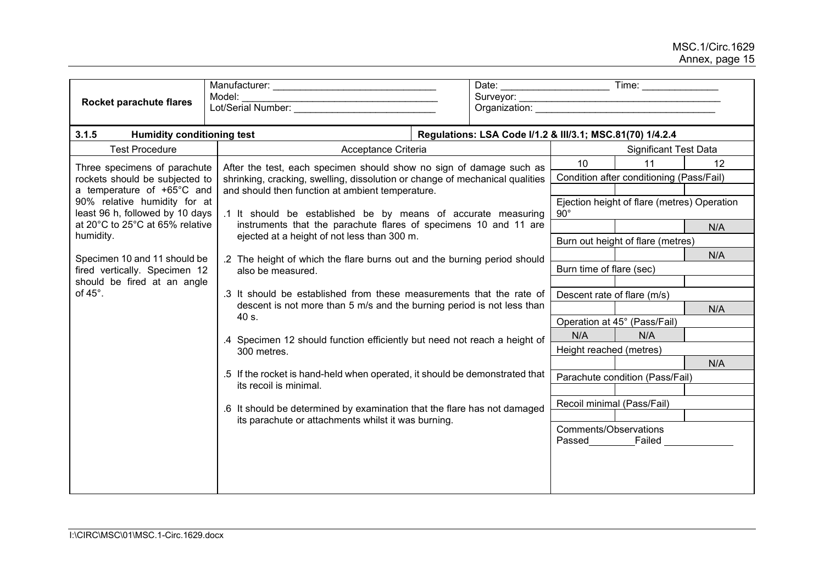| Rocket parachute flares                                         | Model:                                                                                                                                         | Date: Time: Time:                                           |  |  |  |  |
|-----------------------------------------------------------------|------------------------------------------------------------------------------------------------------------------------------------------------|-------------------------------------------------------------|--|--|--|--|
| 3.1.5<br><b>Humidity conditioning test</b>                      |                                                                                                                                                | Regulations: LSA Code I/1.2 & III/3.1; MSC.81(70) 1/4.2.4   |  |  |  |  |
| <b>Test Procedure</b>                                           | Acceptance Criteria                                                                                                                            | <b>Significant Test Data</b>                                |  |  |  |  |
| Three specimens of parachute                                    | After the test, each specimen should show no sign of damage such as                                                                            | 11<br>12<br>10                                              |  |  |  |  |
| rockets should be subjected to                                  | shrinking, cracking, swelling, dissolution or change of mechanical qualities                                                                   | Condition after conditioning (Pass/Fail)                    |  |  |  |  |
| a temperature of +65°C and                                      | and should then function at ambient temperature.                                                                                               |                                                             |  |  |  |  |
| 90% relative humidity for at<br>least 96 h, followed by 10 days | .1 It should be established be by means of accurate measuring                                                                                  | Ejection height of flare (metres) Operation<br>$90^{\circ}$ |  |  |  |  |
| at 20°C to 25°C at 65% relative                                 | instruments that the parachute flares of specimens 10 and 11 are                                                                               | N/A                                                         |  |  |  |  |
| humidity.                                                       | ejected at a height of not less than 300 m.                                                                                                    | Burn out height of flare (metres)                           |  |  |  |  |
| Specimen 10 and 11 should be                                    | .2 The height of which the flare burns out and the burning period should                                                                       | N/A                                                         |  |  |  |  |
| fired vertically. Specimen 12                                   | also be measured.                                                                                                                              | Burn time of flare (sec)                                    |  |  |  |  |
| should be fired at an angle                                     |                                                                                                                                                |                                                             |  |  |  |  |
| of $45^\circ$ .                                                 | .3 It should be established from these measurements that the rate of<br>descent is not more than 5 m/s and the burning period is not less than | Descent rate of flare (m/s)                                 |  |  |  |  |
|                                                                 | 40 s.                                                                                                                                          | N/A                                                         |  |  |  |  |
|                                                                 |                                                                                                                                                | Operation at 45° (Pass/Fail)<br>N/A<br>N/A                  |  |  |  |  |
|                                                                 | .4 Specimen 12 should function efficiently but need not reach a height of                                                                      | Height reached (metres)                                     |  |  |  |  |
|                                                                 | 300 metres.                                                                                                                                    | N/A                                                         |  |  |  |  |
|                                                                 | .5 If the rocket is hand-held when operated, it should be demonstrated that                                                                    | Parachute condition (Pass/Fail)                             |  |  |  |  |
|                                                                 | its recoil is minimal.                                                                                                                         |                                                             |  |  |  |  |
|                                                                 | .6 It should be determined by examination that the flare has not damaged                                                                       | Recoil minimal (Pass/Fail)                                  |  |  |  |  |
|                                                                 | its parachute or attachments whilst it was burning.                                                                                            |                                                             |  |  |  |  |
|                                                                 |                                                                                                                                                | Comments/Observations<br>Passed<br>Failed                   |  |  |  |  |
|                                                                 |                                                                                                                                                |                                                             |  |  |  |  |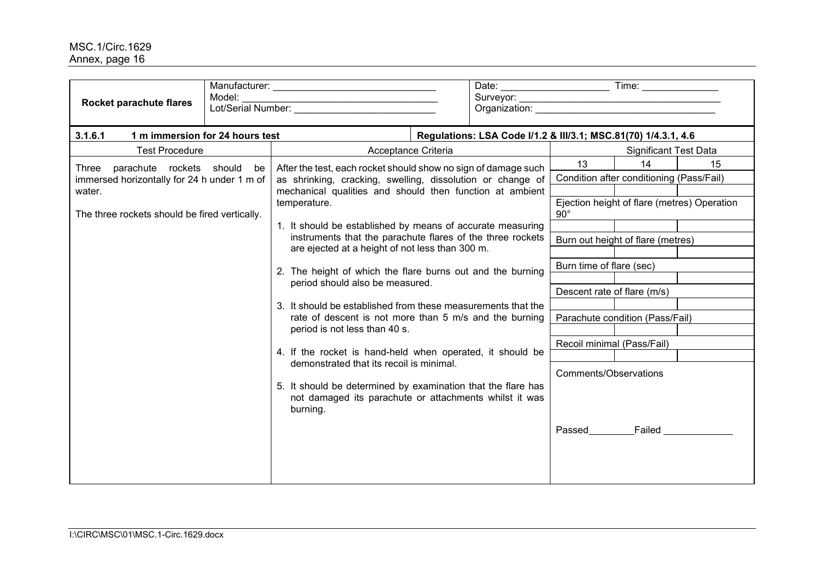| Rocket parachute flares                                                                                                                     | Model: |                                                                                                                                                                                                                                                                                                                                                                                                                                                                                                                                                                                                                                                                                                                                                                                                                                                                                                    |  |                                                                |                                                                                                                                    |                                                                                                                                                                       |    |  |
|---------------------------------------------------------------------------------------------------------------------------------------------|--------|----------------------------------------------------------------------------------------------------------------------------------------------------------------------------------------------------------------------------------------------------------------------------------------------------------------------------------------------------------------------------------------------------------------------------------------------------------------------------------------------------------------------------------------------------------------------------------------------------------------------------------------------------------------------------------------------------------------------------------------------------------------------------------------------------------------------------------------------------------------------------------------------------|--|----------------------------------------------------------------|------------------------------------------------------------------------------------------------------------------------------------|-----------------------------------------------------------------------------------------------------------------------------------------------------------------------|----|--|
| 3.1.6.1<br>1 m immersion for 24 hours test                                                                                                  |        |                                                                                                                                                                                                                                                                                                                                                                                                                                                                                                                                                                                                                                                                                                                                                                                                                                                                                                    |  | Regulations: LSA Code I/1.2 & III/3.1; MSC.81(70) 1/4.3.1, 4.6 |                                                                                                                                    |                                                                                                                                                                       |    |  |
| <b>Test Procedure</b>                                                                                                                       |        | Acceptance Criteria<br><b>Significant Test Data</b>                                                                                                                                                                                                                                                                                                                                                                                                                                                                                                                                                                                                                                                                                                                                                                                                                                                |  |                                                                |                                                                                                                                    |                                                                                                                                                                       |    |  |
| Three parachute rockets should be<br>immersed horizontally for 24 h under 1 m of<br>water.<br>The three rockets should be fired vertically. |        | After the test, each rocket should show no sign of damage such<br>as shrinking, cracking, swelling, dissolution or change of<br>mechanical qualities and should then function at ambient<br>temperature.<br>1. It should be established by means of accurate measuring<br>instruments that the parachute flares of the three rockets<br>are ejected at a height of not less than 300 m.<br>2. The height of which the flare burns out and the burning<br>period should also be measured.<br>3. It should be established from these measurements that the<br>rate of descent is not more than 5 m/s and the burning<br>period is not less than 40 s.<br>4. If the rocket is hand-held when operated, it should be<br>demonstrated that its recoil is minimal.<br>5. It should be determined by examination that the flare has<br>not damaged its parachute or attachments whilst it was<br>burning. |  |                                                                | 13<br>$90^\circ$<br>Burn time of flare (sec)<br>Descent rate of flare (m/s)<br>Recoil minimal (Pass/Fail)<br>Comments/Observations | 14<br>Condition after conditioning (Pass/Fail)<br>Ejection height of flare (metres) Operation<br>Burn out height of flare (metres)<br>Parachute condition (Pass/Fail) | 15 |  |
|                                                                                                                                             |        |                                                                                                                                                                                                                                                                                                                                                                                                                                                                                                                                                                                                                                                                                                                                                                                                                                                                                                    |  |                                                                |                                                                                                                                    | Passed Failed                                                                                                                                                         |    |  |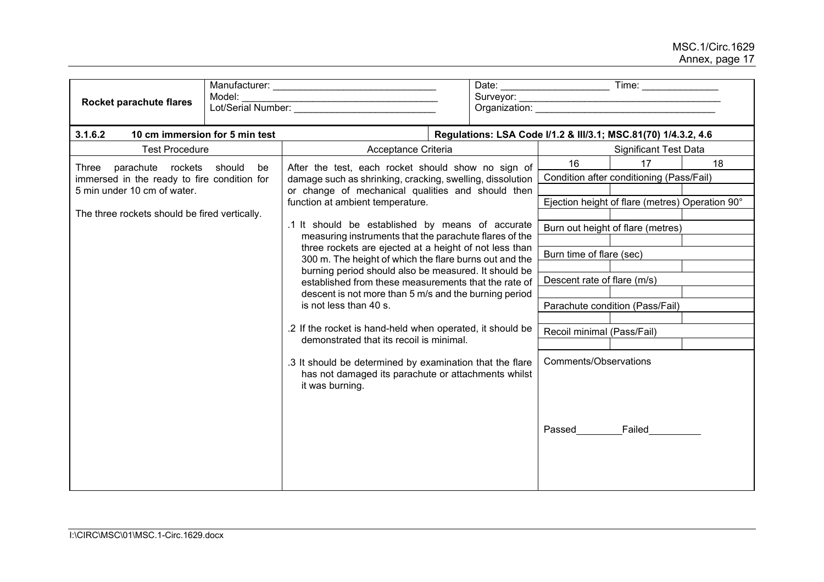| Rocket parachute flares                       | Model:<br>Lot/Serial Number:                                                                                                                 |                                                                                                                                    |                                                      |                       |                             |                                                                |    |
|-----------------------------------------------|----------------------------------------------------------------------------------------------------------------------------------------------|------------------------------------------------------------------------------------------------------------------------------------|------------------------------------------------------|-----------------------|-----------------------------|----------------------------------------------------------------|----|
| 3.1.6.2                                       | 10 cm immersion for 5 min test                                                                                                               |                                                                                                                                    |                                                      |                       |                             | Regulations: LSA Code I/1.2 & III/3.1; MSC.81(70) 1/4.3.2, 4.6 |    |
| <b>Test Procedure</b>                         |                                                                                                                                              | Acceptance Criteria                                                                                                                |                                                      |                       |                             | <b>Significant Test Data</b>                                   |    |
| Three parachute rockets should                | be                                                                                                                                           | After the test, each rocket should show no sign of                                                                                 |                                                      |                       | 16                          | 17                                                             | 18 |
| immersed in the ready to fire condition for   |                                                                                                                                              | damage such as shrinking, cracking, swelling, dissolution                                                                          |                                                      |                       |                             | Condition after conditioning (Pass/Fail)                       |    |
| 5 min under 10 cm of water.                   |                                                                                                                                              | or change of mechanical qualities and should then                                                                                  |                                                      |                       |                             |                                                                |    |
| The three rockets should be fired vertically. |                                                                                                                                              | function at ambient temperature.                                                                                                   |                                                      |                       |                             | Ejection height of flare (metres) Operation 90°                |    |
|                                               |                                                                                                                                              | .1 It should be established by means of accurate                                                                                   |                                                      |                       |                             | Burn out height of flare (metres)                              |    |
|                                               |                                                                                                                                              | measuring instruments that the parachute flares of the                                                                             |                                                      |                       |                             |                                                                |    |
|                                               | three rockets are ejected at a height of not less than<br>Burn time of flare (sec)<br>300 m. The height of which the flare burns out and the |                                                                                                                                    |                                                      |                       |                             |                                                                |    |
|                                               |                                                                                                                                              | burning period should also be measured. It should be                                                                               |                                                      |                       |                             |                                                                |    |
|                                               |                                                                                                                                              |                                                                                                                                    | established from these measurements that the rate of |                       | Descent rate of flare (m/s) |                                                                |    |
|                                               |                                                                                                                                              | descent is not more than 5 m/s and the burning period                                                                              |                                                      |                       |                             |                                                                |    |
|                                               |                                                                                                                                              | is not less than 40 s.                                                                                                             |                                                      |                       |                             | Parachute condition (Pass/Fail)                                |    |
|                                               |                                                                                                                                              | .2 If the rocket is hand-held when operated, it should be<br>demonstrated that its recoil is minimal.                              |                                                      |                       | Recoil minimal (Pass/Fail)  |                                                                |    |
|                                               |                                                                                                                                              |                                                                                                                                    |                                                      |                       |                             |                                                                |    |
|                                               |                                                                                                                                              | .3 It should be determined by examination that the flare<br>has not damaged its parachute or attachments whilst<br>it was burning. |                                                      | Comments/Observations |                             |                                                                |    |
|                                               |                                                                                                                                              |                                                                                                                                    |                                                      |                       | Passed                      | Failed                                                         |    |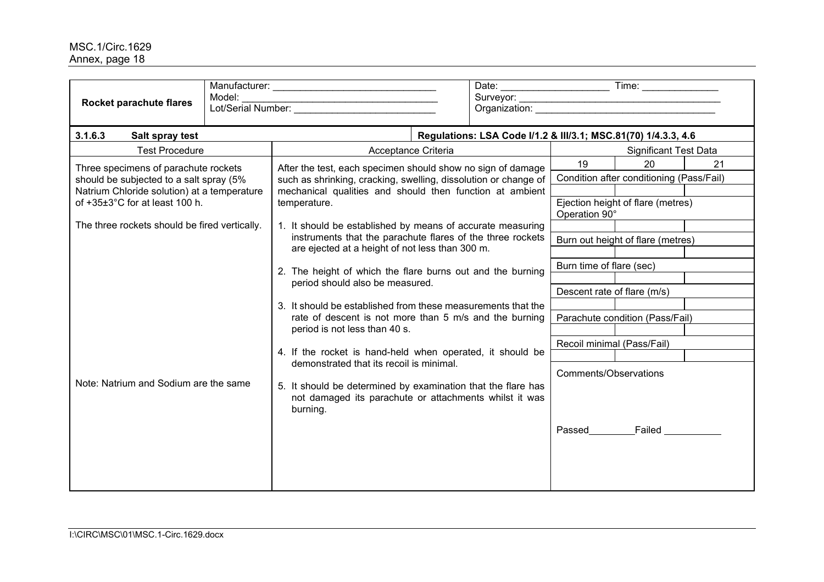| Model:<br>Rocket parachute flares                                                                                              |                                                                                                                                                                                            |                                                                |  |  |  |  |  |
|--------------------------------------------------------------------------------------------------------------------------------|--------------------------------------------------------------------------------------------------------------------------------------------------------------------------------------------|----------------------------------------------------------------|--|--|--|--|--|
|                                                                                                                                |                                                                                                                                                                                            |                                                                |  |  |  |  |  |
| 3.1.6.3<br>Salt spray test                                                                                                     |                                                                                                                                                                                            | Regulations: LSA Code I/1.2 & III/3.1; MSC.81(70) 1/4.3.3, 4.6 |  |  |  |  |  |
| <b>Test Procedure</b>                                                                                                          | Acceptance Criteria                                                                                                                                                                        | <b>Significant Test Data</b>                                   |  |  |  |  |  |
| Three specimens of parachute rockets<br>should be subjected to a salt spray (5%<br>Natrium Chloride solution) at a temperature | After the test, each specimen should show no sign of damage<br>such as shrinking, cracking, swelling, dissolution or change of<br>mechanical qualities and should then function at ambient | 19<br>20<br>21<br>Condition after conditioning (Pass/Fail)     |  |  |  |  |  |
| of +35±3°C for at least 100 h.                                                                                                 | temperature.                                                                                                                                                                               | Ejection height of flare (metres)<br>Operation 90°             |  |  |  |  |  |
| The three rockets should be fired vertically.                                                                                  | 1. It should be established by means of accurate measuring<br>instruments that the parachute flares of the three rockets                                                                   | Burn out height of flare (metres)                              |  |  |  |  |  |
|                                                                                                                                | are ejected at a height of not less than 300 m.                                                                                                                                            | Burn time of flare (sec)                                       |  |  |  |  |  |
|                                                                                                                                | 2. The height of which the flare burns out and the burning                                                                                                                                 |                                                                |  |  |  |  |  |
|                                                                                                                                | period should also be measured.                                                                                                                                                            | Descent rate of flare (m/s)                                    |  |  |  |  |  |
|                                                                                                                                | 3. It should be established from these measurements that the                                                                                                                               |                                                                |  |  |  |  |  |
|                                                                                                                                | rate of descent is not more than 5 m/s and the burning<br>period is not less than 40 s.                                                                                                    | Parachute condition (Pass/Fail)                                |  |  |  |  |  |
|                                                                                                                                |                                                                                                                                                                                            | Recoil minimal (Pass/Fail)                                     |  |  |  |  |  |
|                                                                                                                                | 4. If the rocket is hand-held when operated, it should be                                                                                                                                  |                                                                |  |  |  |  |  |
| Note: Natrium and Sodium are the same                                                                                          | demonstrated that its recoil is minimal.                                                                                                                                                   | Comments/Observations                                          |  |  |  |  |  |
|                                                                                                                                | 5. It should be determined by examination that the flare has<br>not damaged its parachute or attachments whilst it was<br>burning.                                                         |                                                                |  |  |  |  |  |
|                                                                                                                                |                                                                                                                                                                                            | Passed Failed                                                  |  |  |  |  |  |
|                                                                                                                                |                                                                                                                                                                                            |                                                                |  |  |  |  |  |
|                                                                                                                                |                                                                                                                                                                                            |                                                                |  |  |  |  |  |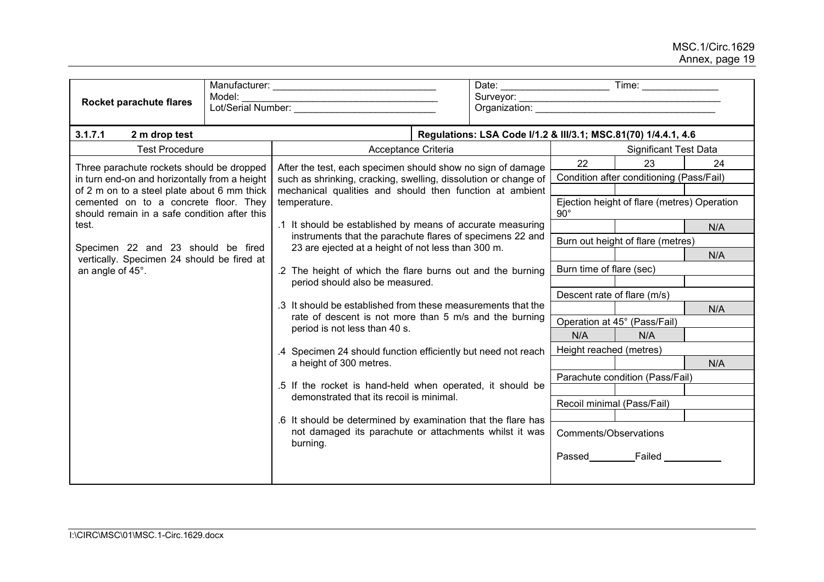| Rocket parachute flares                                                                                                              | Model: |                                                                                                                                                                                                                                                                                                                           |                                                                |                                   | Organization: experience of the control of the control of the control of the control of the control of the control of the control of the control of the control of the control of the control of the control of the control of |     |  |
|--------------------------------------------------------------------------------------------------------------------------------------|--------|---------------------------------------------------------------------------------------------------------------------------------------------------------------------------------------------------------------------------------------------------------------------------------------------------------------------------|----------------------------------------------------------------|-----------------------------------|--------------------------------------------------------------------------------------------------------------------------------------------------------------------------------------------------------------------------------|-----|--|
| 3.1.7.1<br>2 m drop test                                                                                                             |        |                                                                                                                                                                                                                                                                                                                           | Regulations: LSA Code I/1.2 & III/3.1; MSC.81(70) 1/4.4.1, 4.6 |                                   |                                                                                                                                                                                                                                |     |  |
| <b>Test Procedure</b>                                                                                                                |        | Acceptance Criteria                                                                                                                                                                                                                                                                                                       |                                                                |                                   | <b>Significant Test Data</b>                                                                                                                                                                                                   |     |  |
| Three parachute rockets should be dropped                                                                                            |        | After the test, each specimen should show no sign of damage                                                                                                                                                                                                                                                               |                                                                | 22                                | 23                                                                                                                                                                                                                             | 24  |  |
| in turn end-on and horizontally from a height                                                                                        |        | such as shrinking, cracking, swelling, dissolution or change of                                                                                                                                                                                                                                                           |                                                                |                                   | Condition after conditioning (Pass/Fail)                                                                                                                                                                                       |     |  |
| of 2 m on to a steel plate about 6 mm thick<br>cemented on to a concrete floor. They<br>should remain in a safe condition after this |        | mechanical qualities and should then function at ambient<br>temperature.                                                                                                                                                                                                                                                  |                                                                | $90^\circ$                        | Ejection height of flare (metres) Operation                                                                                                                                                                                    |     |  |
| test.                                                                                                                                |        | .1 It should be established by means of accurate measuring                                                                                                                                                                                                                                                                |                                                                |                                   |                                                                                                                                                                                                                                | N/A |  |
|                                                                                                                                      |        | instruments that the parachute flares of specimens 22 and                                                                                                                                                                                                                                                                 |                                                                | Burn out height of flare (metres) |                                                                                                                                                                                                                                |     |  |
| Specimen 22 and 23 should be fired<br>vertically. Specimen 24 should be fired at                                                     |        | 23 are ejected at a height of not less than 300 m.                                                                                                                                                                                                                                                                        |                                                                |                                   |                                                                                                                                                                                                                                | N/A |  |
| an angle of 45°.                                                                                                                     |        | .2 The height of which the flare burns out and the burning<br>period should also be measured.<br>.3 It should be established from these measurements that the<br>rate of descent is not more than 5 m/s and the burning<br>period is not less than 40 s.<br>.4 Specimen 24 should function efficiently but need not reach |                                                                | Burn time of flare (sec)          |                                                                                                                                                                                                                                |     |  |
|                                                                                                                                      |        |                                                                                                                                                                                                                                                                                                                           |                                                                |                                   |                                                                                                                                                                                                                                |     |  |
|                                                                                                                                      |        |                                                                                                                                                                                                                                                                                                                           |                                                                | Descent rate of flare (m/s)       |                                                                                                                                                                                                                                |     |  |
|                                                                                                                                      |        |                                                                                                                                                                                                                                                                                                                           |                                                                |                                   |                                                                                                                                                                                                                                | N/A |  |
|                                                                                                                                      |        |                                                                                                                                                                                                                                                                                                                           |                                                                |                                   | Operation at 45° (Pass/Fail)                                                                                                                                                                                                   |     |  |
|                                                                                                                                      |        |                                                                                                                                                                                                                                                                                                                           |                                                                | N/A                               | N/A                                                                                                                                                                                                                            |     |  |
|                                                                                                                                      |        |                                                                                                                                                                                                                                                                                                                           |                                                                | Height reached (metres)           |                                                                                                                                                                                                                                | N/A |  |
|                                                                                                                                      |        | a height of 300 metres.                                                                                                                                                                                                                                                                                                   |                                                                |                                   | Parachute condition (Pass/Fail)                                                                                                                                                                                                |     |  |
|                                                                                                                                      |        | .5 If the rocket is hand-held when operated, it should be                                                                                                                                                                                                                                                                 |                                                                |                                   |                                                                                                                                                                                                                                |     |  |
|                                                                                                                                      |        | demonstrated that its recoil is minimal.                                                                                                                                                                                                                                                                                  |                                                                | Recoil minimal (Pass/Fail)        |                                                                                                                                                                                                                                |     |  |
|                                                                                                                                      |        | .6 It should be determined by examination that the flare has                                                                                                                                                                                                                                                              |                                                                |                                   |                                                                                                                                                                                                                                |     |  |
|                                                                                                                                      |        | not damaged its parachute or attachments whilst it was<br>burning.                                                                                                                                                                                                                                                        |                                                                | Comments/Observations             |                                                                                                                                                                                                                                |     |  |
|                                                                                                                                      |        |                                                                                                                                                                                                                                                                                                                           |                                                                |                                   | Passed Failed                                                                                                                                                                                                                  |     |  |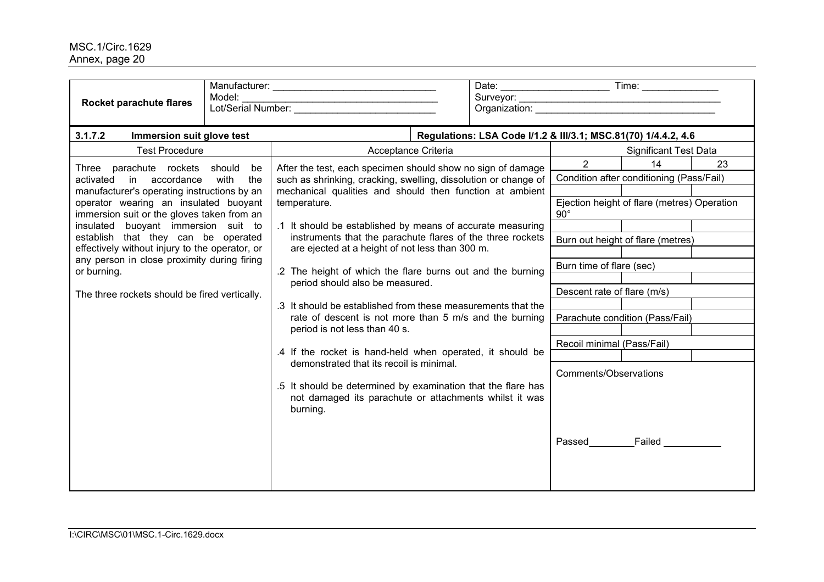| Rocket parachute flares                                                                                                                                                                                                                                                                                                                                                                                                                              | Model:            |                                                                                                                                                                                                                                                                                                                                                                                                                                                                                                                                                                                                                                                                                                                                                                                                                                                                                                      |                                                                                                                                                         |                                                                                                                                                                                          |    |
|------------------------------------------------------------------------------------------------------------------------------------------------------------------------------------------------------------------------------------------------------------------------------------------------------------------------------------------------------------------------------------------------------------------------------------------------------|-------------------|------------------------------------------------------------------------------------------------------------------------------------------------------------------------------------------------------------------------------------------------------------------------------------------------------------------------------------------------------------------------------------------------------------------------------------------------------------------------------------------------------------------------------------------------------------------------------------------------------------------------------------------------------------------------------------------------------------------------------------------------------------------------------------------------------------------------------------------------------------------------------------------------------|---------------------------------------------------------------------------------------------------------------------------------------------------------|------------------------------------------------------------------------------------------------------------------------------------------------------------------------------------------|----|
| 3.1.7.2<br>Immersion suit glove test                                                                                                                                                                                                                                                                                                                                                                                                                 |                   | Regulations: LSA Code I/1.2 & III/3.1; MSC.81(70) 1/4.4.2, 4.6                                                                                                                                                                                                                                                                                                                                                                                                                                                                                                                                                                                                                                                                                                                                                                                                                                       |                                                                                                                                                         |                                                                                                                                                                                          |    |
| <b>Test Procedure</b>                                                                                                                                                                                                                                                                                                                                                                                                                                |                   | Acceptance Criteria                                                                                                                                                                                                                                                                                                                                                                                                                                                                                                                                                                                                                                                                                                                                                                                                                                                                                  |                                                                                                                                                         | <b>Significant Test Data</b>                                                                                                                                                             |    |
| Three parachute rockets should<br>accordance<br>activated<br>in<br>manufacturer's operating instructions by an<br>operator wearing an insulated buoyant<br>immersion suit or the gloves taken from an<br>insulated buoyant immersion suit to<br>establish that they can be operated<br>effectively without injury to the operator, or<br>any person in close proximity during firing<br>or burning.<br>The three rockets should be fired vertically. | be<br>with<br>the | After the test, each specimen should show no sign of damage<br>such as shrinking, cracking, swelling, dissolution or change of<br>mechanical qualities and should then function at ambient<br>temperature.<br>.1 It should be established by means of accurate measuring<br>instruments that the parachute flares of the three rockets<br>are ejected at a height of not less than 300 m.<br>.2 The height of which the flare burns out and the burning<br>period should also be measured.<br>.3 It should be established from these measurements that the<br>rate of descent is not more than 5 m/s and the burning<br>period is not less than 40 s.<br>.4 If the rocket is hand-held when operated, it should be<br>demonstrated that its recoil is minimal.<br>.5 It should be determined by examination that the flare has<br>not damaged its parachute or attachments whilst it was<br>burning. | $2^{\circ}$<br>$90^{\circ}$<br>Burn time of flare (sec)<br>Descent rate of flare (m/s)<br>Recoil minimal (Pass/Fail)<br>Comments/Observations<br>Passed | 14<br>Condition after conditioning (Pass/Fail)<br>Ejection height of flare (metres) Operation<br>Burn out height of flare (metres)<br>Parachute condition (Pass/Fail)<br>Failed ________ | 23 |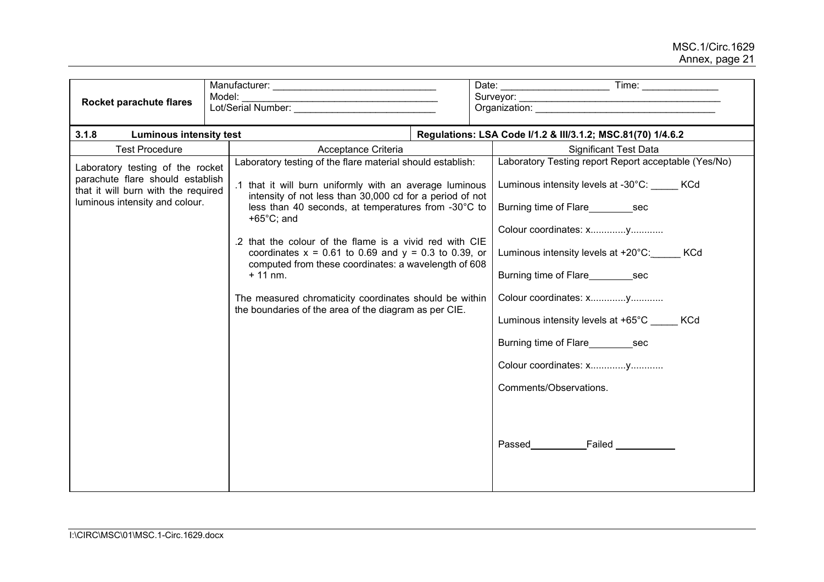| Rocket parachute flares                                                                                                                       | Model:<br><u> 2002 - Johann John Stone, mars et al. (2003)</u>                                                                                                                                                                                                                                                                                                                                                                                                                                                                                                                  |                                                                                                                                                                                                                                                                                                                        |  |
|-----------------------------------------------------------------------------------------------------------------------------------------------|---------------------------------------------------------------------------------------------------------------------------------------------------------------------------------------------------------------------------------------------------------------------------------------------------------------------------------------------------------------------------------------------------------------------------------------------------------------------------------------------------------------------------------------------------------------------------------|------------------------------------------------------------------------------------------------------------------------------------------------------------------------------------------------------------------------------------------------------------------------------------------------------------------------|--|
| 3.1.8<br><b>Luminous intensity test</b>                                                                                                       |                                                                                                                                                                                                                                                                                                                                                                                                                                                                                                                                                                                 | Regulations: LSA Code I/1.2 & III/3.1.2; MSC.81(70) 1/4.6.2                                                                                                                                                                                                                                                            |  |
| <b>Test Procedure</b>                                                                                                                         | Acceptance Criteria                                                                                                                                                                                                                                                                                                                                                                                                                                                                                                                                                             | <b>Significant Test Data</b>                                                                                                                                                                                                                                                                                           |  |
| Laboratory testing of the rocket<br>parachute flare should establish<br>that it will burn with the required<br>luminous intensity and colour. | Laboratory testing of the flare material should establish:<br>.1 that it will burn uniformly with an average luminous<br>intensity of not less than 30,000 cd for a period of not<br>less than 40 seconds, at temperatures from -30°C to<br>$+65^{\circ}$ C; and<br>.2 that the colour of the flame is a vivid red with CIE<br>coordinates $x = 0.61$ to 0.69 and $y = 0.3$ to 0.39, or<br>computed from these coordinates: a wavelength of 608<br>$+11$ nm.<br>The measured chromaticity coordinates should be within<br>the boundaries of the area of the diagram as per CIE. | Laboratory Testing report Report acceptable (Yes/No)<br>Luminous intensity levels at -30°C: KCd<br>Burning time of Flare Sec<br>Luminous intensity levels at +20°C: KCd<br>Burning time of Flare Sec<br>Luminous intensity levels at +65°C KCd<br>Burning time of Flare sec<br>Comments/Observations.<br>Passed Failed |  |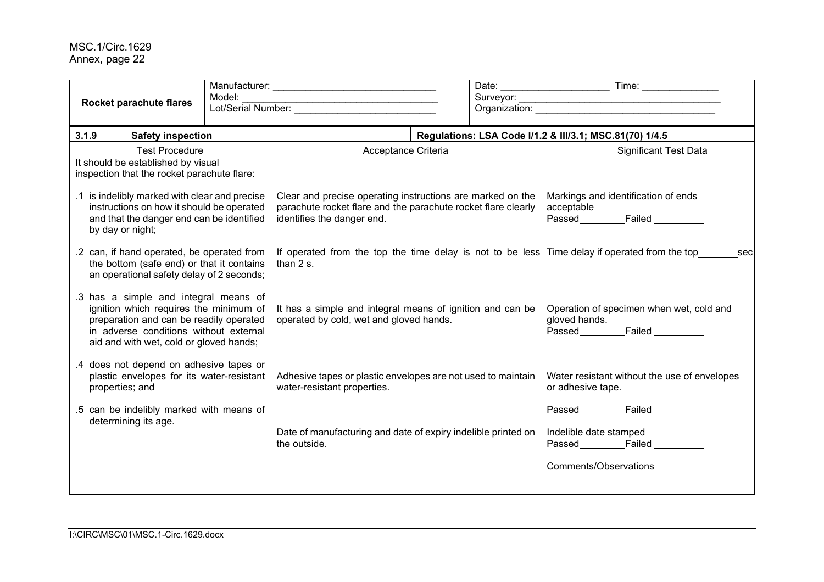| Model:<br>Rocket parachute flares                                                                                                                                                                               |  |                                                                                                                                                           |  |                                                                                           |  |
|-----------------------------------------------------------------------------------------------------------------------------------------------------------------------------------------------------------------|--|-----------------------------------------------------------------------------------------------------------------------------------------------------------|--|-------------------------------------------------------------------------------------------|--|
| 3.1.9<br><b>Safety inspection</b>                                                                                                                                                                               |  |                                                                                                                                                           |  | Regulations: LSA Code I/1.2 & III/3.1; MSC.81(70) 1/4.5                                   |  |
| <b>Test Procedure</b>                                                                                                                                                                                           |  | Acceptance Criteria                                                                                                                                       |  | <b>Significant Test Data</b>                                                              |  |
| It should be established by visual<br>inspection that the rocket parachute flare:                                                                                                                               |  |                                                                                                                                                           |  |                                                                                           |  |
| .1 is indelibly marked with clear and precise<br>instructions on how it should be operated<br>and that the danger end can be identified<br>by day or night;                                                     |  | Clear and precise operating instructions are marked on the<br>parachute rocket flare and the parachute rocket flare clearly<br>identifies the danger end. |  | Markings and identification of ends<br>acceptable<br>Passed_____________Failed _____      |  |
| .2 can, if hand operated, be operated from<br>the bottom (safe end) or that it contains<br>an operational safety delay of 2 seconds;                                                                            |  | If operated from the top the time delay is not to be less Time delay if operated from the top<br>than $2 s$ .                                             |  | sec                                                                                       |  |
| .3 has a simple and integral means of<br>ignition which requires the minimum of<br>preparation and can be readily operated<br>in adverse conditions without external<br>aid and with wet, cold or gloved hands; |  | It has a simple and integral means of ignition and can be<br>operated by cold, wet and gloved hands.                                                      |  | Operation of specimen when wet, cold and<br>gloved hands.<br>Passed__________Failed _____ |  |
| .4 does not depend on adhesive tapes or<br>plastic envelopes for its water-resistant<br>properties; and                                                                                                         |  | Adhesive tapes or plastic envelopes are not used to maintain<br>water-resistant properties.                                                               |  | Water resistant without the use of envelopes<br>or adhesive tape.                         |  |
| .5 can be indelibly marked with means of<br>determining its age.                                                                                                                                                |  | Date of manufacturing and date of expiry indelible printed on<br>the outside.                                                                             |  | Indelible date stamped<br>Passed Failed<br>Comments/Observations                          |  |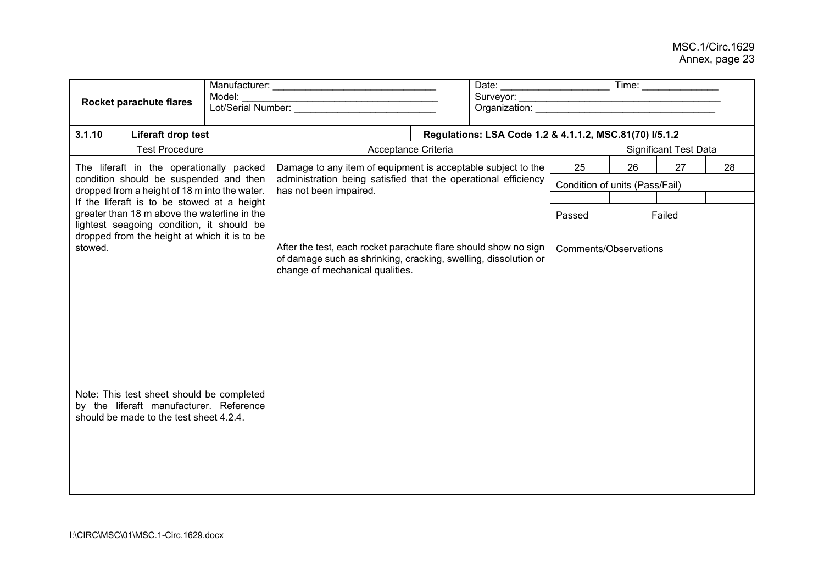| Rocket parachute flares                                                                                                                                                                    | Model:<br>Lot/Serial Number: |                                                                                          |                                                                                                                                    |                                                         |                                |    |                              |    |
|--------------------------------------------------------------------------------------------------------------------------------------------------------------------------------------------|------------------------------|------------------------------------------------------------------------------------------|------------------------------------------------------------------------------------------------------------------------------------|---------------------------------------------------------|--------------------------------|----|------------------------------|----|
| 3.1.10<br>Liferaft drop test                                                                                                                                                               |                              |                                                                                          |                                                                                                                                    | Regulations: LSA Code 1.2 & 4.1.1.2, MSC.81(70) I/5.1.2 |                                |    |                              |    |
| <b>Test Procedure</b>                                                                                                                                                                      |                              | Acceptance Criteria                                                                      |                                                                                                                                    |                                                         |                                |    | <b>Significant Test Data</b> |    |
| The liferaft in the operationally packed                                                                                                                                                   |                              | Damage to any item of equipment is acceptable subject to the                             |                                                                                                                                    |                                                         | 25                             | 26 | 27                           | 28 |
| condition should be suspended and then<br>dropped from a height of 18 m into the water.                                                                                                    |                              | administration being satisfied that the operational efficiency<br>has not been impaired. |                                                                                                                                    |                                                         | Condition of units (Pass/Fail) |    |                              |    |
| If the liferaft is to be stowed at a height                                                                                                                                                |                              |                                                                                          |                                                                                                                                    |                                                         |                                |    |                              |    |
| greater than 18 m above the waterline in the<br>lightest seagoing condition, it should be                                                                                                  |                              |                                                                                          |                                                                                                                                    |                                                         | <b>Passed Example 20</b>       |    | Failed                       |    |
| dropped from the height at which it is to be<br>stowed.<br>Note: This test sheet should be completed<br>by the liferaft manufacturer. Reference<br>should be made to the test sheet 4.2.4. |                              | change of mechanical qualities.                                                          | After the test, each rocket parachute flare should show no sign<br>of damage such as shrinking, cracking, swelling, dissolution or |                                                         | Comments/Observations          |    |                              |    |
|                                                                                                                                                                                            |                              |                                                                                          |                                                                                                                                    |                                                         |                                |    |                              |    |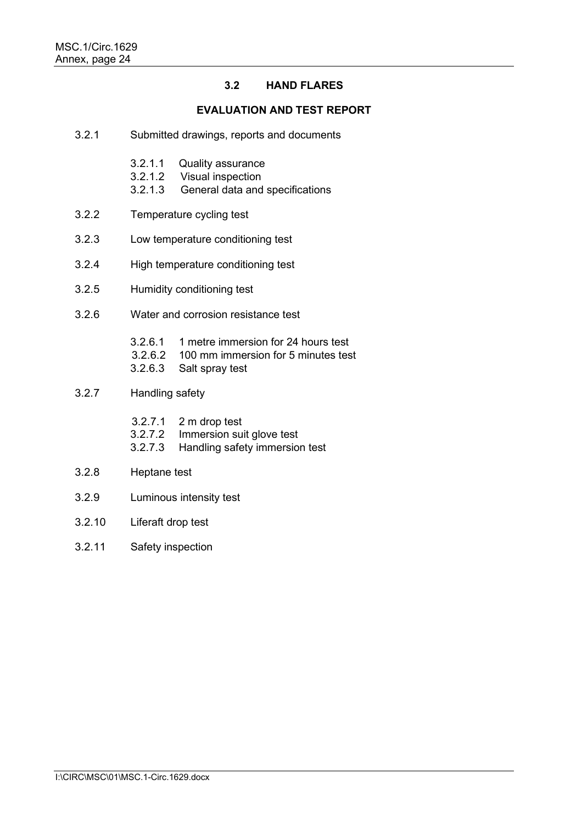## **3.2 HAND FLARES**

#### **EVALUATION AND TEST REPORT**

- 3.2.1 Submitted drawings, reports and documents
	- 3.2.1.1 Quality assurance<br>3.2.1.2 Visual inspection
	- **Visual inspection**
	- 3.2.1.3 General data and specifications
- 3.2.2 Temperature cycling test
- 3.2.3 Low temperature conditioning test
- 3.2.4 High temperature conditioning test
- 3.2.5 Humidity conditioning test
- 3.2.6 Water and corrosion resistance test
	- 3.2.6.1 1 metre immersion for 24 hours test
	- 3.2.6.2 100 mm immersion for 5 minutes test
	- 3.2.6.3 Salt spray test
- 3.2.7 Handling safety
	- 3.2.7.1 2 m drop test<br>3.2.7.2 Immersion sui
	- Immersion suit glove test
	- 3.2.7.3 Handling safety immersion test
- 3.2.8 Heptane test
- 3.2.9 Luminous intensity test
- 3.2.10 Liferaft drop test
- 3.2.11 Safety inspection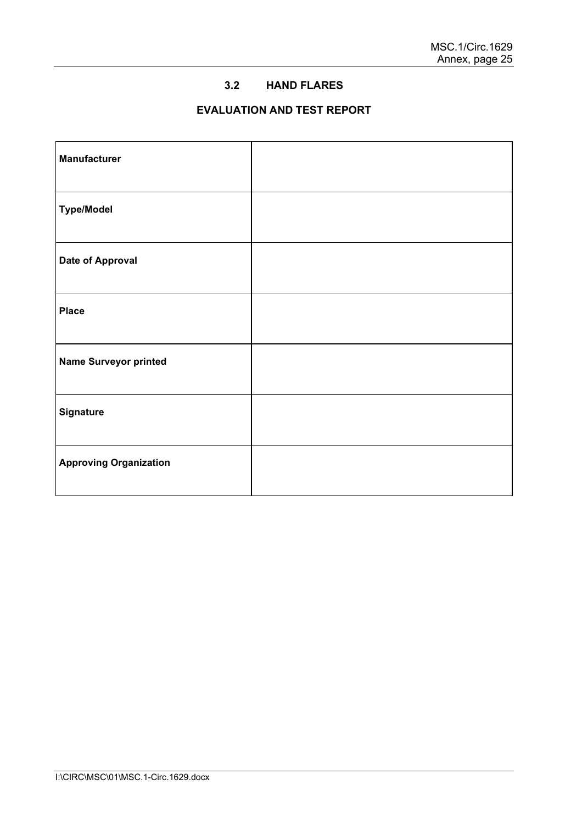## **3.2 HAND FLARES**

# **EVALUATION AND TEST REPORT**

| <b>Manufacturer</b>           |  |
|-------------------------------|--|
| <b>Type/Model</b>             |  |
| <b>Date of Approval</b>       |  |
| <b>Place</b>                  |  |
| <b>Name Surveyor printed</b>  |  |
| <b>Signature</b>              |  |
| <b>Approving Organization</b> |  |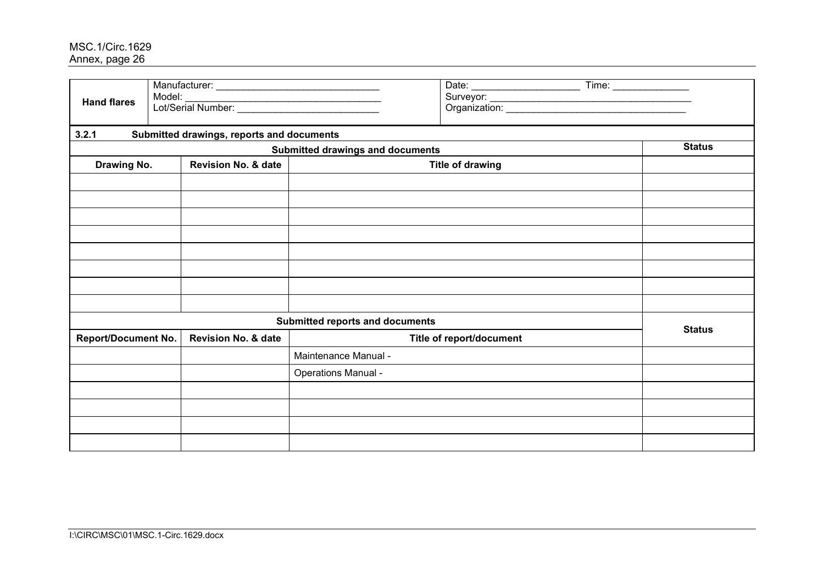| <b>Hand flares</b>         | Model:                                    |                                         | $Time: \begin{tabular}{ c c } \hline \quad \quad & \quad \quad & \quad \quad \\ \hline \end{tabular}$ |  |               |
|----------------------------|-------------------------------------------|-----------------------------------------|-------------------------------------------------------------------------------------------------------|--|---------------|
| 3.2.1                      | Submitted drawings, reports and documents |                                         |                                                                                                       |  |               |
|                            |                                           | <b>Submitted drawings and documents</b> |                                                                                                       |  | <b>Status</b> |
| Drawing No.                | <b>Revision No. &amp; date</b>            |                                         | <b>Title of drawing</b>                                                                               |  |               |
|                            |                                           |                                         |                                                                                                       |  |               |
|                            |                                           |                                         |                                                                                                       |  |               |
|                            |                                           |                                         |                                                                                                       |  |               |
|                            |                                           |                                         |                                                                                                       |  |               |
|                            |                                           |                                         |                                                                                                       |  |               |
|                            |                                           |                                         |                                                                                                       |  |               |
|                            |                                           |                                         |                                                                                                       |  |               |
|                            |                                           |                                         |                                                                                                       |  |               |
|                            |                                           | <b>Submitted reports and documents</b>  |                                                                                                       |  | <b>Status</b> |
| <b>Report/Document No.</b> | <b>Revision No. &amp; date</b>            | Title of report/document                |                                                                                                       |  |               |
|                            |                                           | Maintenance Manual -                    |                                                                                                       |  |               |
|                            |                                           | Operations Manual -                     |                                                                                                       |  |               |
|                            |                                           |                                         |                                                                                                       |  |               |
|                            |                                           |                                         |                                                                                                       |  |               |
|                            |                                           |                                         |                                                                                                       |  |               |
|                            |                                           |                                         |                                                                                                       |  |               |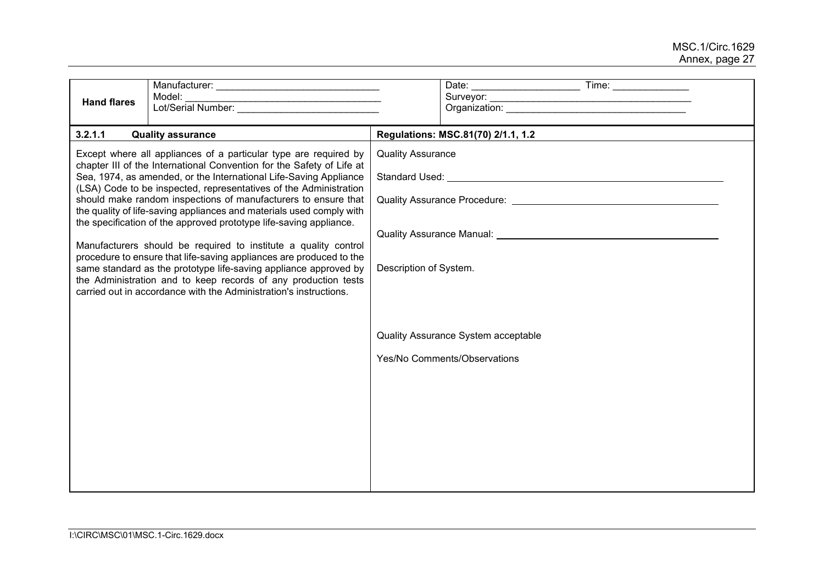| <b>Hand flares</b> | Model:                                                                                                                                                                                                                                                                                                                                                                                                                                                                                                                                                                                                                                                                                                                                                                                                          |                                                                                                                                                                                                                                                                                                                            |                                                                     |  |  |  |  |
|--------------------|-----------------------------------------------------------------------------------------------------------------------------------------------------------------------------------------------------------------------------------------------------------------------------------------------------------------------------------------------------------------------------------------------------------------------------------------------------------------------------------------------------------------------------------------------------------------------------------------------------------------------------------------------------------------------------------------------------------------------------------------------------------------------------------------------------------------|----------------------------------------------------------------------------------------------------------------------------------------------------------------------------------------------------------------------------------------------------------------------------------------------------------------------------|---------------------------------------------------------------------|--|--|--|--|
| 3.2.1.1            | <b>Quality assurance</b><br>Except where all appliances of a particular type are required by<br>chapter III of the International Convention for the Safety of Life at<br>Sea, 1974, as amended, or the International Life-Saving Appliance<br>(LSA) Code to be inspected, representatives of the Administration<br>should make random inspections of manufacturers to ensure that<br>the quality of life-saving appliances and materials used comply with<br>the specification of the approved prototype life-saving appliance.<br>Manufacturers should be required to institute a quality control<br>procedure to ensure that life-saving appliances are produced to the<br>same standard as the prototype life-saving appliance approved by<br>the Administration and to keep records of any production tests | Regulations: MSC.81(70) 2/1.1, 1.2<br><b>Quality Assurance</b><br>Quality Assurance Procedure: We are also as a series of the series of the control of the control of the control of the control of the control of the control of the control of the control of the control of the control of th<br>Description of System. |                                                                     |  |  |  |  |
|                    | carried out in accordance with the Administration's instructions.                                                                                                                                                                                                                                                                                                                                                                                                                                                                                                                                                                                                                                                                                                                                               |                                                                                                                                                                                                                                                                                                                            | Quality Assurance System acceptable<br>Yes/No Comments/Observations |  |  |  |  |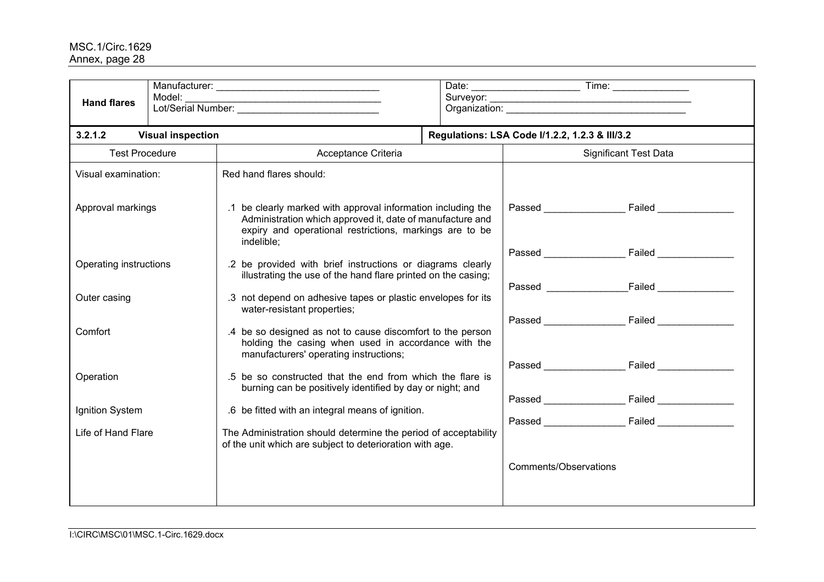| <b>Hand flares</b>     | Model:<br>Lot/Serial Number:                                                                                                                                                                                            |                                                                                                                             |                                                                                                                             |                                                |                                                                                                                                                                                                                                      |  |
|------------------------|-------------------------------------------------------------------------------------------------------------------------------------------------------------------------------------------------------------------------|-----------------------------------------------------------------------------------------------------------------------------|-----------------------------------------------------------------------------------------------------------------------------|------------------------------------------------|--------------------------------------------------------------------------------------------------------------------------------------------------------------------------------------------------------------------------------------|--|
| 3.2.1.2                | <b>Visual inspection</b>                                                                                                                                                                                                |                                                                                                                             |                                                                                                                             | Regulations: LSA Code I/1.2.2, 1.2.3 & III/3.2 |                                                                                                                                                                                                                                      |  |
| <b>Test Procedure</b>  |                                                                                                                                                                                                                         | Acceptance Criteria                                                                                                         |                                                                                                                             | <b>Significant Test Data</b>                   |                                                                                                                                                                                                                                      |  |
| Visual examination:    |                                                                                                                                                                                                                         | Red hand flares should:                                                                                                     |                                                                                                                             |                                                |                                                                                                                                                                                                                                      |  |
|                        | .1 be clearly marked with approval information including the<br>Approval markings<br>Administration which approved it, date of manufacture and<br>expiry and operational restrictions, markings are to be<br>indelible; |                                                                                                                             |                                                                                                                             |                                                | Passed Failed Passed                                                                                                                                                                                                                 |  |
| Operating instructions |                                                                                                                                                                                                                         |                                                                                                                             | .2 be provided with brief instructions or diagrams clearly<br>illustrating the use of the hand flare printed on the casing; |                                                |                                                                                                                                                                                                                                      |  |
| Outer casing           |                                                                                                                                                                                                                         | .3 not depend on adhesive tapes or plastic envelopes for its<br>water-resistant properties;                                 |                                                                                                                             |                                                | Passed Failed                                                                                                                                                                                                                        |  |
| Comfort                | .4 be so designed as not to cause discomfort to the person<br>holding the casing when used in accordance with the<br>manufacturers' operating instructions;                                                             |                                                                                                                             |                                                                                                                             |                                                | Passed Failed                                                                                                                                                                                                                        |  |
| Operation              |                                                                                                                                                                                                                         | .5 be so constructed that the end from which the flare is<br>burning can be positively identified by day or night; and      |                                                                                                                             | <b>Passed Exercise Server</b>                  | Failed <b>Contract Contract Contract Contract Contract Contract Contract Contract Contract Contract Contract Contract Contract Contract Contract Contract Contract Contract Contract Contract Contract Contract Contract Contrac</b> |  |
| Ignition System        |                                                                                                                                                                                                                         | .6 be fitted with an integral means of ignition.                                                                            |                                                                                                                             |                                                |                                                                                                                                                                                                                                      |  |
| Life of Hand Flare     |                                                                                                                                                                                                                         | The Administration should determine the period of acceptability<br>of the unit which are subject to deterioration with age. |                                                                                                                             |                                                |                                                                                                                                                                                                                                      |  |
|                        |                                                                                                                                                                                                                         |                                                                                                                             |                                                                                                                             | Comments/Observations                          |                                                                                                                                                                                                                                      |  |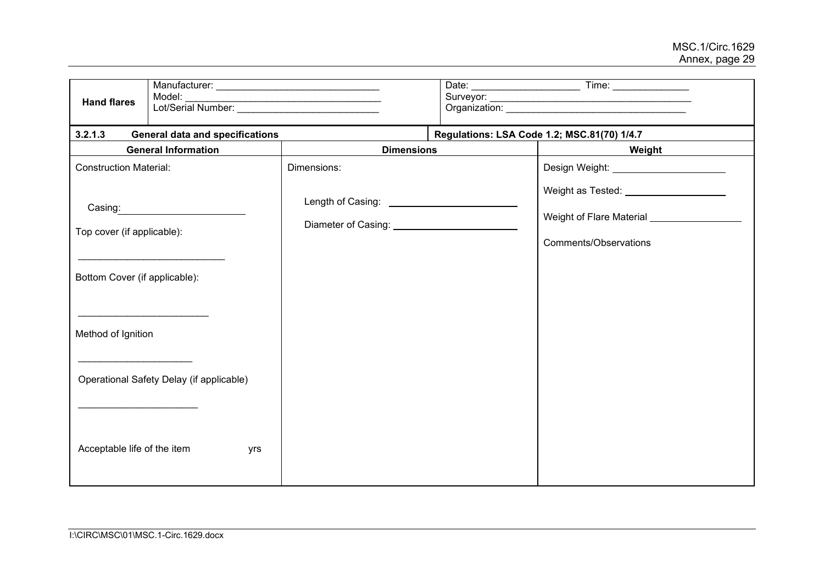| <b>Hand flares</b>                                                     | Model:<br>Lot/Serial Number:             |                                                  |  |                                                                                                                |  |  |
|------------------------------------------------------------------------|------------------------------------------|--------------------------------------------------|--|----------------------------------------------------------------------------------------------------------------|--|--|
| 3.2.1.3                                                                | <b>General data and specifications</b>   |                                                  |  | Regulations: LSA Code 1.2; MSC.81(70) 1/4.7                                                                    |  |  |
|                                                                        | <b>General Information</b>               | <b>Dimensions</b>                                |  | Weight                                                                                                         |  |  |
| <b>Construction Material:</b>                                          |                                          | Dimensions:                                      |  | Design Weight: Network and Design Weight:                                                                      |  |  |
| Casing:<br>Top cover (if applicable):<br>Bottom Cover (if applicable): |                                          | Diameter of Casing: National Property of Casing: |  | Weight as Tested: _____________________<br>Weight of Flare Material _________________<br>Comments/Observations |  |  |
| Method of Ignition                                                     |                                          |                                                  |  |                                                                                                                |  |  |
|                                                                        | Operational Safety Delay (if applicable) |                                                  |  |                                                                                                                |  |  |
| Acceptable life of the item                                            | yrs                                      |                                                  |  |                                                                                                                |  |  |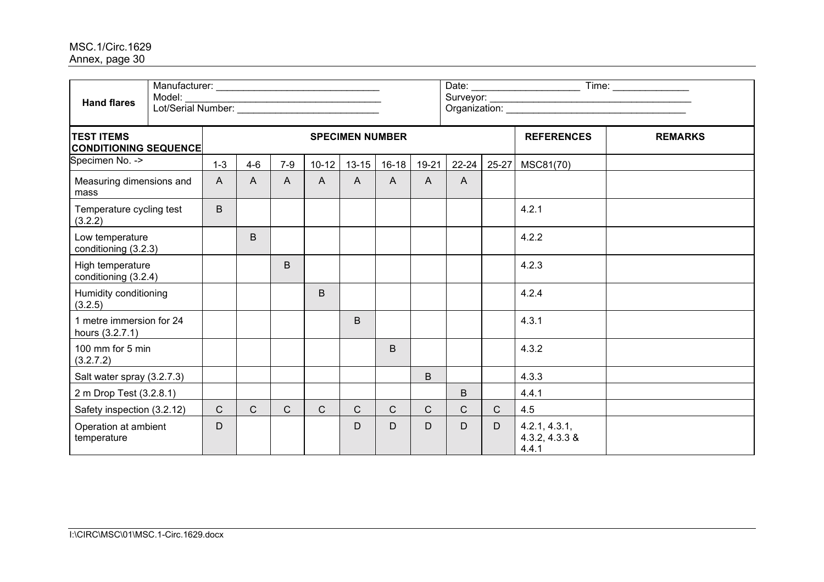| <b>Hand flares</b>                                | Model:<br>Lot/Serial Number: |                |              |                        |                |              |              |       |                   |                |                                          | Time: ________________ |
|---------------------------------------------------|------------------------------|----------------|--------------|------------------------|----------------|--------------|--------------|-------|-------------------|----------------|------------------------------------------|------------------------|
| <b>TEST ITEMS</b><br><b>CONDITIONING SEQUENCE</b> |                              |                |              | <b>SPECIMEN NUMBER</b> |                |              |              |       | <b>REFERENCES</b> | <b>REMARKS</b> |                                          |                        |
| Specimen No. ->                                   |                              | $1 - 3$        | $4 - 6$      | $7-9$                  | $10 - 12$      | $13 - 15$    | $16 - 18$    | 19-21 | $22 - 24$         | 25-27          | MSC81(70)                                |                        |
| Measuring dimensions and<br>mass                  |                              | $\overline{A}$ | A            | $\mathsf{A}$           | $\overline{A}$ | $\mathsf{A}$ | $\mathsf{A}$ | A     | A                 |                |                                          |                        |
| Temperature cycling test<br>(3.2.2)               |                              | B              |              |                        |                |              |              |       |                   |                | 4.2.1                                    |                        |
| Low temperature<br>conditioning (3.2.3)           |                              |                | B            |                        |                |              |              |       |                   |                | 4.2.2                                    |                        |
| High temperature<br>conditioning (3.2.4)          |                              |                |              | B                      |                |              |              |       |                   |                | 4.2.3                                    |                        |
| Humidity conditioning<br>(3.2.5)                  |                              |                |              |                        | B              |              |              |       |                   |                | 4.2.4                                    |                        |
| 1 metre immersion for 24<br>hours (3.2.7.1)       |                              |                |              |                        |                | B.           |              |       |                   |                | 4.3.1                                    |                        |
| 100 mm for 5 min<br>(3.2.7.2)                     |                              |                |              |                        |                |              | B            |       |                   |                | 4.3.2                                    |                        |
| Salt water spray (3.2.7.3)                        |                              |                |              |                        |                |              |              | B     |                   |                | 4.3.3                                    |                        |
| 2 m Drop Test (3.2.8.1)                           |                              |                |              |                        |                |              |              |       | B                 |                | 4.4.1                                    |                        |
| Safety inspection (3.2.12)                        |                              | $\mathsf{C}$   | $\mathsf{C}$ | $\mathsf{C}$           | $\mathsf{C}$   | $\mathsf{C}$ | $\mathsf{C}$ | C.    | $\mathsf{C}$      | $\mathsf{C}$   | 4.5                                      |                        |
| Operation at ambient<br>temperature               |                              | D              |              |                        |                | D            | D            | D     | D                 | D              | 4.2.1, 4.3.1,<br>4.3.2, 4.3.3 &<br>4.4.1 |                        |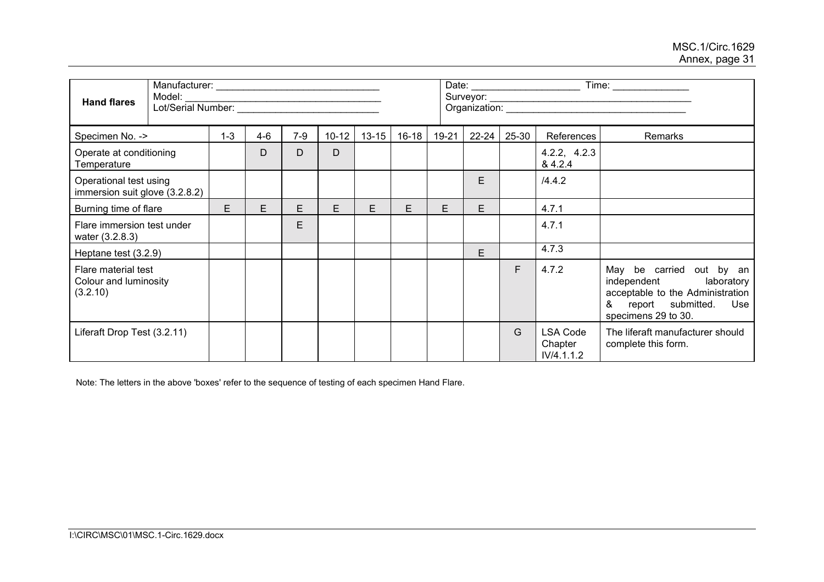| <b>Hand flares</b>                                       | Model:<br>Lot/Serial Number: |         |         |       |           |           |           |       |           |       |                                          | Time:                                                                                                                                          |
|----------------------------------------------------------|------------------------------|---------|---------|-------|-----------|-----------|-----------|-------|-----------|-------|------------------------------------------|------------------------------------------------------------------------------------------------------------------------------------------------|
| Specimen No. ->                                          |                              | $1 - 3$ | $4 - 6$ | $7-9$ | $10 - 12$ | $13 - 15$ | $16 - 18$ | 19-21 | $22 - 24$ | 25-30 | References                               | <b>Remarks</b>                                                                                                                                 |
| Operate at conditioning<br>Temperature                   |                              |         | D       | D     | D         |           |           |       |           |       | 4.2.2, 4.2.3<br>& 4.2.4                  |                                                                                                                                                |
| Operational test using<br>immersion suit glove (3.2.8.2) |                              |         |         |       |           |           |           |       | E         |       | /4.4.2                                   |                                                                                                                                                |
| Burning time of flare                                    |                              | E       | E.      | E.    | E.        | E         | E         | E     | Е         |       | 4.7.1                                    |                                                                                                                                                |
| Flare immersion test under<br>water (3.2.8.3)            |                              |         |         | E     |           |           |           |       |           |       | 4.7.1                                    |                                                                                                                                                |
| Heptane test (3.2.9)                                     |                              |         |         |       |           |           |           |       | E.        |       | 4.7.3                                    |                                                                                                                                                |
| Flare material test<br>Colour and luminosity<br>(3.2.10) |                              |         |         |       |           |           |           |       |           | F     | 4.7.2                                    | May be carried out by an<br>independent<br>laboratory<br>acceptable to the Administration<br>&<br>report submitted. Use<br>specimens 29 to 30. |
| Liferaft Drop Test (3.2.11)                              |                              |         |         |       |           |           |           |       |           | G     | <b>LSA Code</b><br>Chapter<br>IV/4.1.1.2 | The liferaft manufacturer should<br>complete this form.                                                                                        |

Note: The letters in the above 'boxes' refer to the sequence of testing of each specimen Hand Flare.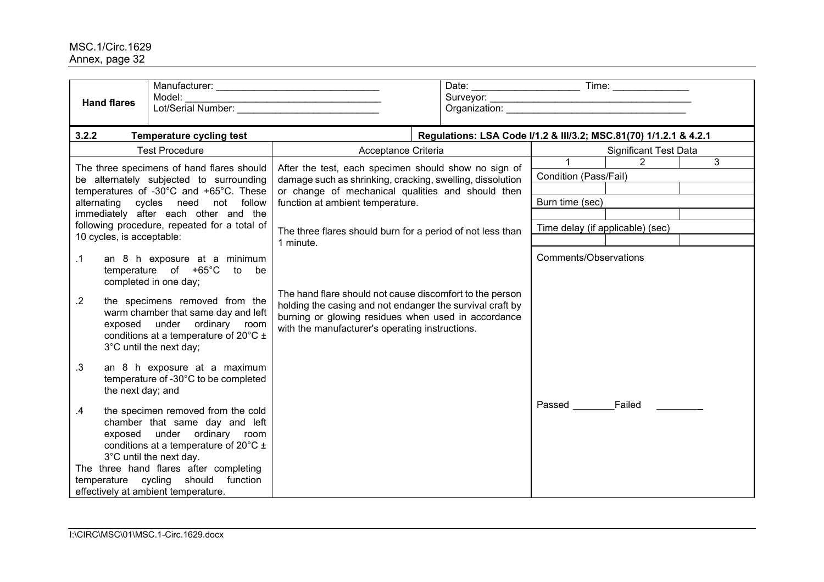|                                                                                                                                | <b>Hand flares</b>        | Model:                                                                                                                                                                                 |                                                                                                                                                                                                                                 | Organization: Change and Changes and Changes and Changes and Changes and Changes and Changes and Changes and Changes and Changes and Changes and Changes and Changes and Changes and Changes and Changes and Changes and Chang |  |                       |                                                        |  |  |  |
|--------------------------------------------------------------------------------------------------------------------------------|---------------------------|----------------------------------------------------------------------------------------------------------------------------------------------------------------------------------------|---------------------------------------------------------------------------------------------------------------------------------------------------------------------------------------------------------------------------------|--------------------------------------------------------------------------------------------------------------------------------------------------------------------------------------------------------------------------------|--|-----------------------|--------------------------------------------------------|--|--|--|
| 3.2.2                                                                                                                          |                           | <b>Temperature cycling test</b>                                                                                                                                                        |                                                                                                                                                                                                                                 | Regulations: LSA Code I/1.2 & III/3.2; MSC.81(70) 1/1.2.1 & 4.2.1                                                                                                                                                              |  |                       |                                                        |  |  |  |
| <b>Test Procedure</b>                                                                                                          |                           |                                                                                                                                                                                        | Acceptance Criteria                                                                                                                                                                                                             |                                                                                                                                                                                                                                |  |                       | <b>Significant Test Data</b>                           |  |  |  |
| The three specimens of hand flares should<br>be alternately subjected to surrounding<br>temperatures of -30°C and +65°C. These |                           |                                                                                                                                                                                        | After the test, each specimen should show no sign of<br>damage such as shrinking, cracking, swelling, dissolution<br>or change of mechanical qualities and should then                                                          |                                                                                                                                                                                                                                |  | $\mathbf{1}$          | $\mathcal{P}$<br>$\mathbf{3}$<br>Condition (Pass/Fail) |  |  |  |
|                                                                                                                                |                           | alternating cycles need not follow                                                                                                                                                     | function at ambient temperature.                                                                                                                                                                                                |                                                                                                                                                                                                                                |  | Burn time (sec)       |                                                        |  |  |  |
|                                                                                                                                |                           | immediately after each other and the<br>following procedure, repeated for a total of                                                                                                   |                                                                                                                                                                                                                                 |                                                                                                                                                                                                                                |  |                       |                                                        |  |  |  |
|                                                                                                                                | 10 cycles, is acceptable: |                                                                                                                                                                                        | The three flares should burn for a period of not less than<br>1 minute.                                                                                                                                                         |                                                                                                                                                                                                                                |  |                       | Time delay (if applicable) (sec)                       |  |  |  |
| .1                                                                                                                             |                           | an 8 h exposure at a minimum<br>temperature of +65°C to be<br>completed in one day;                                                                                                    |                                                                                                                                                                                                                                 |                                                                                                                                                                                                                                |  | Comments/Observations |                                                        |  |  |  |
| $.2\phantom{0}$                                                                                                                |                           | the specimens removed from the<br>warm chamber that same day and left<br>exposed under ordinary room<br>conditions at a temperature of 20 $\degree$ C $\pm$<br>3°C until the next day; | The hand flare should not cause discomfort to the person<br>holding the casing and not endanger the survival craft by<br>burning or glowing residues when used in accordance<br>with the manufacturer's operating instructions. |                                                                                                                                                                                                                                |  |                       |                                                        |  |  |  |
| $\cdot$ 3                                                                                                                      | the next day; and         | an 8 h exposure at a maximum<br>temperature of -30°C to be completed                                                                                                                   |                                                                                                                                                                                                                                 |                                                                                                                                                                                                                                |  |                       |                                                        |  |  |  |
| $\mathbf{.4}$                                                                                                                  |                           | the specimen removed from the cold<br>chamber that same day and left<br>exposed under ordinary room<br>conditions at a temperature of 20 $^{\circ}$ C ±<br>3°C until the next day.     |                                                                                                                                                                                                                                 |                                                                                                                                                                                                                                |  |                       | Passed Failed                                          |  |  |  |
|                                                                                                                                |                           | The three hand flares after completing<br>temperature cycling should function                                                                                                          |                                                                                                                                                                                                                                 |                                                                                                                                                                                                                                |  |                       |                                                        |  |  |  |
|                                                                                                                                |                           | effectively at ambient temperature.                                                                                                                                                    |                                                                                                                                                                                                                                 |                                                                                                                                                                                                                                |  |                       |                                                        |  |  |  |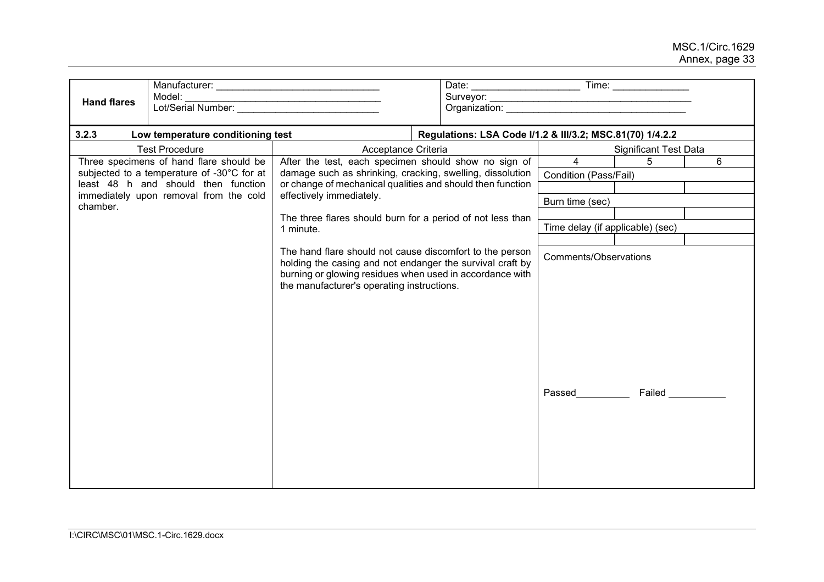| Model:<br><b>Hand flares</b>                                                  |                                                                                                                                                                                                                                 |                     |                                        |                         |                              |
|-------------------------------------------------------------------------------|---------------------------------------------------------------------------------------------------------------------------------------------------------------------------------------------------------------------------------|---------------------|----------------------------------------|-------------------------|------------------------------|
| 3.2.3<br>Low temperature conditioning test                                    | Regulations: LSA Code I/1.2 & III/3.2; MSC.81(70) 1/4.2.2                                                                                                                                                                       |                     |                                        |                         |                              |
| <b>Test Procedure</b>                                                         |                                                                                                                                                                                                                                 | Acceptance Criteria |                                        |                         | <b>Significant Test Data</b> |
| Three specimens of hand flare should be                                       | After the test, each specimen should show no sign of                                                                                                                                                                            |                     | $\overline{4}$                         | 5                       | 6                            |
| subjected to a temperature of -30°C for at                                    | damage such as shrinking, cracking, swelling, dissolution                                                                                                                                                                       |                     | Condition (Pass/Fail)                  |                         |                              |
| least 48 h and should then function<br>immediately upon removal from the cold | or change of mechanical qualities and should then function<br>effectively immediately.                                                                                                                                          |                     |                                        |                         |                              |
| chamber.                                                                      |                                                                                                                                                                                                                                 |                     | Burn time (sec)                        |                         |                              |
| The three flares should burn for a period of not less than<br>1 minute.       |                                                                                                                                                                                                                                 |                     |                                        |                         |                              |
|                                                                               |                                                                                                                                                                                                                                 |                     | Time delay (if applicable) (sec)       |                         |                              |
|                                                                               | The hand flare should not cause discomfort to the person<br>holding the casing and not endanger the survival craft by<br>burning or glowing residues when used in accordance with<br>the manufacturer's operating instructions. |                     | <b>Comments/Observations</b><br>Passed | <b>Failed Example 1</b> |                              |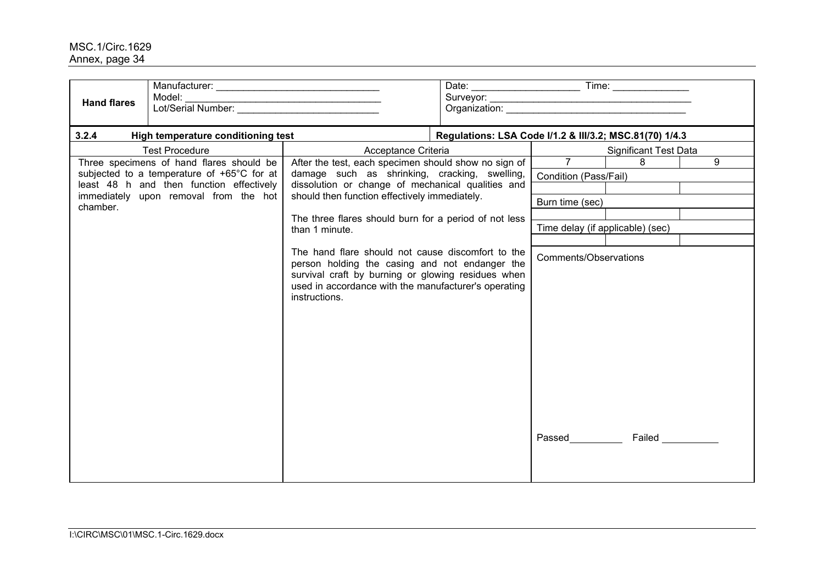| <b>Hand flares</b> | Model:                                                                                                                                                                      |                                                                                                                                                                                                                                                                                                                                                                                                                                                                                                                              |                                                         |                                                                                                                                |                              |  |  |
|--------------------|-----------------------------------------------------------------------------------------------------------------------------------------------------------------------------|------------------------------------------------------------------------------------------------------------------------------------------------------------------------------------------------------------------------------------------------------------------------------------------------------------------------------------------------------------------------------------------------------------------------------------------------------------------------------------------------------------------------------|---------------------------------------------------------|--------------------------------------------------------------------------------------------------------------------------------|------------------------------|--|--|
| 3.2.4              | High temperature conditioning test                                                                                                                                          |                                                                                                                                                                                                                                                                                                                                                                                                                                                                                                                              | Regulations: LSA Code I/1.2 & III/3.2; MSC.81(70) 1/4.3 |                                                                                                                                |                              |  |  |
|                    | <b>Test Procedure</b>                                                                                                                                                       | Acceptance Criteria                                                                                                                                                                                                                                                                                                                                                                                                                                                                                                          |                                                         |                                                                                                                                | <b>Significant Test Data</b> |  |  |
| chamber.           | Three specimens of hand flares should be<br>subjected to a temperature of +65°C for at<br>least 48 h and then function effectively<br>immediately upon removal from the hot | After the test, each specimen should show no sign of<br>damage such as shrinking, cracking, swelling,<br>dissolution or change of mechanical qualities and<br>should then function effectively immediately.<br>The three flares should burn for a period of not less<br>than 1 minute.<br>The hand flare should not cause discomfort to the<br>person holding the casing and not endanger the<br>survival craft by burning or glowing residues when<br>used in accordance with the manufacturer's operating<br>instructions. |                                                         | $7^{\circ}$<br>Condition (Pass/Fail)<br>Burn time (sec)<br>Time delay (if applicable) (sec)<br>Comments/Observations<br>Passed | 8<br>9<br>Failed __________  |  |  |
|                    |                                                                                                                                                                             |                                                                                                                                                                                                                                                                                                                                                                                                                                                                                                                              |                                                         |                                                                                                                                |                              |  |  |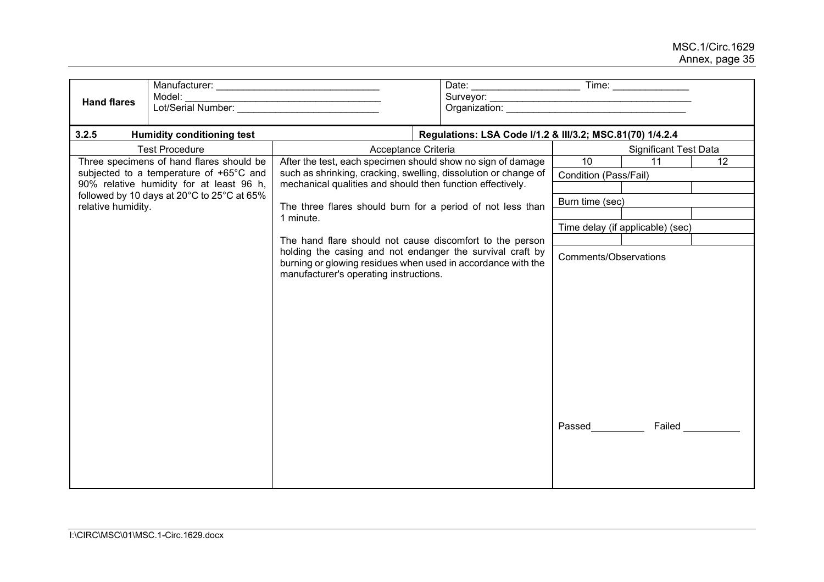| <b>Hand flares</b>                                                                                                                          | Model:                                   |                                                                                                                                                                     |  |                 |                                                           |                              |                         |  |
|---------------------------------------------------------------------------------------------------------------------------------------------|------------------------------------------|---------------------------------------------------------------------------------------------------------------------------------------------------------------------|--|-----------------|-----------------------------------------------------------|------------------------------|-------------------------|--|
| 3.2.5                                                                                                                                       | <b>Humidity conditioning test</b>        |                                                                                                                                                                     |  |                 | Regulations: LSA Code I/1.2 & III/3.2; MSC.81(70) 1/4.2.4 |                              |                         |  |
|                                                                                                                                             | <b>Test Procedure</b>                    | Acceptance Criteria                                                                                                                                                 |  |                 |                                                           | <b>Significant Test Data</b> |                         |  |
|                                                                                                                                             | Three specimens of hand flares should be | After the test, each specimen should show no sign of damage                                                                                                         |  |                 | 10                                                        | 11                           | 12                      |  |
| subjected to a temperature of +65°C and<br>90% relative humidity for at least 96 h,                                                         |                                          | such as shrinking, cracking, swelling, dissolution or change of                                                                                                     |  |                 | Condition (Pass/Fail)                                     |                              |                         |  |
|                                                                                                                                             |                                          | mechanical qualities and should then function effectively.                                                                                                          |  |                 |                                                           |                              |                         |  |
| followed by 10 days at 20°C to 25°C at 65%<br>The three flares should burn for a period of not less than<br>relative humidity.<br>1 minute. |                                          |                                                                                                                                                                     |  | Burn time (sec) |                                                           |                              |                         |  |
|                                                                                                                                             |                                          |                                                                                                                                                                     |  |                 |                                                           |                              |                         |  |
|                                                                                                                                             |                                          |                                                                                                                                                                     |  |                 | Time delay (if applicable) (sec)                          |                              |                         |  |
|                                                                                                                                             |                                          | The hand flare should not cause discomfort to the person                                                                                                            |  |                 |                                                           |                              |                         |  |
|                                                                                                                                             |                                          | holding the casing and not endanger the survival craft by<br>burning or glowing residues when used in accordance with the<br>manufacturer's operating instructions. |  |                 | <b>Comments/Observations</b><br>Passed                    |                              | <b>Failed Example 1</b> |  |
|                                                                                                                                             |                                          |                                                                                                                                                                     |  |                 |                                                           |                              |                         |  |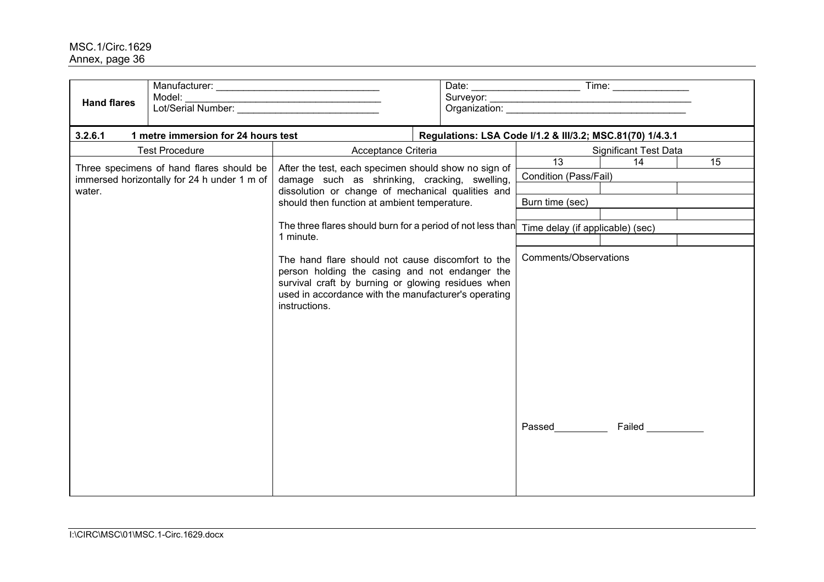| <b>Hand flares</b>                                                                                                                                                                     | Model:                                   |                                                                                                                                                                                                                                    |                                                           |                                        |                         |    |  |
|----------------------------------------------------------------------------------------------------------------------------------------------------------------------------------------|------------------------------------------|------------------------------------------------------------------------------------------------------------------------------------------------------------------------------------------------------------------------------------|-----------------------------------------------------------|----------------------------------------|-------------------------|----|--|
| 3.2.6.1                                                                                                                                                                                | 1 metre immersion for 24 hours test      |                                                                                                                                                                                                                                    | Regulations: LSA Code I/1.2 & III/3.2; MSC.81(70) 1/4.3.1 |                                        |                         |    |  |
|                                                                                                                                                                                        | <b>Test Procedure</b>                    | Acceptance Criteria                                                                                                                                                                                                                | <b>Significant Test Data</b>                              |                                        |                         |    |  |
|                                                                                                                                                                                        | Three specimens of hand flares should be | After the test, each specimen should show no sign of                                                                                                                                                                               |                                                           | 13                                     | 14                      | 15 |  |
| immersed horizontally for 24 h under 1 m of                                                                                                                                            |                                          | damage such as shrinking, cracking, swelling,                                                                                                                                                                                      | Condition (Pass/Fail)                                     |                                        |                         |    |  |
| dissolution or change of mechanical qualities and<br>water.<br>should then function at ambient temperature.<br>The three flares should burn for a period of not less than<br>1 minute. |                                          |                                                                                                                                                                                                                                    |                                                           |                                        |                         |    |  |
|                                                                                                                                                                                        |                                          |                                                                                                                                                                                                                                    |                                                           | Burn time (sec)                        |                         |    |  |
|                                                                                                                                                                                        |                                          |                                                                                                                                                                                                                                    |                                                           | Time delay (if applicable) (sec)       |                         |    |  |
|                                                                                                                                                                                        |                                          |                                                                                                                                                                                                                                    |                                                           |                                        |                         |    |  |
|                                                                                                                                                                                        |                                          | The hand flare should not cause discomfort to the<br>person holding the casing and not endanger the<br>survival craft by burning or glowing residues when<br>used in accordance with the manufacturer's operating<br>instructions. |                                                           | <b>Comments/Observations</b><br>Passed | <b>Failed Example 1</b> |    |  |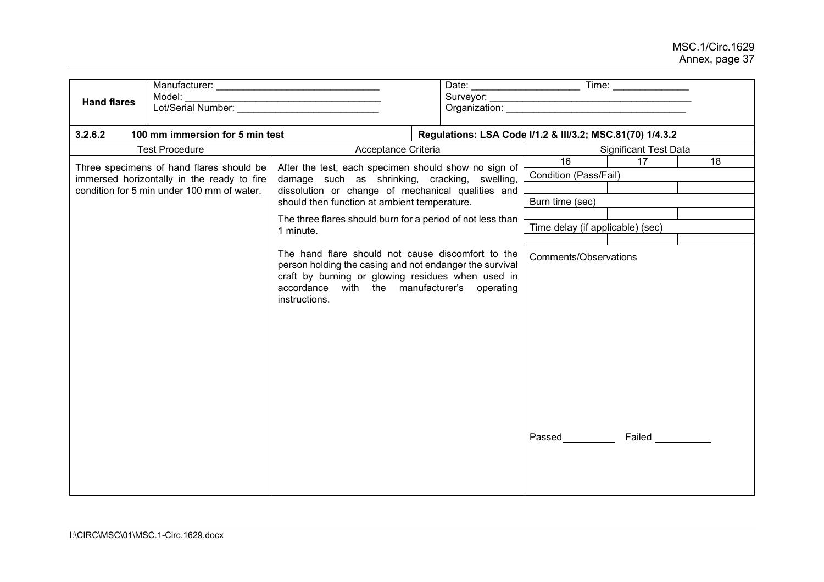| <b>Hand flares</b>                                                                                                                                                                                                                                                                                                   | Model:<br>Lot/Serial Number:    |                                                                                                                                                                                                                                    |  |                                                           |                                         |                   |  |  |
|----------------------------------------------------------------------------------------------------------------------------------------------------------------------------------------------------------------------------------------------------------------------------------------------------------------------|---------------------------------|------------------------------------------------------------------------------------------------------------------------------------------------------------------------------------------------------------------------------------|--|-----------------------------------------------------------|-----------------------------------------|-------------------|--|--|
| 3.2.6.2                                                                                                                                                                                                                                                                                                              | 100 mm immersion for 5 min test |                                                                                                                                                                                                                                    |  | Regulations: LSA Code I/1.2 & III/3.2; MSC.81(70) 1/4.3.2 |                                         |                   |  |  |
|                                                                                                                                                                                                                                                                                                                      | <b>Test Procedure</b>           | Acceptance Criteria                                                                                                                                                                                                                |  |                                                           | <b>Significant Test Data</b>            |                   |  |  |
| Three specimens of hand flares should be<br>immersed horizontally in the ready to fire<br>condition for 5 min under 100 mm of water.<br>dissolution or change of mechanical qualities and<br>should then function at ambient temperature.<br>The three flares should burn for a period of not less than<br>1 minute. |                                 | After the test, each specimen should show no sign of<br>damage such as shrinking, cracking, swelling,                                                                                                                              |  |                                                           | 16<br>17<br>18<br>Condition (Pass/Fail) |                   |  |  |
|                                                                                                                                                                                                                                                                                                                      |                                 |                                                                                                                                                                                                                                    |  |                                                           | Burn time (sec)                         |                   |  |  |
|                                                                                                                                                                                                                                                                                                                      |                                 |                                                                                                                                                                                                                                    |  | Time delay (if applicable) (sec)                          |                                         |                   |  |  |
|                                                                                                                                                                                                                                                                                                                      |                                 |                                                                                                                                                                                                                                    |  |                                                           |                                         |                   |  |  |
|                                                                                                                                                                                                                                                                                                                      |                                 | The hand flare should not cause discomfort to the<br>person holding the casing and not endanger the survival<br>craft by burning or glowing residues when used in<br>accordance with the manufacturer's operating<br>instructions. |  |                                                           | Comments/Observations                   |                   |  |  |
|                                                                                                                                                                                                                                                                                                                      |                                 |                                                                                                                                                                                                                                    |  |                                                           | Passed___                               | Failed __________ |  |  |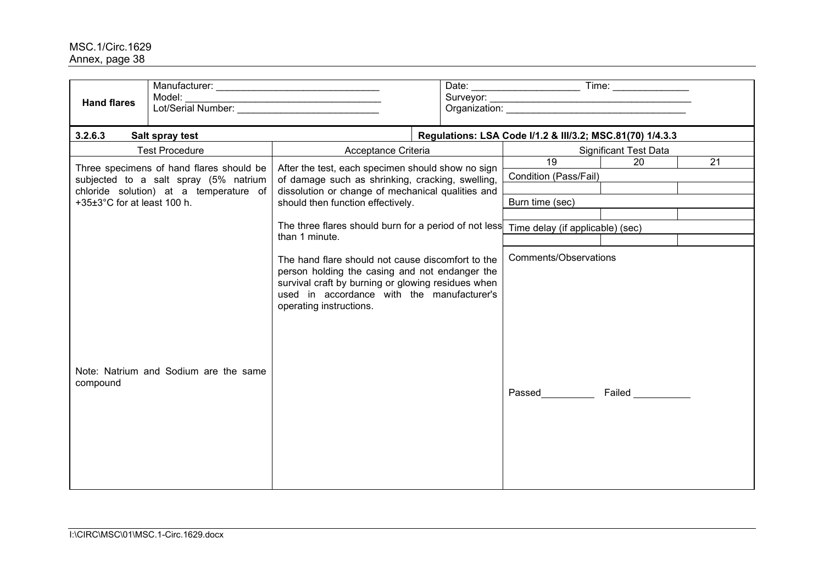| <b>Hand flares</b>                                                                                                                                         | Model:<br>Lot/Serial Number:          |                                                                                                                                                                                                                                    |                                                |                                                           |    |  |
|------------------------------------------------------------------------------------------------------------------------------------------------------------|---------------------------------------|------------------------------------------------------------------------------------------------------------------------------------------------------------------------------------------------------------------------------------|------------------------------------------------|-----------------------------------------------------------|----|--|
| 3.2.6.3                                                                                                                                                    | Salt spray test                       |                                                                                                                                                                                                                                    |                                                | Regulations: LSA Code I/1.2 & III/3.2; MSC.81(70) 1/4.3.3 |    |  |
|                                                                                                                                                            | <b>Test Procedure</b>                 | Acceptance Criteria                                                                                                                                                                                                                |                                                | <b>Significant Test Data</b>                              |    |  |
| Three specimens of hand flares should be<br>subjected to a salt spray (5% natrium<br>chloride solution) at a temperature of<br>+35±3°C for at least 100 h. |                                       | After the test, each specimen should show no sign<br>of damage such as shrinking, cracking, swelling,<br>dissolution or change of mechanical qualities and<br>should then function effectively.                                    | 19<br>Condition (Pass/Fail)<br>Burn time (sec) | 20                                                        | 21 |  |
|                                                                                                                                                            |                                       | The three flares should burn for a period of not less<br>than 1 minute.                                                                                                                                                            |                                                | Time delay (if applicable) (sec)                          |    |  |
| compound                                                                                                                                                   | Note: Natrium and Sodium are the same | The hand flare should not cause discomfort to the<br>person holding the casing and not endanger the<br>survival craft by burning or glowing residues when<br>used in accordance with the manufacturer's<br>operating instructions. |                                                | Comments/Observations<br><b>Passed Example 20</b>         |    |  |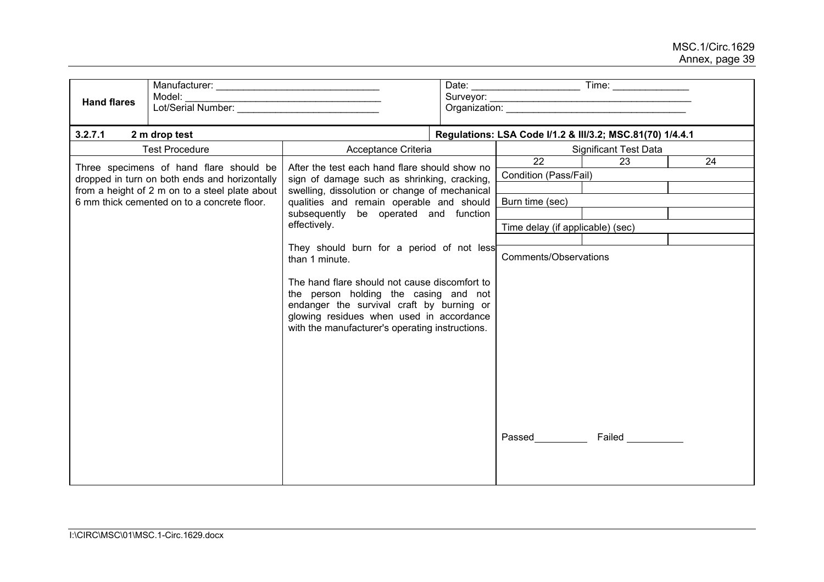| <b>Hand flares</b>                                                                                                                                                                        | Model:                |                                                                                                                                                                                                                                                                                                   |                                                           |                                                             |                              |    |  |  |
|-------------------------------------------------------------------------------------------------------------------------------------------------------------------------------------------|-----------------------|---------------------------------------------------------------------------------------------------------------------------------------------------------------------------------------------------------------------------------------------------------------------------------------------------|-----------------------------------------------------------|-------------------------------------------------------------|------------------------------|----|--|--|
| 3.2.7.1                                                                                                                                                                                   | 2 m drop test         |                                                                                                                                                                                                                                                                                                   | Regulations: LSA Code I/1.2 & III/3.2; MSC.81(70) 1/4.4.1 |                                                             |                              |    |  |  |
|                                                                                                                                                                                           | <b>Test Procedure</b> | Acceptance Criteria                                                                                                                                                                                                                                                                               |                                                           |                                                             | <b>Significant Test Data</b> |    |  |  |
| Three specimens of hand flare should be<br>dropped in turn on both ends and horizontally<br>from a height of 2 m on to a steel plate about<br>6 mm thick cemented on to a concrete floor. |                       | After the test each hand flare should show no<br>sign of damage such as shrinking, cracking,<br>swelling, dissolution or change of mechanical<br>qualities and remain operable and should                                                                                                         |                                                           | $\overline{22}$<br>Condition (Pass/Fail)<br>Burn time (sec) | 23                           | 24 |  |  |
| subsequently be operated and function<br>effectively.                                                                                                                                     |                       |                                                                                                                                                                                                                                                                                                   |                                                           |                                                             |                              |    |  |  |
|                                                                                                                                                                                           |                       |                                                                                                                                                                                                                                                                                                   |                                                           | Time delay (if applicable) (sec)                            |                              |    |  |  |
|                                                                                                                                                                                           |                       | They should burn for a period of not less<br>than 1 minute.<br>The hand flare should not cause discomfort to<br>the person holding the casing and not<br>endanger the survival craft by burning or<br>glowing residues when used in accordance<br>with the manufacturer's operating instructions. |                                                           | Comments/Observations                                       |                              |    |  |  |
|                                                                                                                                                                                           |                       |                                                                                                                                                                                                                                                                                                   |                                                           | Passed                                                      | <b>Failed Example 1</b>      |    |  |  |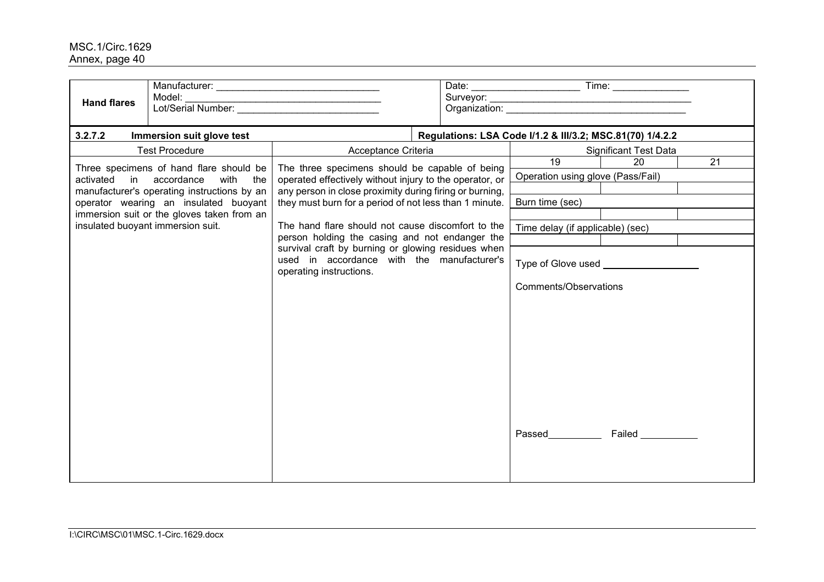| <b>Hand flares</b>      | Model:<br>Lot/Serial Number:                                                                                                                                                                                                   |                                                                                                                                                                                                                                                                                                                                                                                                                                                                      | Surveyor: |                                                                                                                                                                                 |                               |    |  |
|-------------------------|--------------------------------------------------------------------------------------------------------------------------------------------------------------------------------------------------------------------------------|----------------------------------------------------------------------------------------------------------------------------------------------------------------------------------------------------------------------------------------------------------------------------------------------------------------------------------------------------------------------------------------------------------------------------------------------------------------------|-----------|---------------------------------------------------------------------------------------------------------------------------------------------------------------------------------|-------------------------------|----|--|
| 3.2.7.2                 | Immersion suit glove test                                                                                                                                                                                                      |                                                                                                                                                                                                                                                                                                                                                                                                                                                                      |           | Regulations: LSA Code I/1.2 & III/3.2; MSC.81(70) 1/4.2.2                                                                                                                       |                               |    |  |
|                         | <b>Test Procedure</b>                                                                                                                                                                                                          | Acceptance Criteria                                                                                                                                                                                                                                                                                                                                                                                                                                                  |           |                                                                                                                                                                                 | <b>Significant Test Data</b>  |    |  |
| activated in accordance | Three specimens of hand flare should be<br>with the<br>manufacturer's operating instructions by an<br>operator wearing an insulated buoyant<br>immersion suit or the gloves taken from an<br>insulated buoyant immersion suit. | The three specimens should be capable of being<br>operated effectively without injury to the operator, or<br>any person in close proximity during firing or burning,<br>they must burn for a period of not less than 1 minute.<br>The hand flare should not cause discomfort to the<br>person holding the casing and not endanger the<br>survival craft by burning or glowing residues when<br>used in accordance with the manufacturer's<br>operating instructions. |           | 19<br>Operation using glove (Pass/Fail)<br>Burn time (sec)<br>Time delay (if applicable) (sec)<br>Type of Glove used <b>with the Control</b><br>Comments/Observations<br>Passed | 20<br><b>Failed Example 1</b> | 21 |  |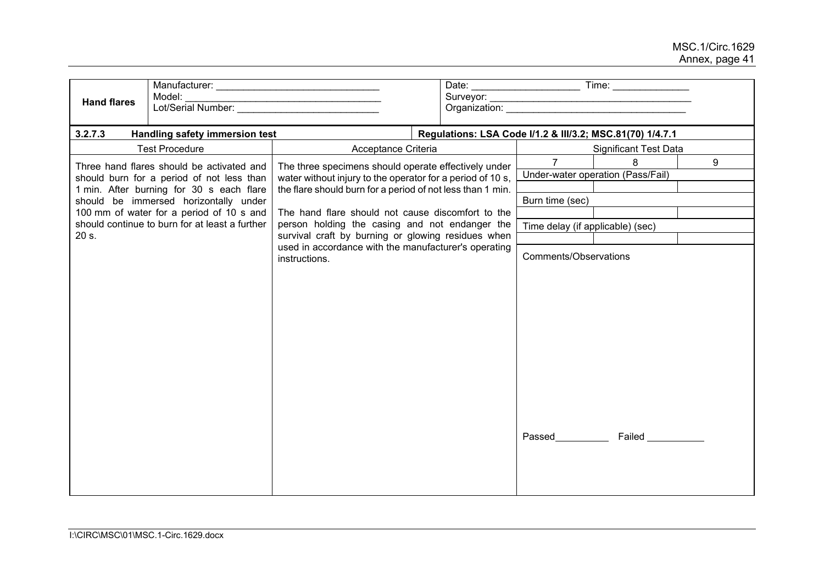| <b>Hand flares</b>                                                                                                                                                         | Model:                                         |                                                                       |  | Organization: University of the Community of the Community of the Community of the Community of the Community of the Community of the Community of the Community of the Community of the Community of the Community of the Com |                                                           |   |
|----------------------------------------------------------------------------------------------------------------------------------------------------------------------------|------------------------------------------------|-----------------------------------------------------------------------|--|--------------------------------------------------------------------------------------------------------------------------------------------------------------------------------------------------------------------------------|-----------------------------------------------------------|---|
| 3.2.7.3                                                                                                                                                                    | Handling safety immersion test                 |                                                                       |  |                                                                                                                                                                                                                                | Regulations: LSA Code I/1.2 & III/3.2; MSC.81(70) 1/4.7.1 |   |
|                                                                                                                                                                            | <b>Test Procedure</b>                          | Acceptance Criteria                                                   |  |                                                                                                                                                                                                                                | <b>Significant Test Data</b>                              |   |
| Three hand flares should be activated and                                                                                                                                  |                                                | The three specimens should operate effectively under                  |  | $\overline{7}$                                                                                                                                                                                                                 | 8                                                         | 9 |
| should burn for a period of not less than<br>1 min. After burning for 30 s each flare<br>should be immersed horizontally under<br>100 mm of water for a period of 10 s and |                                                | water without injury to the operator for a period of 10 s,            |  |                                                                                                                                                                                                                                | Under-water operation (Pass/Fail)                         |   |
|                                                                                                                                                                            |                                                | the flare should burn for a period of not less than 1 min.            |  |                                                                                                                                                                                                                                |                                                           |   |
|                                                                                                                                                                            |                                                | The hand flare should not cause discomfort to the                     |  | Burn time (sec)                                                                                                                                                                                                                |                                                           |   |
|                                                                                                                                                                            | should continue to burn for at least a further | person holding the casing and not endanger the                        |  |                                                                                                                                                                                                                                |                                                           |   |
| 20 s.                                                                                                                                                                      |                                                | survival craft by burning or glowing residues when                    |  | Time delay (if applicable) (sec)                                                                                                                                                                                               |                                                           |   |
|                                                                                                                                                                            |                                                | used in accordance with the manufacturer's operating<br>instructions. |  | Comments/Observations<br><b>Passed Example 20</b>                                                                                                                                                                              | Failed ______                                             |   |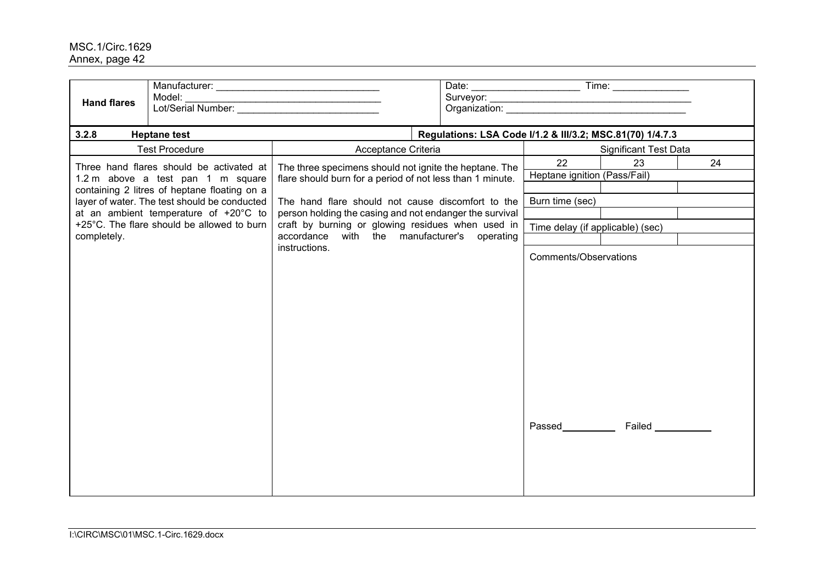| <b>Hand flares</b> | Model:                                                                                                                        |                                                                                                                                                                          |                                                           |                                  |                                          |  |  |  |  |  |
|--------------------|-------------------------------------------------------------------------------------------------------------------------------|--------------------------------------------------------------------------------------------------------------------------------------------------------------------------|-----------------------------------------------------------|----------------------------------|------------------------------------------|--|--|--|--|--|
| 3.2.8              | <b>Heptane test</b>                                                                                                           |                                                                                                                                                                          | Regulations: LSA Code I/1.2 & III/3.2; MSC.81(70) 1/4.7.3 |                                  |                                          |  |  |  |  |  |
|                    | <b>Test Procedure</b>                                                                                                         | Acceptance Criteria                                                                                                                                                      |                                                           |                                  | <b>Significant Test Data</b>             |  |  |  |  |  |
|                    | Three hand flares should be activated at<br>1.2 m above a test pan 1 m square<br>containing 2 litres of heptane floating on a | The three specimens should not ignite the heptane. The<br>flare should burn for a period of not less than 1 minute.<br>The hand flare should not cause discomfort to the |                                                           | 22                               | 23<br>24<br>Heptane ignition (Pass/Fail) |  |  |  |  |  |
|                    | layer of water. The test should be conducted<br>at an ambient temperature of +20°C to                                         | Burn time (sec)                                                                                                                                                          |                                                           |                                  |                                          |  |  |  |  |  |
| completely.        | +25°C. The flare should be allowed to burn                                                                                    | person holding the casing and not endanger the survival<br>craft by burning or glowing residues when used in<br>accordance with the manufacturer's operating             |                                                           | Time delay (if applicable) (sec) |                                          |  |  |  |  |  |
|                    |                                                                                                                               | instructions.                                                                                                                                                            |                                                           | Comments/Observations            |                                          |  |  |  |  |  |
|                    |                                                                                                                               |                                                                                                                                                                          |                                                           | Passed                           | Failed ___________                       |  |  |  |  |  |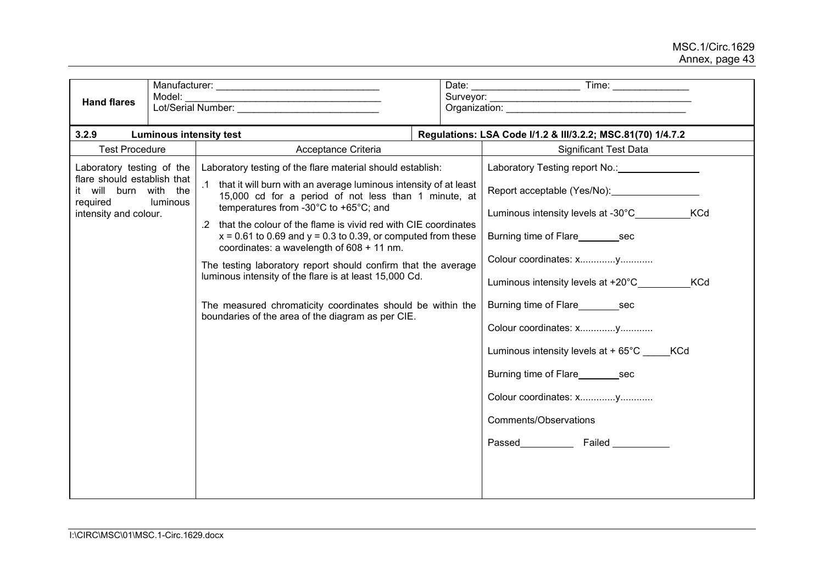| <b>Hand flares</b>                                                                                                     | Model:   |                                                                                                                                                                                                                                                                                                                                                                                                                                                                                                                                                                                                                                                                        |                                                             |                                                                                                                                                                                                                                                                                                                                                                      |  |  |  |  |  |
|------------------------------------------------------------------------------------------------------------------------|----------|------------------------------------------------------------------------------------------------------------------------------------------------------------------------------------------------------------------------------------------------------------------------------------------------------------------------------------------------------------------------------------------------------------------------------------------------------------------------------------------------------------------------------------------------------------------------------------------------------------------------------------------------------------------------|-------------------------------------------------------------|----------------------------------------------------------------------------------------------------------------------------------------------------------------------------------------------------------------------------------------------------------------------------------------------------------------------------------------------------------------------|--|--|--|--|--|
| 3.2.9                                                                                                                  |          | <b>Luminous intensity test</b>                                                                                                                                                                                                                                                                                                                                                                                                                                                                                                                                                                                                                                         | Regulations: LSA Code I/1.2 & III/3.2.2; MSC.81(70) 1/4.7.2 |                                                                                                                                                                                                                                                                                                                                                                      |  |  |  |  |  |
| <b>Test Procedure</b>                                                                                                  |          | Acceptance Criteria                                                                                                                                                                                                                                                                                                                                                                                                                                                                                                                                                                                                                                                    | <b>Significant Test Data</b>                                |                                                                                                                                                                                                                                                                                                                                                                      |  |  |  |  |  |
| Laboratory testing of the<br>flare should establish that<br>it will burn with the<br>required<br>intensity and colour. | luminous | Laboratory testing of the flare material should establish:<br>.1 that it will burn with an average luminous intensity of at least<br>15,000 cd for a period of not less than 1 minute, at<br>temperatures from -30°C to +65°C; and<br>.2 that the colour of the flame is vivid red with CIE coordinates<br>$x = 0.61$ to 0.69 and $y = 0.3$ to 0.39, or computed from these<br>coordinates: a wavelength of 608 + 11 nm.<br>The testing laboratory report should confirm that the average<br>luminous intensity of the flare is at least 15,000 Cd.<br>The measured chromaticity coordinates should be within the<br>boundaries of the area of the diagram as per CIE. |                                                             | Report acceptable (Yes/No): Report acceptable (Yes/No):<br>Luminous intensity levels at -30°C<br><b>KCd</b><br>Burning time of Flare________sec<br>Luminous intensity levels at +20°C_________<br><b>KCd</b><br>Burning time of Flare Sec<br>Luminous intensity levels at $+65^{\circ}$ C KCd<br>Burning time of Flare sec<br>Comments/Observations<br>Passed Failed |  |  |  |  |  |
|                                                                                                                        |          |                                                                                                                                                                                                                                                                                                                                                                                                                                                                                                                                                                                                                                                                        |                                                             |                                                                                                                                                                                                                                                                                                                                                                      |  |  |  |  |  |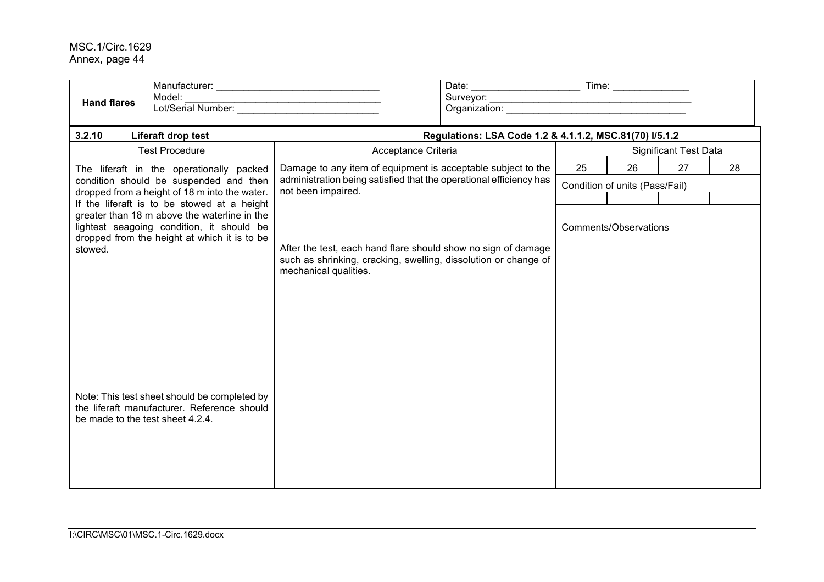| Model:<br><b>Hand flares</b>                                                                                                                                                                                                                                                                                                           | Lot/Serial Number:                                                                                                                                        |                                                         |    |                                |                              |    |  |  |  |  |  |  |
|----------------------------------------------------------------------------------------------------------------------------------------------------------------------------------------------------------------------------------------------------------------------------------------------------------------------------------------|-----------------------------------------------------------------------------------------------------------------------------------------------------------|---------------------------------------------------------|----|--------------------------------|------------------------------|----|--|--|--|--|--|--|
| 3.2.10<br>Liferaft drop test                                                                                                                                                                                                                                                                                                           |                                                                                                                                                           | Regulations: LSA Code 1.2 & 4.1.1.2, MSC.81(70) I/5.1.2 |    |                                |                              |    |  |  |  |  |  |  |
| <b>Test Procedure</b>                                                                                                                                                                                                                                                                                                                  | Acceptance Criteria                                                                                                                                       |                                                         |    |                                | <b>Significant Test Data</b> |    |  |  |  |  |  |  |
| The liferaft in the operationally packed                                                                                                                                                                                                                                                                                               | Damage to any item of equipment is acceptable subject to the                                                                                              |                                                         | 25 | 26                             | 27                           | 28 |  |  |  |  |  |  |
| condition should be suspended and then<br>dropped from a height of 18 m into the water.                                                                                                                                                                                                                                                | administration being satisfied that the operational efficiency has<br>not been impaired.                                                                  |                                                         |    | Condition of units (Pass/Fail) |                              |    |  |  |  |  |  |  |
| If the liferaft is to be stowed at a height<br>greater than 18 m above the waterline in the<br>lightest seagoing condition, it should be<br>dropped from the height at which it is to be<br>stowed.<br>Note: This test sheet should be completed by<br>the liferaft manufacturer. Reference should<br>be made to the test sheet 4.2.4. | After the test, each hand flare should show no sign of damage<br>such as shrinking, cracking, swelling, dissolution or change of<br>mechanical qualities. |                                                         |    | Comments/Observations          |                              |    |  |  |  |  |  |  |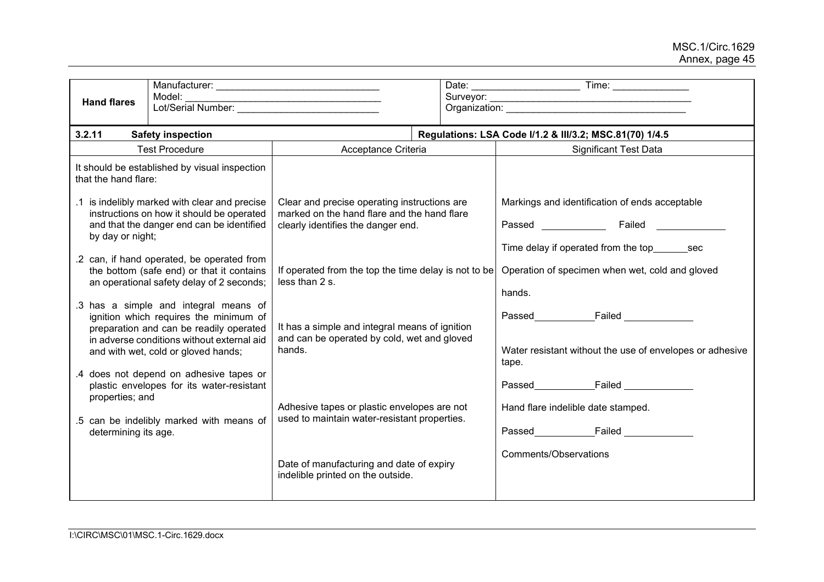| <b>Hand flares</b>                      | Model:<br>Lot/Serial Number:                                                                                                                                                                                    |                                                                                                                                   |  |                                                                                                                    |  |  |  |  |  |
|-----------------------------------------|-----------------------------------------------------------------------------------------------------------------------------------------------------------------------------------------------------------------|-----------------------------------------------------------------------------------------------------------------------------------|--|--------------------------------------------------------------------------------------------------------------------|--|--|--|--|--|
| 3.2.11                                  | <b>Safety inspection</b>                                                                                                                                                                                        | Regulations: LSA Code I/1.2 & III/3.2; MSC.81(70) 1/4.5                                                                           |  |                                                                                                                    |  |  |  |  |  |
|                                         | <b>Test Procedure</b>                                                                                                                                                                                           | Acceptance Criteria                                                                                                               |  | <b>Significant Test Data</b>                                                                                       |  |  |  |  |  |
| that the hand flare:                    | It should be established by visual inspection                                                                                                                                                                   |                                                                                                                                   |  |                                                                                                                    |  |  |  |  |  |
| by day or night;                        | .1 is indelibly marked with clear and precise<br>instructions on how it should be operated<br>and that the danger end can be identified                                                                         | Clear and precise operating instructions are<br>marked on the hand flare and the hand flare<br>clearly identifies the danger end. |  | Markings and identification of ends acceptable<br>Passed Failed<br>Time delay if operated from the top_________sec |  |  |  |  |  |
|                                         | .2 can, if hand operated, be operated from<br>the bottom (safe end) or that it contains<br>an operational safety delay of 2 seconds;                                                                            | If operated from the top the time delay is not to be<br>less than 2 s.                                                            |  | Operation of specimen when wet, cold and gloved<br>hands.                                                          |  |  |  |  |  |
|                                         | .3 has a simple and integral means of<br>ignition which requires the minimum of<br>preparation and can be readily operated<br>in adverse conditions without external aid<br>and with wet, cold or gloved hands; | It has a simple and integral means of ignition<br>and can be operated by cold, wet and gloved<br>hands.                           |  | Passed Failed<br>Water resistant without the use of envelopes or adhesive<br>tape.                                 |  |  |  |  |  |
| properties; and<br>determining its age. | .4 does not depend on adhesive tapes or<br>plastic envelopes for its water-resistant<br>.5 can be indelibly marked with means of                                                                                | Adhesive tapes or plastic envelopes are not<br>used to maintain water-resistant properties.                                       |  | Hand flare indelible date stamped.                                                                                 |  |  |  |  |  |
|                                         |                                                                                                                                                                                                                 | Date of manufacturing and date of expiry<br>indelible printed on the outside.                                                     |  | Comments/Observations                                                                                              |  |  |  |  |  |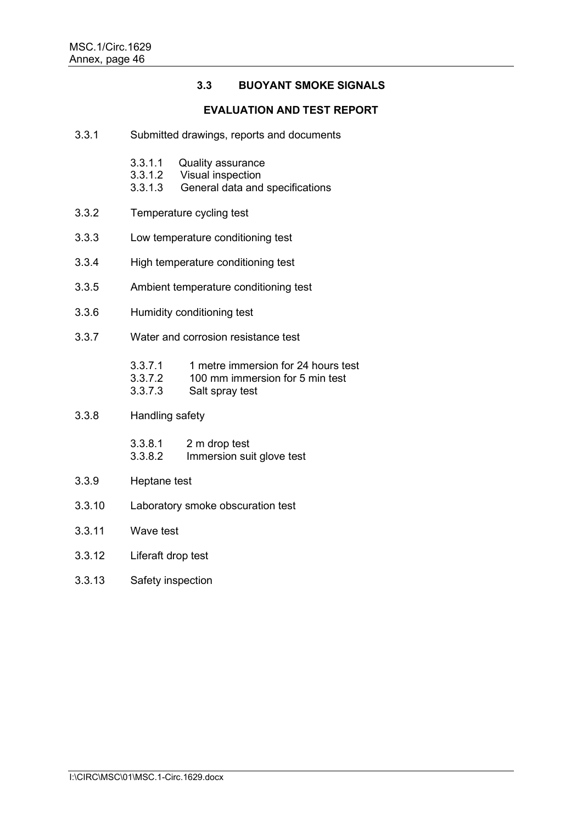# **3.3 BUOYANT SMOKE SIGNALS**

#### **EVALUATION AND TEST REPORT**

- 3.3.1 Submitted drawings, reports and documents
	- 3.3.1.1 Quality assurance<br>3.3.1.2 Visual inspection
	- 3.3.1.2 Visual inspection
	- General data and specifications
- 3.3.2 Temperature cycling test
- 3.3.3 Low temperature conditioning test
- 3.3.4 High temperature conditioning test
- 3.3.5 Ambient temperature conditioning test
- 3.3.6 Humidity conditioning test
- 3.3.7 Water and corrosion resistance test
	- 3.3.7.1 1 metre immersion for 24 hours test<br>3.3.7.2 100 mm immersion for 5 min test
	- 3.3.7.2 100 mm immersion for 5 min test<br>3.3.7.3 Salt spray test
	- Salt spray test
- 3.3.8 Handling safety
	- 3.3.8.1 2 m drop test
	- 3.3.8.2 Immersion suit glove test
- 3.3.9 Heptane test
- 3.3.10 Laboratory smoke obscuration test
- 3.3.11 Wave test
- 3.3.12 Liferaft drop test
- 3.3.13 Safety inspection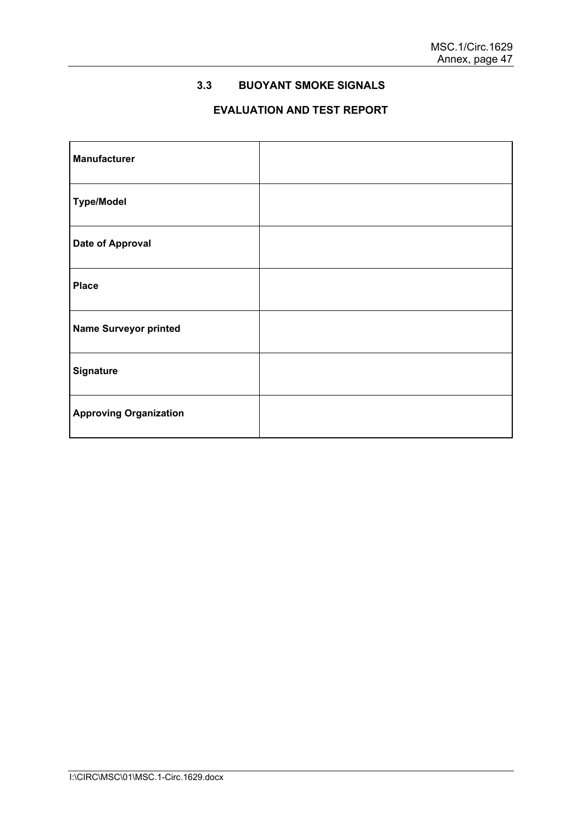# **3.3 BUOYANT SMOKE SIGNALS**

# **EVALUATION AND TEST REPORT**

| <b>Manufacturer</b>           |  |
|-------------------------------|--|
| <b>Type/Model</b>             |  |
| <b>Date of Approval</b>       |  |
| <b>Place</b>                  |  |
| <b>Name Surveyor printed</b>  |  |
| <b>Signature</b>              |  |
| <b>Approving Organization</b> |  |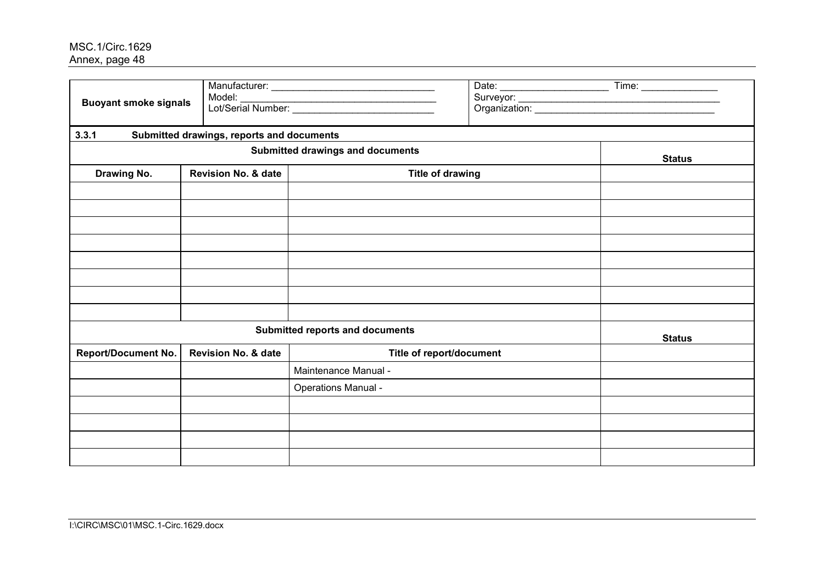| <b>Buoyant smoke signals</b> | Model:                                    |                                        |  |               |
|------------------------------|-------------------------------------------|----------------------------------------|--|---------------|
| 3.3.1                        | Submitted drawings, reports and documents |                                        |  |               |
|                              | <b>Status</b>                             |                                        |  |               |
| Drawing No.                  | <b>Revision No. &amp; date</b>            | <b>Title of drawing</b>                |  |               |
|                              |                                           |                                        |  |               |
|                              |                                           |                                        |  |               |
|                              |                                           |                                        |  |               |
|                              |                                           |                                        |  |               |
|                              |                                           |                                        |  |               |
|                              |                                           |                                        |  |               |
|                              |                                           |                                        |  |               |
|                              |                                           |                                        |  |               |
|                              |                                           | <b>Submitted reports and documents</b> |  | <b>Status</b> |
| <b>Report/Document No.</b>   | Revision No. & date                       | Title of report/document               |  |               |
|                              |                                           | Maintenance Manual -                   |  |               |
|                              |                                           | <b>Operations Manual -</b>             |  |               |
|                              |                                           |                                        |  |               |
|                              |                                           |                                        |  |               |
|                              |                                           |                                        |  |               |
|                              |                                           |                                        |  |               |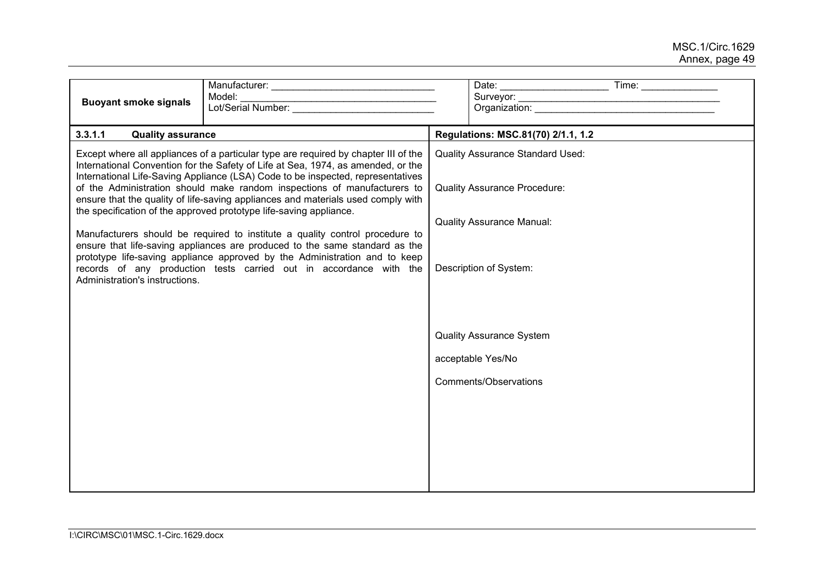| <b>Buoyant smoke signals</b>        | Model:                                                                                                                                                                                                                                                                                                                                                                                                                                                                                           |                                                                                |                                    |  |  |  |  |  |
|-------------------------------------|--------------------------------------------------------------------------------------------------------------------------------------------------------------------------------------------------------------------------------------------------------------------------------------------------------------------------------------------------------------------------------------------------------------------------------------------------------------------------------------------------|--------------------------------------------------------------------------------|------------------------------------|--|--|--|--|--|
| 3.3.1.1<br><b>Quality assurance</b> |                                                                                                                                                                                                                                                                                                                                                                                                                                                                                                  |                                                                                | Regulations: MSC.81(70) 2/1.1, 1.2 |  |  |  |  |  |
|                                     | Except where all appliances of a particular type are required by chapter III of the<br>International Convention for the Safety of Life at Sea, 1974, as amended, or the<br>International Life-Saving Appliance (LSA) Code to be inspected, representatives<br>of the Administration should make random inspections of manufacturers to<br>ensure that the quality of life-saving appliances and materials used comply with<br>the specification of the approved prototype life-saving appliance. | <b>Quality Assurance Standard Used:</b><br><b>Quality Assurance Procedure:</b> |                                    |  |  |  |  |  |
|                                     |                                                                                                                                                                                                                                                                                                                                                                                                                                                                                                  |                                                                                | <b>Quality Assurance Manual:</b>   |  |  |  |  |  |
| Administration's instructions.      | Manufacturers should be required to institute a quality control procedure to<br>ensure that life-saving appliances are produced to the same standard as the<br>prototype life-saving appliance approved by the Administration and to keep<br>records of any production tests carried out in accordance with the                                                                                                                                                                                  | Description of System:                                                         |                                    |  |  |  |  |  |
|                                     |                                                                                                                                                                                                                                                                                                                                                                                                                                                                                                  | <b>Quality Assurance System</b>                                                |                                    |  |  |  |  |  |
|                                     |                                                                                                                                                                                                                                                                                                                                                                                                                                                                                                  |                                                                                | acceptable Yes/No                  |  |  |  |  |  |
|                                     |                                                                                                                                                                                                                                                                                                                                                                                                                                                                                                  | Comments/Observations                                                          |                                    |  |  |  |  |  |
|                                     |                                                                                                                                                                                                                                                                                                                                                                                                                                                                                                  |                                                                                |                                    |  |  |  |  |  |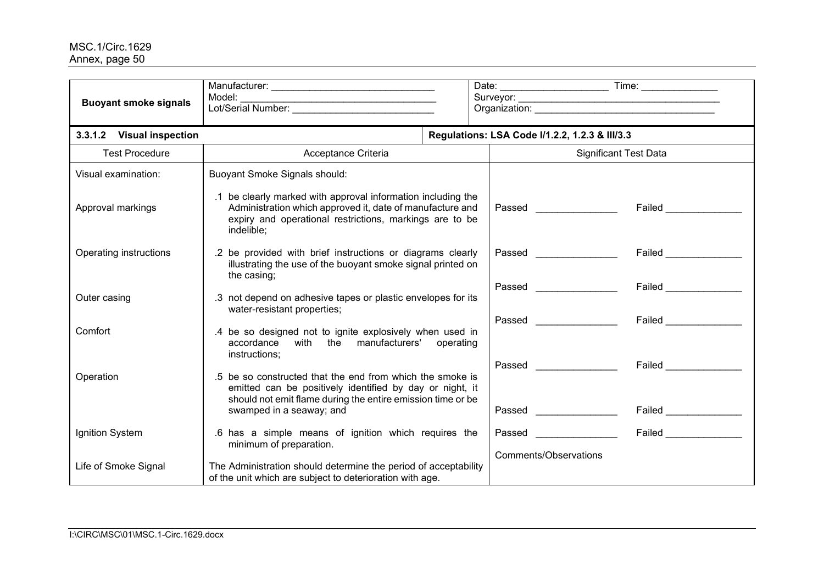| <b>Buoyant smoke signals</b> | Model:                                                                                                                                                                                             |                                                              | Organization: New York Changes and Changes and Changes and Changes and Changes and Changes and Changes and Changes and Changes and Changes and Changes and Changes and Changes and Changes and Changes and Changes and Changes |                                                    |  |  |  |
|------------------------------|----------------------------------------------------------------------------------------------------------------------------------------------------------------------------------------------------|--------------------------------------------------------------|--------------------------------------------------------------------------------------------------------------------------------------------------------------------------------------------------------------------------------|----------------------------------------------------|--|--|--|
| 3.3.1.2 Visual inspection    |                                                                                                                                                                                                    |                                                              | Regulations: LSA Code I/1.2.2, 1.2.3 & III/3.3                                                                                                                                                                                 |                                                    |  |  |  |
| <b>Test Procedure</b>        | Acceptance Criteria                                                                                                                                                                                |                                                              | <b>Significant Test Data</b>                                                                                                                                                                                                   |                                                    |  |  |  |
| Visual examination:          | <b>Buoyant Smoke Signals should:</b>                                                                                                                                                               |                                                              |                                                                                                                                                                                                                                |                                                    |  |  |  |
| Approval markings            | .1 be clearly marked with approval information including the<br>Administration which approved it, date of manufacture and<br>expiry and operational restrictions, markings are to be<br>indelible; |                                                              | Passed Passed                                                                                                                                                                                                                  | <b>Failed Example 19</b>                           |  |  |  |
| Operating instructions       | .2 be provided with brief instructions or diagrams clearly<br>illustrating the use of the buoyant smoke signal printed on<br>the casing;                                                           |                                                              | <b>Passed Example 2016</b><br>Passed <b>Exercise Service Service Service</b>                                                                                                                                                   | Failed _______________<br><b>Failed Example 20</b> |  |  |  |
| Outer casing                 | water-resistant properties;                                                                                                                                                                        | .3 not depend on adhesive tapes or plastic envelopes for its |                                                                                                                                                                                                                                |                                                    |  |  |  |
| Comfort                      | .4 be so designed not to ignite explosively when used in<br>accordance with the manufacturers' operating<br>instructions;                                                                          |                                                              |                                                                                                                                                                                                                                | <b>Failed Example 19</b>                           |  |  |  |
| Operation                    | .5 be so constructed that the end from which the smoke is<br>emitted can be positively identified by day or night, it<br>should not emit flame during the entire emission time or be               |                                                              |                                                                                                                                                                                                                                | <b>Failed Example 1</b>                            |  |  |  |
|                              | swamped in a seaway; and                                                                                                                                                                           |                                                              | Passed ________________                                                                                                                                                                                                        |                                                    |  |  |  |
| Ignition System              | .6 has a simple means of ignition which requires the<br>minimum of preparation.                                                                                                                    |                                                              | <b>Passed Exercise 2020</b>                                                                                                                                                                                                    | <b>Failed Example 19</b>                           |  |  |  |
| Life of Smoke Signal         | The Administration should determine the period of acceptability<br>of the unit which are subject to deterioration with age.                                                                        |                                                              | Comments/Observations                                                                                                                                                                                                          |                                                    |  |  |  |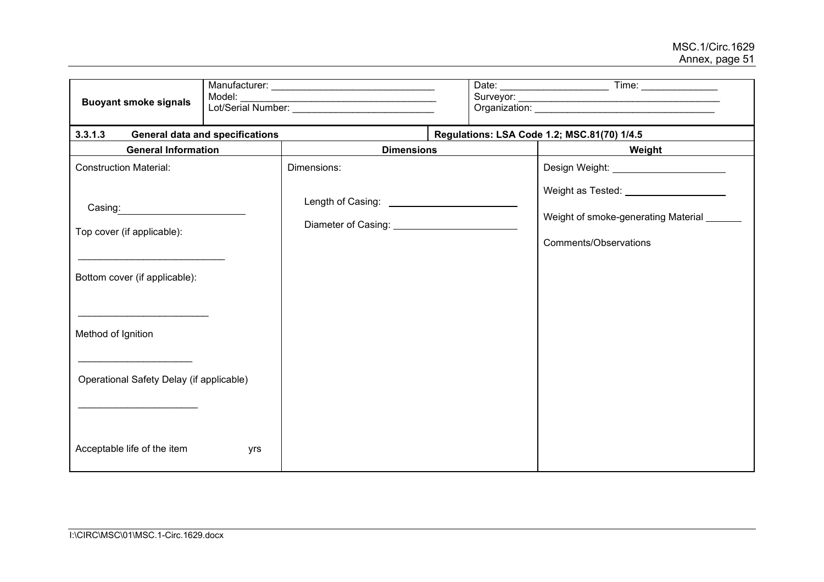| <b>Buoyant smoke signals</b>                                                                                                                                                                    | Model:                                 |                                                                                                                                                                                        |  |                                                                                                                                                           |  |  |  |  |
|-------------------------------------------------------------------------------------------------------------------------------------------------------------------------------------------------|----------------------------------------|----------------------------------------------------------------------------------------------------------------------------------------------------------------------------------------|--|-----------------------------------------------------------------------------------------------------------------------------------------------------------|--|--|--|--|
| 3.3.1.3                                                                                                                                                                                         | <b>General data and specifications</b> |                                                                                                                                                                                        |  | Regulations: LSA Code 1.2; MSC.81(70) 1/4.5                                                                                                               |  |  |  |  |
| <b>General Information</b>                                                                                                                                                                      |                                        | <b>Dimensions</b>                                                                                                                                                                      |  | Weight                                                                                                                                                    |  |  |  |  |
| <b>Construction Material:</b><br>Casing: _____________________<br>Top cover (if applicable):<br>Bottom cover (if applicable):<br>Method of Ignition<br>Operational Safety Delay (if applicable) |                                        | Dimensions:<br>Length of Casing: <u>____________________________</u><br>Diameter of Casing: National Processors Casing Contract Casing Contract Contract Contract Contract Contract Co |  | Design Weight: ________________________<br>Weight as Tested: _____________________<br>Weight of smoke-generating Material ______<br>Comments/Observations |  |  |  |  |
| Acceptable life of the item                                                                                                                                                                     | yrs                                    |                                                                                                                                                                                        |  |                                                                                                                                                           |  |  |  |  |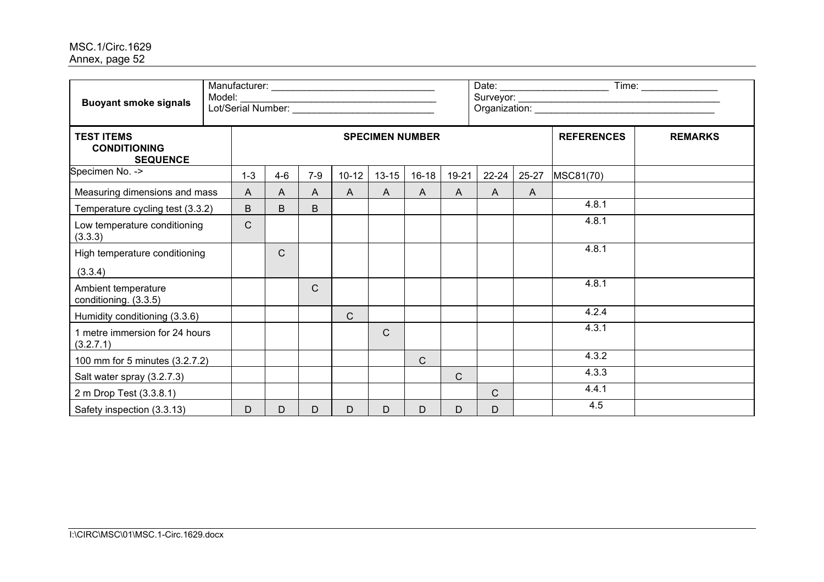| <b>Buoyant smoke signals</b>                                | Model: |              |       |       |              |                        |              |              |           |       |                   |                |
|-------------------------------------------------------------|--------|--------------|-------|-------|--------------|------------------------|--------------|--------------|-----------|-------|-------------------|----------------|
| <b>TEST ITEMS</b><br><b>CONDITIONING</b><br><b>SEQUENCE</b> |        |              |       |       |              | <b>SPECIMEN NUMBER</b> |              |              |           |       | <b>REFERENCES</b> | <b>REMARKS</b> |
| Specimen No. ->                                             |        | $1 - 3$      | $4-6$ | $7-9$ | $10 - 12$    | $13 - 15$              | $16 - 18$    | 19-21        | $22 - 24$ | 25-27 | MSC81(70)         |                |
| Measuring dimensions and mass                               |        | $\mathsf{A}$ | A     | A     | A            | $\mathsf{A}$           | $\mathsf{A}$ | $\mathsf{A}$ | A         | A     |                   |                |
| Temperature cycling test (3.3.2)                            |        | B            | B     | B     |              |                        |              |              |           |       | 4.8.1             |                |
| Low temperature conditioning<br>(3.3.3)                     |        | $\mathsf{C}$ |       |       |              |                        |              |              |           |       | 4.8.1             |                |
| High temperature conditioning                               |        |              | C     |       |              |                        |              |              |           |       | 4.8.1             |                |
| (3.3.4)                                                     |        |              |       |       |              |                        |              |              |           |       |                   |                |
| Ambient temperature<br>conditioning. (3.3.5)                |        |              |       | C     |              |                        |              |              |           |       | 4.8.1             |                |
| Humidity conditioning (3.3.6)                               |        |              |       |       | $\mathsf{C}$ |                        |              |              |           |       | 4.2.4             |                |
| 1 metre immersion for 24 hours<br>(3.2.7.1)                 |        |              |       |       |              | $\mathsf{C}$           |              |              |           |       | 4.3.1             |                |
| 100 mm for 5 minutes (3.2.7.2)                              |        |              |       |       |              |                        | C            |              |           |       | 4.3.2             |                |
| Salt water spray (3.2.7.3)                                  |        |              |       |       |              |                        |              | $\mathsf{C}$ |           |       | 4.3.3             |                |
| 2 m Drop Test (3.3.8.1)                                     |        |              |       |       |              |                        |              |              | C         |       | 4.4.1             |                |
| Safety inspection (3.3.13)                                  |        | D            | D     | D     | D            | D                      | D            | D            | D         |       | 4.5               |                |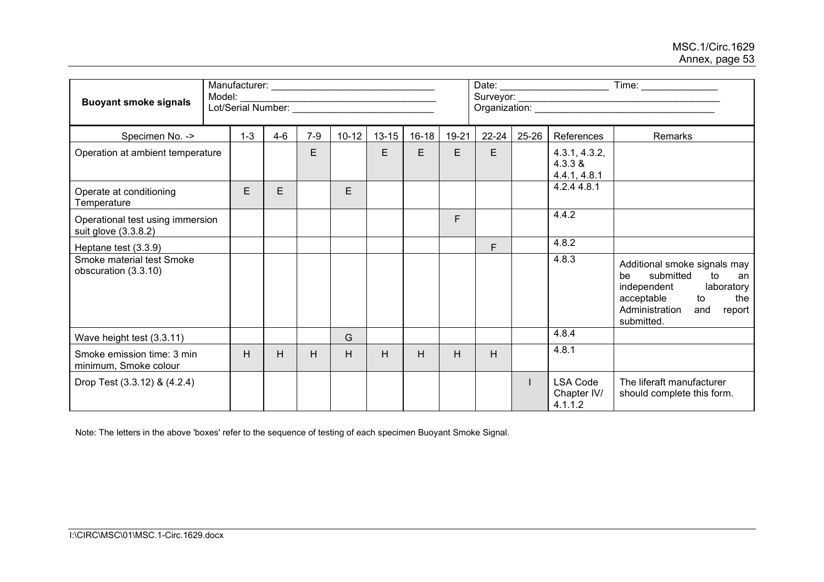| <b>Buoyant smoke signals</b>                             | Model:<br>Lot/Serial Number: |         |       |           |           |           |       | Date: __________________________<br>Organization: William Communication Communication Communication Communication Communication Communication |           |                                           |                                                                                                                                                                      |
|----------------------------------------------------------|------------------------------|---------|-------|-----------|-----------|-----------|-------|-----------------------------------------------------------------------------------------------------------------------------------------------|-----------|-------------------------------------------|----------------------------------------------------------------------------------------------------------------------------------------------------------------------|
| Specimen No. ->                                          | $1 - 3$                      | $4 - 6$ | $7-9$ | $10 - 12$ | $13 - 15$ | $16 - 18$ | 19-21 | $22 - 24$                                                                                                                                     | $25 - 26$ | References                                | Remarks                                                                                                                                                              |
| Operation at ambient temperature                         |                              |         | E     |           | E         | E         | E     | E                                                                                                                                             |           | 4.3.1, 4.3.2,<br>4.3.3 &<br>4.4.1, 4.8.1  |                                                                                                                                                                      |
| Operate at conditioning<br>Temperature                   | E                            | E       |       | E         |           |           |       |                                                                                                                                               |           | 4.2.44.8.1                                |                                                                                                                                                                      |
| Operational test using immersion<br>suit glove (3.3.8.2) |                              |         |       |           |           |           | F     |                                                                                                                                               |           | 4.4.2                                     |                                                                                                                                                                      |
| Heptane test (3.3.9)                                     |                              |         |       |           |           |           |       | F                                                                                                                                             |           | 4.8.2                                     |                                                                                                                                                                      |
| Smoke material test Smoke<br>obscuration (3.3.10)        |                              |         |       |           |           |           |       |                                                                                                                                               |           | 4.8.3                                     | Additional smoke signals may<br>submitted<br>be<br>to<br>an<br>independent<br>laboratory<br>acceptable<br>to<br>the<br>Administration<br>and<br>report<br>submitted. |
| Wave height test (3.3.11)                                |                              |         |       | G         |           |           |       |                                                                                                                                               |           | 4.8.4                                     |                                                                                                                                                                      |
| Smoke emission time: 3 min<br>minimum, Smoke colour      | H                            | H.      | Н     | H         | H         | H         | H     | Н                                                                                                                                             |           | 4.8.1                                     |                                                                                                                                                                      |
| Drop Test (3.3.12) & (4.2.4)                             |                              |         |       |           |           |           |       |                                                                                                                                               |           | <b>LSA Code</b><br>Chapter IV/<br>4.1.1.2 | The liferaft manufacturer<br>should complete this form.                                                                                                              |

Note: The letters in the above 'boxes' refer to the sequence of testing of each specimen Buoyant Smoke Signal.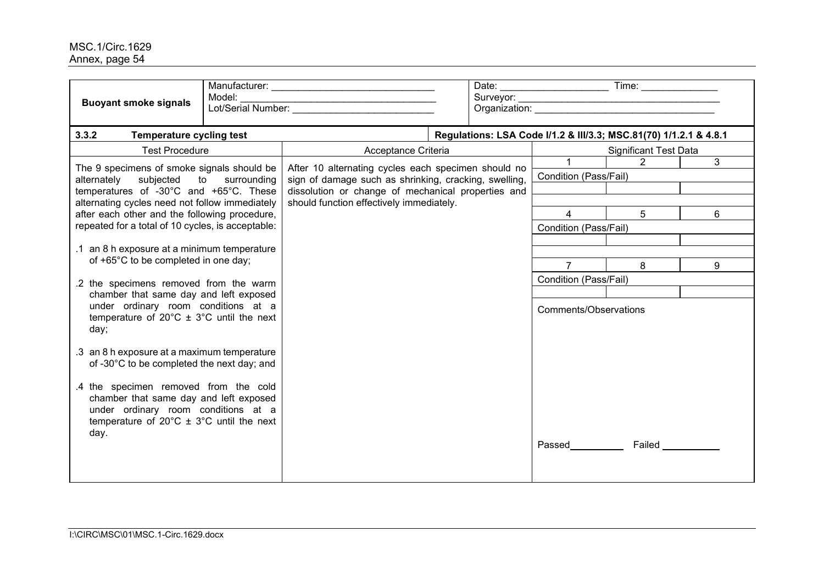| <b>Buoyant smoke signals</b>                                                                                                                                                                   | Model: | Lot/Serial Number:                                    |                       | Organization: New York Changes and Changes and Changes and Changes and Changes and Changes and Changes and Changes and Changes and Changes and Changes and Changes and Changes and Changes and Changes and Changes and Changes |                       |                              |   |  |
|------------------------------------------------------------------------------------------------------------------------------------------------------------------------------------------------|--------|-------------------------------------------------------|-----------------------|--------------------------------------------------------------------------------------------------------------------------------------------------------------------------------------------------------------------------------|-----------------------|------------------------------|---|--|
| 3.3.2<br>Temperature cycling test                                                                                                                                                              |        |                                                       |                       | Regulations: LSA Code I/1.2 & III/3.3; MSC.81(70) 1/1.2.1 & 4.8.1                                                                                                                                                              |                       |                              |   |  |
| <b>Test Procedure</b>                                                                                                                                                                          |        | Acceptance Criteria                                   |                       |                                                                                                                                                                                                                                |                       | <b>Significant Test Data</b> |   |  |
| The 9 specimens of smoke signals should be                                                                                                                                                     |        | After 10 alternating cycles each specimen should no   |                       | $\overline{1}$ $\overline{1}$                                                                                                                                                                                                  | 2                     | 3                            |   |  |
| alternately subjected to surrounding                                                                                                                                                           |        | sign of damage such as shrinking, cracking, swelling, |                       |                                                                                                                                                                                                                                | Condition (Pass/Fail) |                              |   |  |
| temperatures of -30°C and +65°C. These                                                                                                                                                         |        | dissolution or change of mechanical properties and    |                       |                                                                                                                                                                                                                                |                       |                              |   |  |
| alternating cycles need not follow immediately                                                                                                                                                 |        | should function effectively immediately.              |                       | $\overline{4}$                                                                                                                                                                                                                 | 5 <sup>5</sup>        | 6                            |   |  |
| after each other and the following procedure,<br>repeated for a total of 10 cycles, is acceptable:                                                                                             |        |                                                       |                       |                                                                                                                                                                                                                                | Condition (Pass/Fail) |                              |   |  |
|                                                                                                                                                                                                |        |                                                       |                       |                                                                                                                                                                                                                                |                       |                              |   |  |
| .1 an 8 h exposure at a minimum temperature                                                                                                                                                    |        |                                                       |                       |                                                                                                                                                                                                                                |                       |                              |   |  |
| of +65°C to be completed in one day;                                                                                                                                                           |        |                                                       |                       |                                                                                                                                                                                                                                | $\overline{7}$        | 8                            | 9 |  |
| .2 the specimens removed from the warm                                                                                                                                                         |        |                                                       |                       |                                                                                                                                                                                                                                | Condition (Pass/Fail) |                              |   |  |
| chamber that same day and left exposed                                                                                                                                                         |        |                                                       |                       |                                                                                                                                                                                                                                |                       |                              |   |  |
| under ordinary room conditions at a<br>temperature of $20^{\circ}$ C $\pm$ 3°C until the next<br>day;                                                                                          |        |                                                       | Comments/Observations |                                                                                                                                                                                                                                |                       |                              |   |  |
| .3 an 8 h exposure at a maximum temperature<br>of -30°C to be completed the next day; and                                                                                                      |        |                                                       |                       |                                                                                                                                                                                                                                |                       |                              |   |  |
| .4 the specimen removed from the cold<br>chamber that same day and left exposed<br>under ordinary room conditions at a<br>temperature of $20^{\circ}$ C ± $3^{\circ}$ C until the next<br>day. |        |                                                       |                       |                                                                                                                                                                                                                                |                       |                              |   |  |
|                                                                                                                                                                                                |        |                                                       |                       |                                                                                                                                                                                                                                |                       | Passed Failed                |   |  |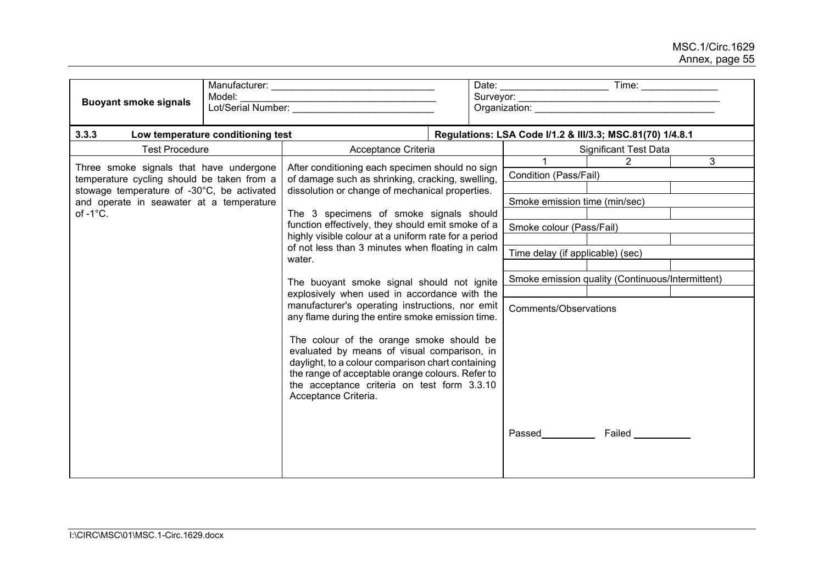| Model:<br><b>Buoyant smoke signals</b>                                                                                                                                                                |  |                                                                                                                                                                                                                                                                         | Organization: <b>Example 2019</b>                |                                  |                                                           |                              |                |
|-------------------------------------------------------------------------------------------------------------------------------------------------------------------------------------------------------|--|-------------------------------------------------------------------------------------------------------------------------------------------------------------------------------------------------------------------------------------------------------------------------|--------------------------------------------------|----------------------------------|-----------------------------------------------------------|------------------------------|----------------|
| 3.3.3<br>Low temperature conditioning test                                                                                                                                                            |  |                                                                                                                                                                                                                                                                         |                                                  |                                  | Regulations: LSA Code I/1.2 & III/3.3; MSC.81(70) 1/4.8.1 |                              |                |
| <b>Test Procedure</b>                                                                                                                                                                                 |  | Acceptance Criteria                                                                                                                                                                                                                                                     |                                                  |                                  |                                                           | <b>Significant Test Data</b> |                |
| Three smoke signals that have undergone<br>temperature cycling should be taken from a<br>stowage temperature of -30°C, be activated<br>and operate in seawater at a temperature<br>of $-1^{\circ}$ C. |  | After conditioning each specimen should no sign<br>of damage such as shrinking, cracking, swelling,<br>dissolution or change of mechanical properties.                                                                                                                  |                                                  |                                  |                                                           | 2                            | 3 <sup>1</sup> |
|                                                                                                                                                                                                       |  |                                                                                                                                                                                                                                                                         |                                                  |                                  | Condition (Pass/Fail)                                     |                              |                |
|                                                                                                                                                                                                       |  |                                                                                                                                                                                                                                                                         |                                                  |                                  |                                                           |                              |                |
|                                                                                                                                                                                                       |  |                                                                                                                                                                                                                                                                         |                                                  |                                  | Smoke emission time (min/sec)                             |                              |                |
|                                                                                                                                                                                                       |  | The 3 specimens of smoke signals should                                                                                                                                                                                                                                 |                                                  |                                  |                                                           |                              |                |
|                                                                                                                                                                                                       |  | function effectively, they should emit smoke of a<br>highly visible colour at a uniform rate for a period<br>of not less than 3 minutes when floating in calm                                                                                                           |                                                  | Smoke colour (Pass/Fail)         |                                                           |                              |                |
|                                                                                                                                                                                                       |  |                                                                                                                                                                                                                                                                         |                                                  | Time delay (if applicable) (sec) |                                                           |                              |                |
|                                                                                                                                                                                                       |  | water.                                                                                                                                                                                                                                                                  |                                                  |                                  |                                                           |                              |                |
|                                                                                                                                                                                                       |  | The buoyant smoke signal should not ignite                                                                                                                                                                                                                              | Smoke emission quality (Continuous/Intermittent) |                                  |                                                           |                              |                |
|                                                                                                                                                                                                       |  | explosively when used in accordance with the<br>manufacturer's operating instructions, nor emit<br>any flame during the entire smoke emission time.                                                                                                                     |                                                  |                                  |                                                           |                              |                |
|                                                                                                                                                                                                       |  |                                                                                                                                                                                                                                                                         |                                                  |                                  | Comments/Observations                                     |                              |                |
|                                                                                                                                                                                                       |  | The colour of the orange smoke should be<br>evaluated by means of visual comparison, in<br>daylight, to a colour comparison chart containing<br>the range of acceptable orange colours. Refer to<br>the acceptance criteria on test form 3.3.10<br>Acceptance Criteria. |                                                  |                                  |                                                           |                              |                |
|                                                                                                                                                                                                       |  |                                                                                                                                                                                                                                                                         |                                                  |                                  | <b>Passed Example 20</b>                                  | Failed __________            |                |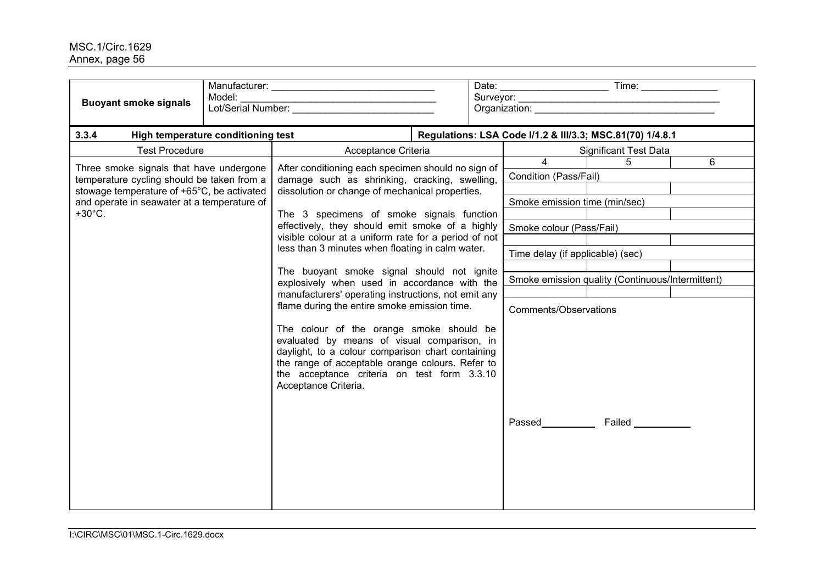| <b>Buoyant smoke signals</b>                                                              | Model: |                                                                                                                                                                                                                                                                         | Organization: example and a control of the control of the control of the control of the control of the control of the control of the control of the control of the control of the control of the control of the control of the |                               |                                                           |                              |                |
|-------------------------------------------------------------------------------------------|--------|-------------------------------------------------------------------------------------------------------------------------------------------------------------------------------------------------------------------------------------------------------------------------|--------------------------------------------------------------------------------------------------------------------------------------------------------------------------------------------------------------------------------|-------------------------------|-----------------------------------------------------------|------------------------------|----------------|
| 3.3.4<br>High temperature conditioning test                                               |        |                                                                                                                                                                                                                                                                         |                                                                                                                                                                                                                                |                               | Regulations: LSA Code I/1.2 & III/3.3; MSC.81(70) 1/4.8.1 |                              |                |
| <b>Test Procedure</b><br>Acceptance Criteria                                              |        |                                                                                                                                                                                                                                                                         |                                                                                                                                                                                                                                |                               |                                                           | <b>Significant Test Data</b> |                |
| Three smoke signals that have undergone                                                   |        | After conditioning each specimen should no sign of                                                                                                                                                                                                                      |                                                                                                                                                                                                                                |                               | $\overline{4}$                                            | $\overline{5}$               | $\overline{6}$ |
| temperature cycling should be taken from a                                                |        | damage such as shrinking, cracking, swelling,<br>dissolution or change of mechanical properties.                                                                                                                                                                        |                                                                                                                                                                                                                                | Condition (Pass/Fail)         |                                                           |                              |                |
| stowage temperature of +65°C, be activated<br>and operate in seawater at a temperature of |        |                                                                                                                                                                                                                                                                         |                                                                                                                                                                                                                                | Smoke emission time (min/sec) |                                                           |                              |                |
| $+30^{\circ}$ C.                                                                          |        | The 3 specimens of smoke signals function                                                                                                                                                                                                                               |                                                                                                                                                                                                                                |                               |                                                           |                              |                |
|                                                                                           |        | effectively, they should emit smoke of a highly                                                                                                                                                                                                                         |                                                                                                                                                                                                                                |                               | Smoke colour (Pass/Fail)                                  |                              |                |
|                                                                                           |        | visible colour at a uniform rate for a period of not<br>less than 3 minutes when floating in calm water.                                                                                                                                                                |                                                                                                                                                                                                                                |                               |                                                           |                              |                |
|                                                                                           |        |                                                                                                                                                                                                                                                                         |                                                                                                                                                                                                                                |                               | Time delay (if applicable) (sec)                          |                              |                |
|                                                                                           |        | The buoyant smoke signal should not ignite<br>explosively when used in accordance with the                                                                                                                                                                              |                                                                                                                                                                                                                                |                               | Smoke emission quality (Continuous/Intermittent)          |                              |                |
|                                                                                           |        | manufacturers' operating instructions, not emit any<br>flame during the entire smoke emission time.                                                                                                                                                                     |                                                                                                                                                                                                                                |                               |                                                           |                              |                |
|                                                                                           |        |                                                                                                                                                                                                                                                                         |                                                                                                                                                                                                                                |                               | Comments/Observations                                     |                              |                |
|                                                                                           |        | The colour of the orange smoke should be<br>evaluated by means of visual comparison, in<br>daylight, to a colour comparison chart containing<br>the range of acceptable orange colours. Refer to<br>the acceptance criteria on test form 3.3.10<br>Acceptance Criteria. |                                                                                                                                                                                                                                | Passed                        | Failed __________                                         |                              |                |
|                                                                                           |        |                                                                                                                                                                                                                                                                         |                                                                                                                                                                                                                                |                               |                                                           |                              |                |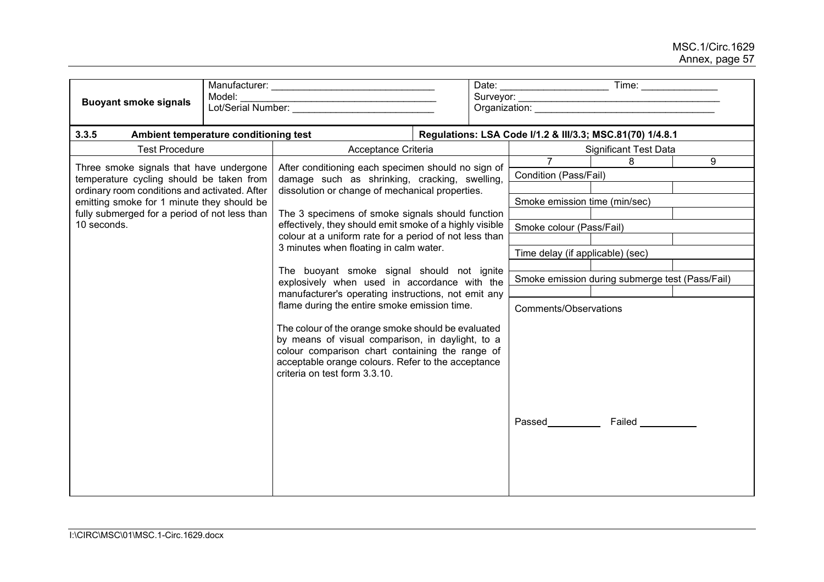| <b>Buoyant smoke signals</b>                                                                                                                                                                                                                       | Model:<br>Lot/Serial Number:          |                                                                                                                                                                                                                                                                                                                                                                                                                                                       |  |                                                           |                               |                                                 |  |
|----------------------------------------------------------------------------------------------------------------------------------------------------------------------------------------------------------------------------------------------------|---------------------------------------|-------------------------------------------------------------------------------------------------------------------------------------------------------------------------------------------------------------------------------------------------------------------------------------------------------------------------------------------------------------------------------------------------------------------------------------------------------|--|-----------------------------------------------------------|-------------------------------|-------------------------------------------------|--|
| 3.3.5                                                                                                                                                                                                                                              | Ambient temperature conditioning test |                                                                                                                                                                                                                                                                                                                                                                                                                                                       |  | Regulations: LSA Code I/1.2 & III/3.3; MSC.81(70) 1/4.8.1 |                               |                                                 |  |
| <b>Test Procedure</b>                                                                                                                                                                                                                              | Acceptance Criteria                   |                                                                                                                                                                                                                                                                                                                                                                                                                                                       |  |                                                           | <b>Significant Test Data</b>  |                                                 |  |
| Three smoke signals that have undergone<br>temperature cycling should be taken from<br>ordinary room conditions and activated. After<br>emitting smoke for 1 minute they should be<br>fully submerged for a period of not less than<br>10 seconds. |                                       | After conditioning each specimen should no sign of<br>damage such as shrinking, cracking, swelling,<br>dissolution or change of mechanical properties.                                                                                                                                                                                                                                                                                                |  | Condition (Pass/Fail)                                     | 8                             | 9                                               |  |
|                                                                                                                                                                                                                                                    |                                       |                                                                                                                                                                                                                                                                                                                                                                                                                                                       |  |                                                           | Smoke emission time (min/sec) |                                                 |  |
|                                                                                                                                                                                                                                                    |                                       | The 3 specimens of smoke signals should function<br>effectively, they should emit smoke of a highly visible<br>colour at a uniform rate for a period of not less than                                                                                                                                                                                                                                                                                 |  | Smoke colour (Pass/Fail)                                  |                               |                                                 |  |
|                                                                                                                                                                                                                                                    |                                       | 3 minutes when floating in calm water.                                                                                                                                                                                                                                                                                                                                                                                                                |  | Time delay (if applicable) (sec)                          |                               |                                                 |  |
|                                                                                                                                                                                                                                                    |                                       | The buoyant smoke signal should not ignite<br>explosively when used in accordance with the<br>manufacturer's operating instructions, not emit any<br>flame during the entire smoke emission time.<br>The colour of the orange smoke should be evaluated<br>by means of visual comparison, in daylight, to a<br>colour comparison chart containing the range of<br>acceptable orange colours. Refer to the acceptance<br>criteria on test form 3.3.10. |  |                                                           | Comments/Observations         | Smoke emission during submerge test (Pass/Fail) |  |
|                                                                                                                                                                                                                                                    |                                       |                                                                                                                                                                                                                                                                                                                                                                                                                                                       |  |                                                           |                               | Passed Failed                                   |  |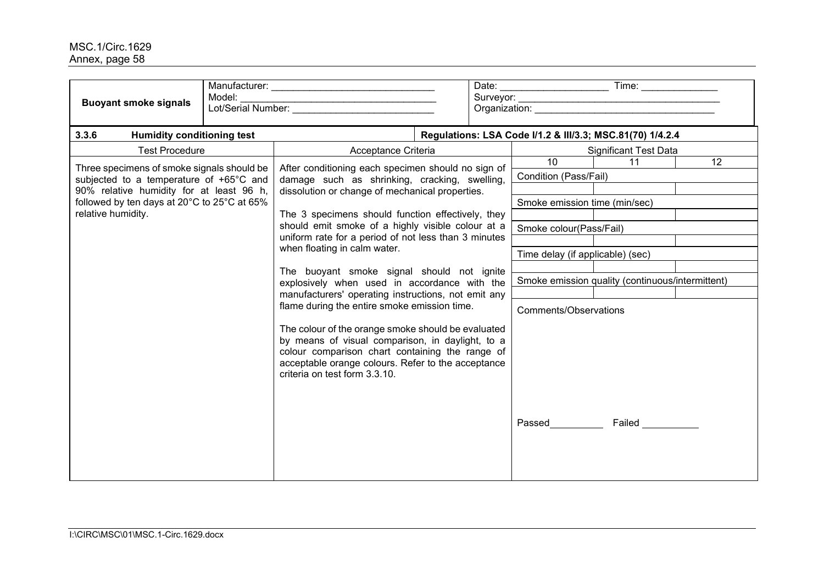| Model:<br><b>Buoyant smoke signals</b>                                                                                                                                                                 |  | Organization: New York Changes and Changes and Changes and Changes and Changes and Changes and Changes and Changes and Changes and Changes and Changes and Changes and Changes and Changes and Changes and Changes and Changes                                                                                                                                                                                                                                                                                                                                                                                                                                                                                                                                                                                    |  |                                                                                                                                                                                                                                 |                         |                 |
|--------------------------------------------------------------------------------------------------------------------------------------------------------------------------------------------------------|--|-------------------------------------------------------------------------------------------------------------------------------------------------------------------------------------------------------------------------------------------------------------------------------------------------------------------------------------------------------------------------------------------------------------------------------------------------------------------------------------------------------------------------------------------------------------------------------------------------------------------------------------------------------------------------------------------------------------------------------------------------------------------------------------------------------------------|--|---------------------------------------------------------------------------------------------------------------------------------------------------------------------------------------------------------------------------------|-------------------------|-----------------|
| 3.3.6<br><b>Humidity conditioning test</b>                                                                                                                                                             |  |                                                                                                                                                                                                                                                                                                                                                                                                                                                                                                                                                                                                                                                                                                                                                                                                                   |  | Regulations: LSA Code I/1.2 & III/3.3; MSC.81(70) 1/4.2.4                                                                                                                                                                       |                         |                 |
| <b>Test Procedure</b><br>Acceptance Criteria                                                                                                                                                           |  | <b>Significant Test Data</b>                                                                                                                                                                                                                                                                                                                                                                                                                                                                                                                                                                                                                                                                                                                                                                                      |  |                                                                                                                                                                                                                                 |                         |                 |
| Three specimens of smoke signals should be<br>subjected to a temperature of +65°C and<br>90% relative humidity for at least 96 h,<br>followed by ten days at 20°C to 25°C at 65%<br>relative humidity. |  | After conditioning each specimen should no sign of<br>damage such as shrinking, cracking, swelling,<br>dissolution or change of mechanical properties.<br>The 3 specimens should function effectively, they<br>should emit smoke of a highly visible colour at a<br>uniform rate for a period of not less than 3 minutes<br>when floating in calm water.<br>The buoyant smoke signal should not ignite<br>explosively when used in accordance with the<br>manufacturers' operating instructions, not emit any<br>flame during the entire smoke emission time.<br>The colour of the orange smoke should be evaluated<br>by means of visual comparison, in daylight, to a<br>colour comparison chart containing the range of<br>acceptable orange colours. Refer to the acceptance<br>criteria on test form 3.3.10. |  | $\overline{10}$<br>Condition (Pass/Fail)<br>Smoke emission time (min/sec)<br>Smoke colour(Pass/Fail)<br>Time delay (if applicable) (sec)<br>Smoke emission quality (continuous/intermittent)<br>Comments/Observations<br>Passed | 11<br>Failed __________ | $\overline{12}$ |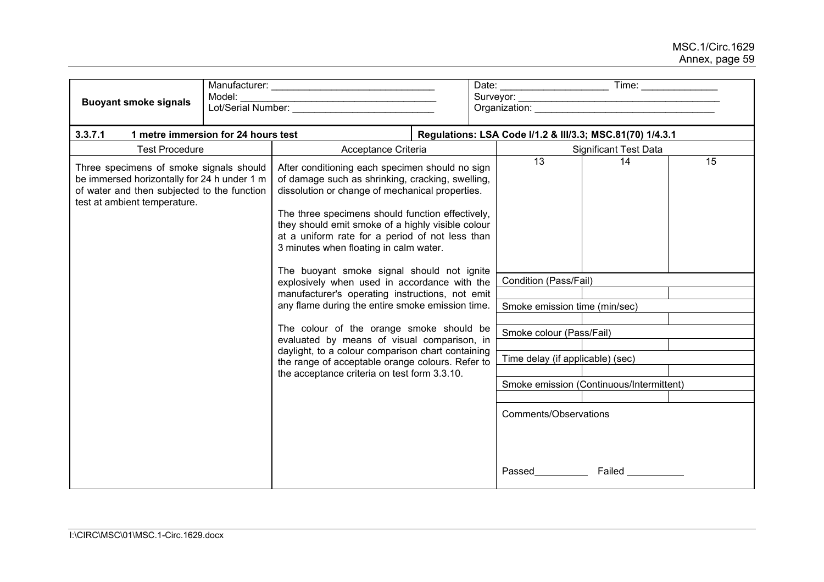| <b>Buoyant smoke signals</b>                                                                                                                                          | Model: |                                                                                                                                                                                                                                                                                                                                                                                                                                                                                                                                                                   |  |                              |                                                                                                                                                                                                                                 |                                          |    |  |
|-----------------------------------------------------------------------------------------------------------------------------------------------------------------------|--------|-------------------------------------------------------------------------------------------------------------------------------------------------------------------------------------------------------------------------------------------------------------------------------------------------------------------------------------------------------------------------------------------------------------------------------------------------------------------------------------------------------------------------------------------------------------------|--|------------------------------|---------------------------------------------------------------------------------------------------------------------------------------------------------------------------------------------------------------------------------|------------------------------------------|----|--|
| 3.3.7.1<br>1 metre immersion for 24 hours test                                                                                                                        |        |                                                                                                                                                                                                                                                                                                                                                                                                                                                                                                                                                                   |  |                              | Regulations: LSA Code I/1.2 & III/3.3; MSC.81(70) 1/4.3.1                                                                                                                                                                       |                                          |    |  |
| <b>Test Procedure</b>                                                                                                                                                 |        | Acceptance Criteria                                                                                                                                                                                                                                                                                                                                                                                                                                                                                                                                               |  | <b>Significant Test Data</b> |                                                                                                                                                                                                                                 |                                          |    |  |
| Three specimens of smoke signals should<br>be immersed horizontally for 24 h under 1 m<br>of water and then subjected to the function<br>test at ambient temperature. |        | After conditioning each specimen should no sign<br>of damage such as shrinking, cracking, swelling,<br>dissolution or change of mechanical properties.<br>The three specimens should function effectively,<br>they should emit smoke of a highly visible colour<br>at a uniform rate for a period of not less than<br>3 minutes when floating in calm water.<br>The buoyant smoke signal should not ignite<br>explosively when used in accordance with the<br>manufacturer's operating instructions, not emit<br>any flame during the entire smoke emission time. |  |                              | 13<br>Condition (Pass/Fail)<br>Smoke emission time (min/sec)                                                                                                                                                                    | 14                                       | 15 |  |
|                                                                                                                                                                       |        | The colour of the orange smoke should be                                                                                                                                                                                                                                                                                                                                                                                                                                                                                                                          |  |                              | Smoke colour (Pass/Fail)                                                                                                                                                                                                        |                                          |    |  |
|                                                                                                                                                                       |        | evaluated by means of visual comparison, in                                                                                                                                                                                                                                                                                                                                                                                                                                                                                                                       |  |                              |                                                                                                                                                                                                                                 |                                          |    |  |
|                                                                                                                                                                       |        | daylight, to a colour comparison chart containing<br>the range of acceptable orange colours. Refer to                                                                                                                                                                                                                                                                                                                                                                                                                                                             |  |                              | Time delay (if applicable) (sec)                                                                                                                                                                                                |                                          |    |  |
|                                                                                                                                                                       |        | the acceptance criteria on test form 3.3.10.                                                                                                                                                                                                                                                                                                                                                                                                                                                                                                                      |  |                              |                                                                                                                                                                                                                                 | Smoke emission (Continuous/Intermittent) |    |  |
|                                                                                                                                                                       |        |                                                                                                                                                                                                                                                                                                                                                                                                                                                                                                                                                                   |  |                              |                                                                                                                                                                                                                                 |                                          |    |  |
|                                                                                                                                                                       |        |                                                                                                                                                                                                                                                                                                                                                                                                                                                                                                                                                                   |  | Comments/Observations        |                                                                                                                                                                                                                                 |                                          |    |  |
|                                                                                                                                                                       |        |                                                                                                                                                                                                                                                                                                                                                                                                                                                                                                                                                                   |  |                              | Passed and the set of the set of the set of the set of the set of the set of the set of the set of the set of the set of the set of the set of the set of the set of the set of the set of the set of the set of the set of the | Failed                                   |    |  |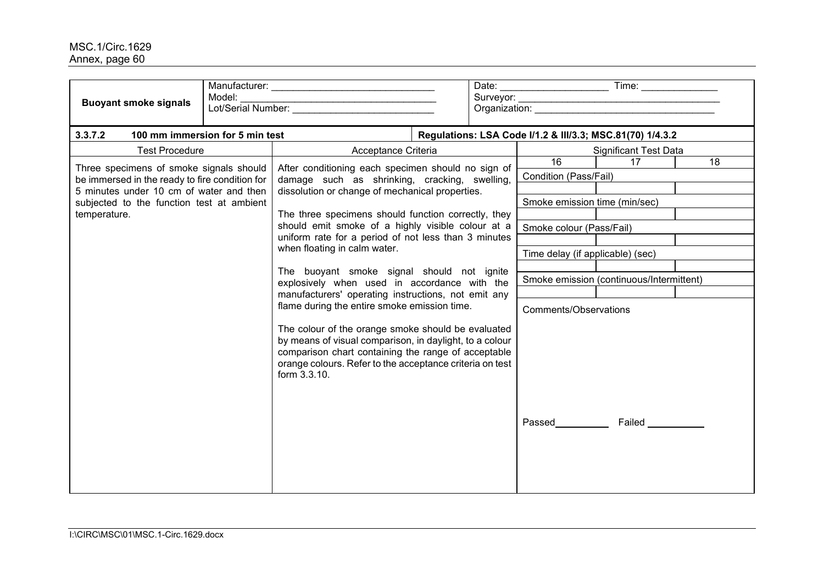| <b>Buoyant smoke signals</b>                                                                                                                                                                      | Model: |                                                                                                                                                                                                                                                  |  |                                                              |                                          |                                                           |  |
|---------------------------------------------------------------------------------------------------------------------------------------------------------------------------------------------------|--------|--------------------------------------------------------------------------------------------------------------------------------------------------------------------------------------------------------------------------------------------------|--|--------------------------------------------------------------|------------------------------------------|-----------------------------------------------------------|--|
| 3.3.7.2<br>100 mm immersion for 5 min test                                                                                                                                                        |        |                                                                                                                                                                                                                                                  |  |                                                              |                                          | Regulations: LSA Code I/1.2 & III/3.3; MSC.81(70) 1/4.3.2 |  |
| <b>Test Procedure</b>                                                                                                                                                                             |        | Acceptance Criteria                                                                                                                                                                                                                              |  |                                                              |                                          | <b>Significant Test Data</b>                              |  |
| Three specimens of smoke signals should<br>be immersed in the ready to fire condition for<br>5 minutes under 10 cm of water and then<br>subjected to the function test at ambient<br>temperature. |        | After conditioning each specimen should no sign of<br>damage such as shrinking, cracking, swelling,<br>dissolution or change of mechanical properties.                                                                                           |  | 16<br>Condition (Pass/Fail)<br>Smoke emission time (min/sec) | 17                                       | 18                                                        |  |
|                                                                                                                                                                                                   |        | The three specimens should function correctly, they                                                                                                                                                                                              |  |                                                              |                                          |                                                           |  |
|                                                                                                                                                                                                   |        | should emit smoke of a highly visible colour at a                                                                                                                                                                                                |  |                                                              | Smoke colour (Pass/Fail)                 |                                                           |  |
|                                                                                                                                                                                                   |        | uniform rate for a period of not less than 3 minutes<br>when floating in calm water.                                                                                                                                                             |  |                                                              |                                          |                                                           |  |
|                                                                                                                                                                                                   |        |                                                                                                                                                                                                                                                  |  | Time delay (if applicable) (sec)                             |                                          |                                                           |  |
|                                                                                                                                                                                                   |        | The buoyant smoke signal should not ignite<br>explosively when used in accordance with the<br>manufacturers' operating instructions, not emit any                                                                                                |  |                                                              | Smoke emission (continuous/Intermittent) |                                                           |  |
|                                                                                                                                                                                                   |        |                                                                                                                                                                                                                                                  |  |                                                              |                                          |                                                           |  |
|                                                                                                                                                                                                   |        | flame during the entire smoke emission time.                                                                                                                                                                                                     |  | Comments/Observations                                        |                                          |                                                           |  |
|                                                                                                                                                                                                   |        | The colour of the orange smoke should be evaluated<br>by means of visual comparison, in daylight, to a colour<br>comparison chart containing the range of acceptable<br>orange colours. Refer to the acceptance criteria on test<br>form 3.3.10. |  |                                                              |                                          |                                                           |  |
|                                                                                                                                                                                                   |        |                                                                                                                                                                                                                                                  |  |                                                              | Passed                                   | <b>Failed Example 1</b>                                   |  |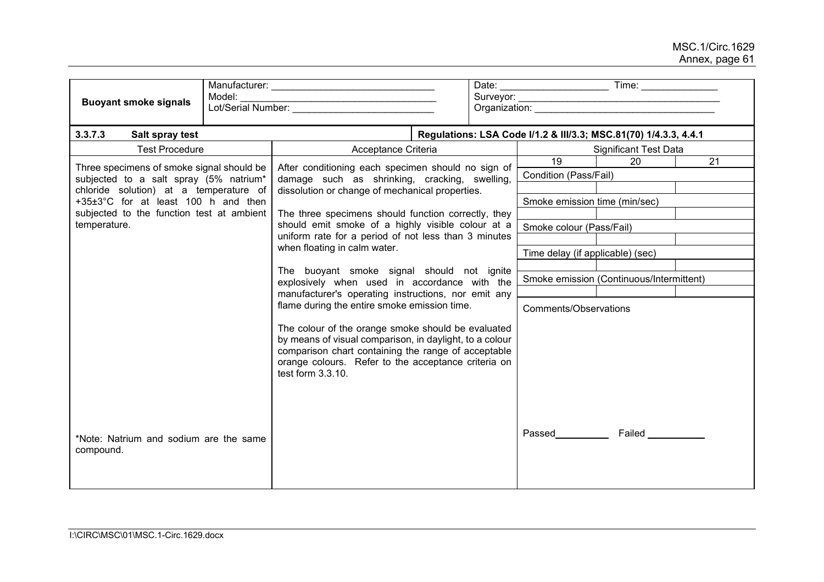| Model:<br><b>Buoyant smoke signals</b>                                                                                                                                                                                            |  |                                                                                                                                                                                                                                                                                                                                                                                                                                                                                                                                                                                                                                                           |  |                                  |                                                                  |    |  |  |
|-----------------------------------------------------------------------------------------------------------------------------------------------------------------------------------------------------------------------------------|--|-----------------------------------------------------------------------------------------------------------------------------------------------------------------------------------------------------------------------------------------------------------------------------------------------------------------------------------------------------------------------------------------------------------------------------------------------------------------------------------------------------------------------------------------------------------------------------------------------------------------------------------------------------------|--|----------------------------------|------------------------------------------------------------------|----|--|--|
| 3.3.7.3<br>Salt spray test                                                                                                                                                                                                        |  |                                                                                                                                                                                                                                                                                                                                                                                                                                                                                                                                                                                                                                                           |  |                                  | Regulations: LSA Code I/1.2 & III/3.3; MSC.81(70) 1/4.3.3, 4.4.1 |    |  |  |
| <b>Test Procedure</b>                                                                                                                                                                                                             |  | Acceptance Criteria                                                                                                                                                                                                                                                                                                                                                                                                                                                                                                                                                                                                                                       |  |                                  | <b>Significant Test Data</b>                                     |    |  |  |
| Three specimens of smoke signal should be<br>subjected to a salt spray (5% natrium*<br>chloride solution) at a temperature of<br>+35±3°C for at least 100 h and then<br>subjected to the function test at ambient<br>temperature. |  | After conditioning each specimen should no sign of<br>damage such as shrinking, cracking, swelling,<br>dissolution or change of mechanical properties.                                                                                                                                                                                                                                                                                                                                                                                                                                                                                                    |  | 19<br>Condition (Pass/Fail)      | 20                                                               | 21 |  |  |
|                                                                                                                                                                                                                                   |  |                                                                                                                                                                                                                                                                                                                                                                                                                                                                                                                                                                                                                                                           |  | Smoke emission time (min/sec)    |                                                                  |    |  |  |
|                                                                                                                                                                                                                                   |  | The three specimens should function correctly, they<br>should emit smoke of a highly visible colour at a<br>uniform rate for a period of not less than 3 minutes<br>when floating in calm water.<br>The buoyant smoke signal should not ignite<br>explosively when used in accordance with the<br>manufacturer's operating instructions, nor emit any<br>flame during the entire smoke emission time.<br>The colour of the orange smoke should be evaluated<br>by means of visual comparison, in daylight, to a colour<br>comparison chart containing the range of acceptable<br>orange colours. Refer to the acceptance criteria on<br>test form 3.3.10. |  | Smoke colour (Pass/Fail)         |                                                                  |    |  |  |
|                                                                                                                                                                                                                                   |  |                                                                                                                                                                                                                                                                                                                                                                                                                                                                                                                                                                                                                                                           |  | Time delay (if applicable) (sec) |                                                                  |    |  |  |
|                                                                                                                                                                                                                                   |  |                                                                                                                                                                                                                                                                                                                                                                                                                                                                                                                                                                                                                                                           |  | Comments/Observations            | Smoke emission (Continuous/Intermittent)                         |    |  |  |
| *Note: Natrium and sodium are the same<br>compound.                                                                                                                                                                               |  |                                                                                                                                                                                                                                                                                                                                                                                                                                                                                                                                                                                                                                                           |  | <b>Passed Example 20</b>         | Failed _________                                                 |    |  |  |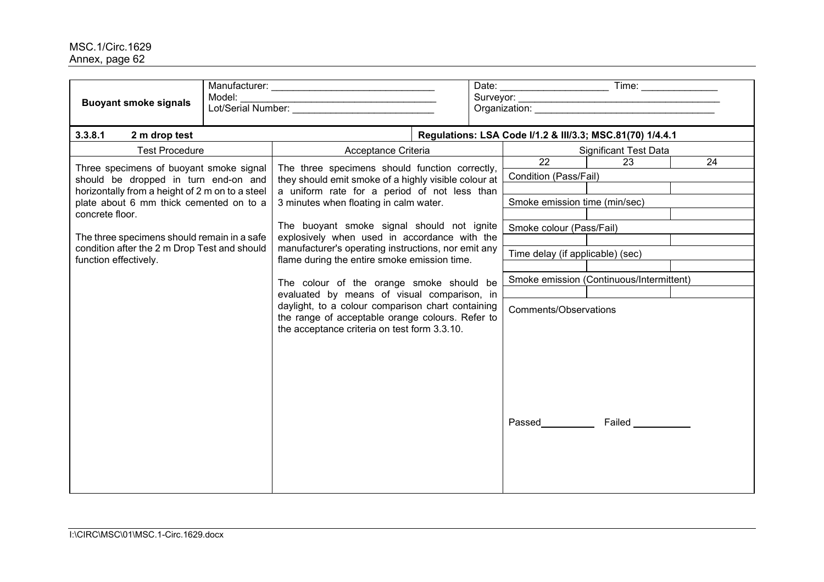| <b>Buoyant smoke signals</b>                                                                                                                                                                                                                                                                                             | Model: |                                                                                                                                                                                                      |                                                              | Date: Time: Time:                        |    |  |  |
|--------------------------------------------------------------------------------------------------------------------------------------------------------------------------------------------------------------------------------------------------------------------------------------------------------------------------|--------|------------------------------------------------------------------------------------------------------------------------------------------------------------------------------------------------------|--------------------------------------------------------------|------------------------------------------|----|--|--|
| 3.3.8.1<br>2 m drop test                                                                                                                                                                                                                                                                                                 |        |                                                                                                                                                                                                      | Regulations: LSA Code I/1.2 & III/3.3; MSC.81(70) 1/4.4.1    |                                          |    |  |  |
| <b>Test Procedure</b>                                                                                                                                                                                                                                                                                                    |        | Acceptance Criteria                                                                                                                                                                                  |                                                              | <b>Significant Test Data</b>             |    |  |  |
| Three specimens of buoyant smoke signal<br>should be dropped in turn end-on and<br>horizontally from a height of 2 m on to a steel<br>plate about 6 mm thick cemented on to a<br>concrete floor.<br>The three specimens should remain in a safe<br>condition after the 2 m Drop Test and should<br>function effectively. |        | The three specimens should function correctly,<br>they should emit smoke of a highly visible colour at<br>a uniform rate for a period of not less than<br>3 minutes when floating in calm water.     | 22<br>Condition (Pass/Fail)<br>Smoke emission time (min/sec) | 23                                       | 24 |  |  |
|                                                                                                                                                                                                                                                                                                                          |        | The buoyant smoke signal should not ignite<br>explosively when used in accordance with the<br>manufacturer's operating instructions, nor emit any<br>flame during the entire smoke emission time.    | Smoke colour (Pass/Fail)<br>Time delay (if applicable) (sec) |                                          |    |  |  |
|                                                                                                                                                                                                                                                                                                                          |        | The colour of the orange smoke should be                                                                                                                                                             |                                                              | Smoke emission (Continuous/Intermittent) |    |  |  |
|                                                                                                                                                                                                                                                                                                                          |        | evaluated by means of visual comparison, in<br>daylight, to a colour comparison chart containing<br>the range of acceptable orange colours. Refer to<br>the acceptance criteria on test form 3.3.10. | Comments/Observations                                        |                                          |    |  |  |
|                                                                                                                                                                                                                                                                                                                          |        |                                                                                                                                                                                                      | <b>Passed</b>                                                | <b>Failed Example 1</b>                  |    |  |  |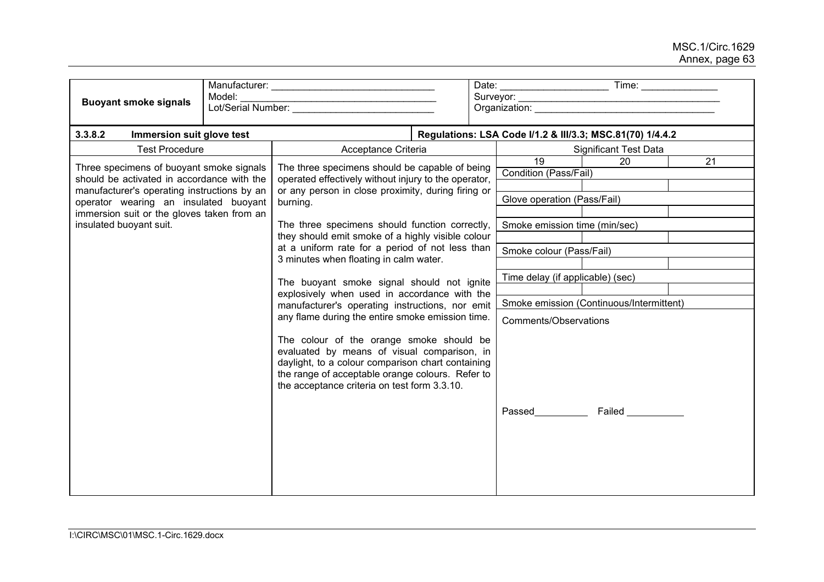| <b>Buoyant smoke signals</b>                                                                                                                                                                                                                            | Model: |                                                                                                                                                                                                                                                                                                      |                                                                               |  |  |  |
|---------------------------------------------------------------------------------------------------------------------------------------------------------------------------------------------------------------------------------------------------------|--------|------------------------------------------------------------------------------------------------------------------------------------------------------------------------------------------------------------------------------------------------------------------------------------------------------|-------------------------------------------------------------------------------|--|--|--|
| 3.3.8.2<br>Immersion suit glove test                                                                                                                                                                                                                    |        |                                                                                                                                                                                                                                                                                                      | Regulations: LSA Code I/1.2 & III/3.3; MSC.81(70) 1/4.4.2                     |  |  |  |
| <b>Test Procedure</b>                                                                                                                                                                                                                                   |        | Acceptance Criteria                                                                                                                                                                                                                                                                                  | <b>Significant Test Data</b>                                                  |  |  |  |
| Three specimens of buoyant smoke signals<br>should be activated in accordance with the<br>manufacturer's operating instructions by an<br>operator wearing an insulated buoyant<br>immersion suit or the gloves taken from an<br>insulated buoyant suit. |        | The three specimens should be capable of being<br>operated effectively without injury to the operator,<br>or any person in close proximity, during firing or<br>burning.                                                                                                                             | 20<br>19<br>21<br><b>Condition (Pass/Fail)</b><br>Glove operation (Pass/Fail) |  |  |  |
|                                                                                                                                                                                                                                                         |        | The three specimens should function correctly,<br>they should emit smoke of a highly visible colour<br>at a uniform rate for a period of not less than<br>3 minutes when floating in calm water.                                                                                                     | Smoke emission time (min/sec)<br>Smoke colour (Pass/Fail)                     |  |  |  |
|                                                                                                                                                                                                                                                         |        | The buoyant smoke signal should not ignite<br>explosively when used in accordance with the<br>manufacturer's operating instructions, nor emit                                                                                                                                                        | Time delay (if applicable) (sec)<br>Smoke emission (Continuous/Intermittent)  |  |  |  |
|                                                                                                                                                                                                                                                         |        | any flame during the entire smoke emission time.<br>The colour of the orange smoke should be<br>evaluated by means of visual comparison, in<br>daylight, to a colour comparison chart containing<br>the range of acceptable orange colours. Refer to<br>the acceptance criteria on test form 3.3.10. | Comments/Observations                                                         |  |  |  |
|                                                                                                                                                                                                                                                         |        |                                                                                                                                                                                                                                                                                                      | <b>Failed Example 1</b><br>Passed                                             |  |  |  |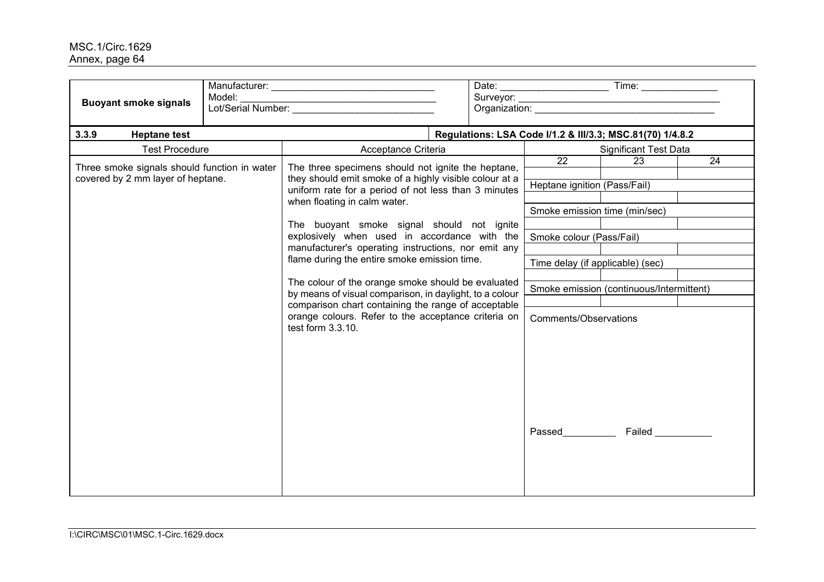| <b>Buoyant smoke signals</b>                 | Model:<br>the control of the control of the control of the control of the control of<br>Lot/Serial Number: |                                                                                                                                 |  |                               |                                                           |                         |    |  |
|----------------------------------------------|------------------------------------------------------------------------------------------------------------|---------------------------------------------------------------------------------------------------------------------------------|--|-------------------------------|-----------------------------------------------------------|-------------------------|----|--|
| 3.3.9<br><b>Heptane test</b>                 |                                                                                                            |                                                                                                                                 |  |                               | Regulations: LSA Code I/1.2 & III/3.3; MSC.81(70) 1/4.8.2 |                         |    |  |
| <b>Test Procedure</b>                        |                                                                                                            | Acceptance Criteria                                                                                                             |  |                               | <b>Significant Test Data</b>                              |                         |    |  |
| Three smoke signals should function in water |                                                                                                            | The three specimens should not ignite the heptane,                                                                              |  |                               | $\overline{22}$                                           | 23                      | 24 |  |
| covered by 2 mm layer of heptane.            |                                                                                                            | they should emit smoke of a highly visible colour at a                                                                          |  |                               |                                                           |                         |    |  |
|                                              |                                                                                                            | uniform rate for a period of not less than 3 minutes<br>when floating in calm water.                                            |  | Heptane ignition (Pass/Fail)  |                                                           |                         |    |  |
|                                              |                                                                                                            |                                                                                                                                 |  | Smoke emission time (min/sec) |                                                           |                         |    |  |
|                                              |                                                                                                            | The buoyant smoke signal should not ignite                                                                                      |  |                               |                                                           |                         |    |  |
|                                              |                                                                                                            | explosively when used in accordance with the                                                                                    |  |                               | Smoke colour (Pass/Fail)                                  |                         |    |  |
|                                              |                                                                                                            | manufacturer's operating instructions, nor emit any                                                                             |  |                               |                                                           |                         |    |  |
|                                              |                                                                                                            | flame during the entire smoke emission time.                                                                                    |  |                               | Time delay (if applicable) (sec)                          |                         |    |  |
|                                              |                                                                                                            | The colour of the orange smoke should be evaluated                                                                              |  |                               |                                                           |                         |    |  |
|                                              |                                                                                                            | by means of visual comparison, in daylight, to a colour                                                                         |  |                               | Smoke emission (continuous/Intermittent)                  |                         |    |  |
|                                              |                                                                                                            | comparison chart containing the range of acceptable<br>orange colours. Refer to the acceptance criteria on<br>test form 3.3.10. |  |                               | Comments/Observations                                     |                         |    |  |
|                                              |                                                                                                            |                                                                                                                                 |  |                               | Passed                                                    | <b>Failed Example 1</b> |    |  |
|                                              |                                                                                                            |                                                                                                                                 |  |                               |                                                           |                         |    |  |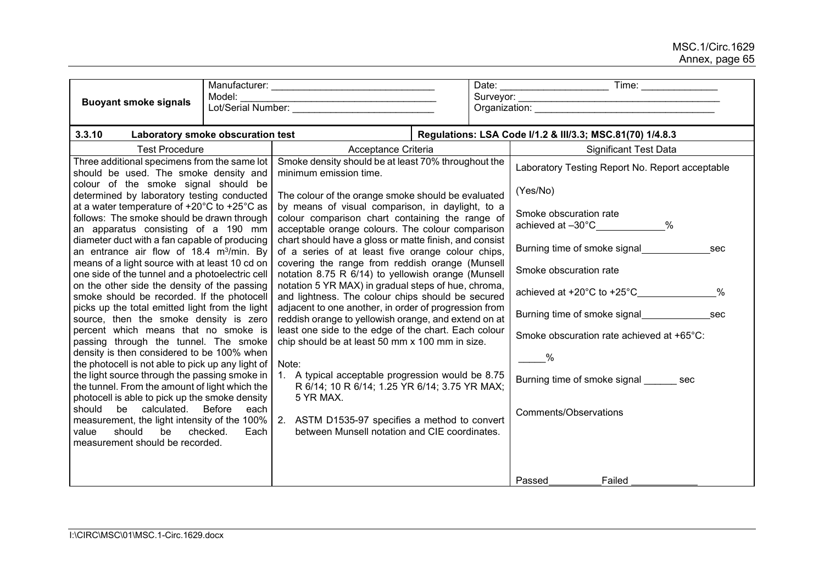|                                                                                                                                                   | Model:       |                                                                                                                                                         |                        |                                                                                                                                                                                                                                |  |
|---------------------------------------------------------------------------------------------------------------------------------------------------|--------------|---------------------------------------------------------------------------------------------------------------------------------------------------------|------------------------|--------------------------------------------------------------------------------------------------------------------------------------------------------------------------------------------------------------------------------|--|
| <b>Buoyant smoke signals</b>                                                                                                                      |              |                                                                                                                                                         |                        | Organization: New York Changes and Changes and Changes and Changes and Changes and Changes and Changes and Changes and Changes and Changes and Changes and Changes and Changes and Changes and Changes and Changes and Changes |  |
| 3.3.10<br>Laboratory smoke obscuration test                                                                                                       |              |                                                                                                                                                         |                        | Regulations: LSA Code I/1.2 & III/3.3; MSC.81(70) 1/4.8.3                                                                                                                                                                      |  |
| <b>Test Procedure</b>                                                                                                                             |              | Acceptance Criteria                                                                                                                                     |                        | <b>Significant Test Data</b>                                                                                                                                                                                                   |  |
| Three additional specimens from the same lot<br>should be used. The smoke density and                                                             |              | Smoke density should be at least 70% throughout the<br>minimum emission time.                                                                           |                        | Laboratory Testing Report No. Report acceptable                                                                                                                                                                                |  |
| colour of the smoke signal should be<br>determined by laboratory testing conducted<br>The colour of the orange smoke should be evaluated          |              |                                                                                                                                                         |                        | (Yes/No)                                                                                                                                                                                                                       |  |
| at a water temperature of +20°C to +25°C as<br>follows: The smoke should be drawn through<br>an apparatus consisting of a 190 mm                  |              | by means of visual comparison, in daylight, to a<br>colour comparison chart containing the range of<br>acceptable orange colours. The colour comparison |                        | Smoke obscuration rate<br>$\%$<br>achieved at -30°C_____________                                                                                                                                                               |  |
| diameter duct with a fan capable of producing<br>an entrance air flow of 18.4 m <sup>3</sup> /min. By                                             |              | chart should have a gloss or matte finish, and consist<br>of a series of at least five orange colour chips,                                             |                        | Burning time of smoke signal<br>sec                                                                                                                                                                                            |  |
| means of a light source with at least 10 cd on<br>one side of the tunnel and a photoelectric cell                                                 |              | covering the range from reddish orange (Munsell<br>notation 8.75 R 6/14) to yellowish orange (Munsell                                                   | Smoke obscuration rate |                                                                                                                                                                                                                                |  |
| on the other side the density of the passing<br>smoke should be recorded. If the photocell                                                        |              | notation 5 YR MAX) in gradual steps of hue, chroma,<br>and lightness. The colour chips should be secured                                                |                        | achieved at $+20^{\circ}$ C to $+25^{\circ}$ C<br>%                                                                                                                                                                            |  |
| picks up the total emitted light from the light<br>source, then the smoke density is zero                                                         |              | adjacent to one another, in order of progression from<br>reddish orange to yellowish orange, and extend on at                                           |                        |                                                                                                                                                                                                                                |  |
| percent which means that no smoke is<br>passing through the tunnel. The smoke                                                                     |              | least one side to the edge of the chart. Each colour<br>chip should be at least 50 mm x 100 mm in size.                                                 |                        | Smoke obscuration rate achieved at +65°C:                                                                                                                                                                                      |  |
| density is then considered to be 100% when<br>the photocell is not able to pick up any light of                                                   |              | Note:                                                                                                                                                   |                        | $\sim$ %                                                                                                                                                                                                                       |  |
| the light source through the passing smoke in<br>the tunnel. From the amount of light which the<br>photocell is able to pick up the smoke density |              | 1. A typical acceptable progression would be 8.75<br>R 6/14; 10 R 6/14; 1.25 YR 6/14; 3.75 YR MAX;<br>5 YR MAX.                                         |                        | Burning time of smoke signal sec                                                                                                                                                                                               |  |
| should be calculated. Before<br>measurement, the light intensity of the 100%<br>should<br>be checked.<br>value<br>measurement should be recorded. | each<br>Each | 2. ASTM D1535-97 specifies a method to convert<br>between Munsell notation and CIE coordinates.                                                         |                        | Comments/Observations                                                                                                                                                                                                          |  |
|                                                                                                                                                   |              |                                                                                                                                                         |                        |                                                                                                                                                                                                                                |  |
|                                                                                                                                                   |              |                                                                                                                                                         |                        | Passed<br>Failed                                                                                                                                                                                                               |  |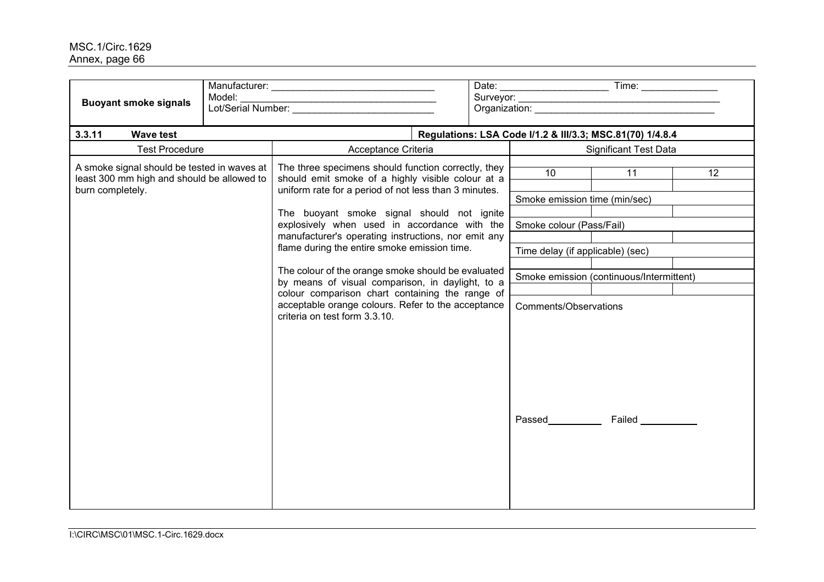| <b>Buoyant smoke signals</b>                                                              | Model:                                             |                                                                                                                                        |  |                                          | Organization: experience of the contract of the contract of the contract of the contract of the contract of the contract of the contract of the contract of the contract of the contract of the contract of the contract of th |                 |  |  |
|-------------------------------------------------------------------------------------------|----------------------------------------------------|----------------------------------------------------------------------------------------------------------------------------------------|--|------------------------------------------|--------------------------------------------------------------------------------------------------------------------------------------------------------------------------------------------------------------------------------|-----------------|--|--|
| 3.3.11<br><b>Wave test</b>                                                                |                                                    |                                                                                                                                        |  |                                          | Regulations: LSA Code I/1.2 & III/3.3; MSC.81(70) 1/4.8.4                                                                                                                                                                      |                 |  |  |
| <b>Test Procedure</b><br>Acceptance Criteria                                              |                                                    |                                                                                                                                        |  |                                          | <b>Significant Test Data</b>                                                                                                                                                                                                   |                 |  |  |
| A smoke signal should be tested in waves at<br>least 300 mm high and should be allowed to |                                                    | The three specimens should function correctly, they<br>should emit smoke of a highly visible colour at a                               |  | 10 <sup>°</sup>                          | 11                                                                                                                                                                                                                             | 12 <sup>°</sup> |  |  |
| burn completely.                                                                          |                                                    | uniform rate for a period of not less than 3 minutes.                                                                                  |  | Smoke emission time (min/sec)            |                                                                                                                                                                                                                                |                 |  |  |
|                                                                                           |                                                    | The buoyant smoke signal should not ignite                                                                                             |  |                                          |                                                                                                                                                                                                                                |                 |  |  |
|                                                                                           |                                                    | explosively when used in accordance with the                                                                                           |  | Smoke colour (Pass/Fail)                 |                                                                                                                                                                                                                                |                 |  |  |
|                                                                                           |                                                    | manufacturer's operating instructions, nor emit any                                                                                    |  |                                          |                                                                                                                                                                                                                                |                 |  |  |
|                                                                                           |                                                    | flame during the entire smoke emission time.                                                                                           |  | Time delay (if applicable) (sec)         |                                                                                                                                                                                                                                |                 |  |  |
|                                                                                           | The colour of the orange smoke should be evaluated |                                                                                                                                        |  |                                          |                                                                                                                                                                                                                                |                 |  |  |
|                                                                                           |                                                    | by means of visual comparison, in daylight, to a                                                                                       |  | Smoke emission (continuous/Intermittent) |                                                                                                                                                                                                                                |                 |  |  |
|                                                                                           |                                                    | colour comparison chart containing the range of<br>acceptable orange colours. Refer to the acceptance<br>criteria on test form 3.3.10. |  | Comments/Observations                    |                                                                                                                                                                                                                                |                 |  |  |
|                                                                                           |                                                    |                                                                                                                                        |  | Passed___________                        | Failed ___________                                                                                                                                                                                                             |                 |  |  |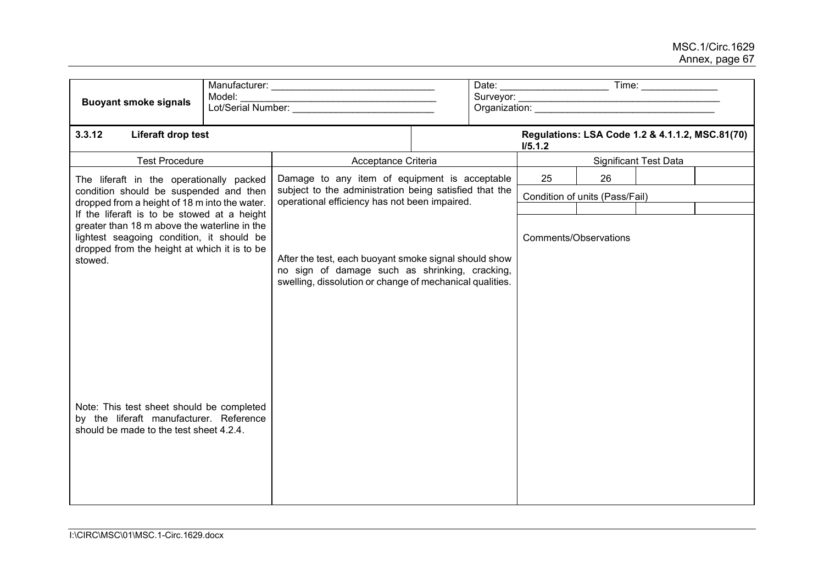| Model:<br><b>Buoyant smoke signals</b>                                                                                                                                                                                                                                                                                                                                                  |  |                                                                                                                                                                                                                      |  | Time: _______________                                      |    |    |  |  |
|-----------------------------------------------------------------------------------------------------------------------------------------------------------------------------------------------------------------------------------------------------------------------------------------------------------------------------------------------------------------------------------------|--|----------------------------------------------------------------------------------------------------------------------------------------------------------------------------------------------------------------------|--|------------------------------------------------------------|----|----|--|--|
| 3.3.12<br>Liferaft drop test                                                                                                                                                                                                                                                                                                                                                            |  |                                                                                                                                                                                                                      |  | Regulations: LSA Code 1.2 & 4.1.1.2, MSC.81(70)<br>I/5.1.2 |    |    |  |  |
| <b>Test Procedure</b>                                                                                                                                                                                                                                                                                                                                                                   |  | Acceptance Criteria                                                                                                                                                                                                  |  | <b>Significant Test Data</b>                               |    |    |  |  |
| The liferaft in the operationally packed<br>condition should be suspended and then                                                                                                                                                                                                                                                                                                      |  | Damage to any item of equipment is acceptable<br>subject to the administration being satisfied that the                                                                                                              |  |                                                            | 25 | 26 |  |  |
|                                                                                                                                                                                                                                                                                                                                                                                         |  |                                                                                                                                                                                                                      |  | Condition of units (Pass/Fail)                             |    |    |  |  |
| dropped from a height of 18 m into the water.<br>If the liferaft is to be stowed at a height<br>greater than 18 m above the waterline in the<br>lightest seagoing condition, it should be<br>dropped from the height at which it is to be<br>stowed.<br>Note: This test sheet should be completed<br>by the liferaft manufacturer. Reference<br>should be made to the test sheet 4.2.4. |  | operational efficiency has not been impaired.<br>After the test, each buoyant smoke signal should show<br>no sign of damage such as shrinking, cracking,<br>swelling, dissolution or change of mechanical qualities. |  | Comments/Observations                                      |    |    |  |  |
|                                                                                                                                                                                                                                                                                                                                                                                         |  |                                                                                                                                                                                                                      |  |                                                            |    |    |  |  |